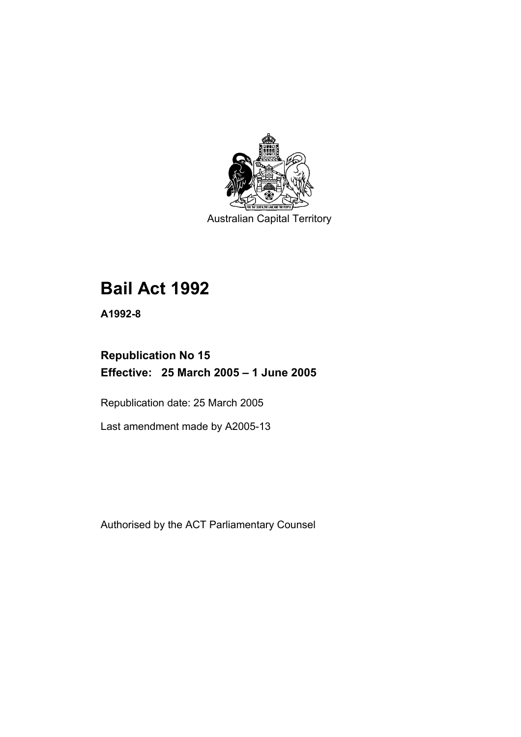

Australian Capital Territory

# **Bail Act 1992**

**A1992-8** 

# **Republication No 15 Effective: 25 March 2005 – 1 June 2005**

Republication date: 25 March 2005

Last amendment made by A2005-13

Authorised by the ACT Parliamentary Counsel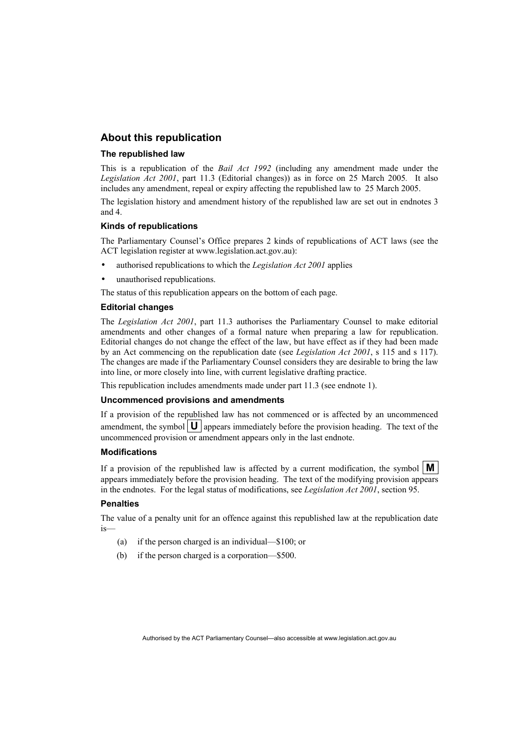### **About this republication**

#### **The republished law**

This is a republication of the *Bail Act 1992* (including any amendment made under the *Legislation Act 2001*, part 11.3 (Editorial changes)) as in force on 25 March 2005*.* It also includes any amendment, repeal or expiry affecting the republished law to 25 March 2005.

The legislation history and amendment history of the republished law are set out in endnotes 3 and 4.

#### **Kinds of republications**

The Parliamentary Counsel's Office prepares 2 kinds of republications of ACT laws (see the ACT legislation register at www.legislation.act.gov.au):

- authorised republications to which the *Legislation Act 2001* applies
- unauthorised republications.

The status of this republication appears on the bottom of each page.

#### **Editorial changes**

The *Legislation Act 2001*, part 11.3 authorises the Parliamentary Counsel to make editorial amendments and other changes of a formal nature when preparing a law for republication. Editorial changes do not change the effect of the law, but have effect as if they had been made by an Act commencing on the republication date (see *Legislation Act 2001*, s 115 and s 117). The changes are made if the Parliamentary Counsel considers they are desirable to bring the law into line, or more closely into line, with current legislative drafting practice.

This republication includes amendments made under part 11.3 (see endnote 1).

#### **Uncommenced provisions and amendments**

If a provision of the republished law has not commenced or is affected by an uncommenced amendment, the symbol  $\mathbf{U}$  appears immediately before the provision heading. The text of the uncommenced provision or amendment appears only in the last endnote.

#### **Modifications**

If a provision of the republished law is affected by a current modification, the symbol  $\mathbf{M}$ appears immediately before the provision heading. The text of the modifying provision appears in the endnotes. For the legal status of modifications, see *Legislation Act 2001*, section 95.

#### **Penalties**

The value of a penalty unit for an offence against this republished law at the republication date is—

- (a) if the person charged is an individual—\$100; or
- (b) if the person charged is a corporation—\$500.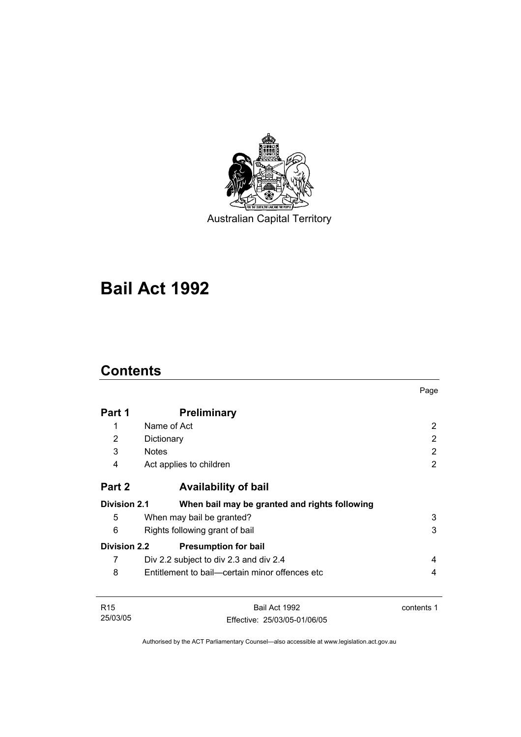

Australian Capital Territory

# **Bail Act 1992**

# **Contents**

|                     |                                                | Page       |  |
|---------------------|------------------------------------------------|------------|--|
| Part 1              | <b>Preliminary</b>                             |            |  |
| 1                   | Name of Act                                    | 2          |  |
| 2                   | Dictionary                                     | 2          |  |
| 3                   | <b>Notes</b>                                   | 2          |  |
| 4                   | Act applies to children                        | 2          |  |
| Part 2              | <b>Availability of bail</b>                    |            |  |
| <b>Division 2.1</b> | When bail may be granted and rights following  |            |  |
| 5                   | When may bail be granted?                      | 3          |  |
| 6                   | 3<br>Rights following grant of bail            |            |  |
| <b>Division 2.2</b> | <b>Presumption for bail</b>                    |            |  |
| 7                   | Div 2.2 subject to div 2.3 and div 2.4         | 4          |  |
| 8                   | Entitlement to bail—certain minor offences etc | 4          |  |
| R <sub>15</sub>     | Bail Act 1992                                  | contents 1 |  |
| 25/03/05            | Effective: 25/03/05-01/06/05                   |            |  |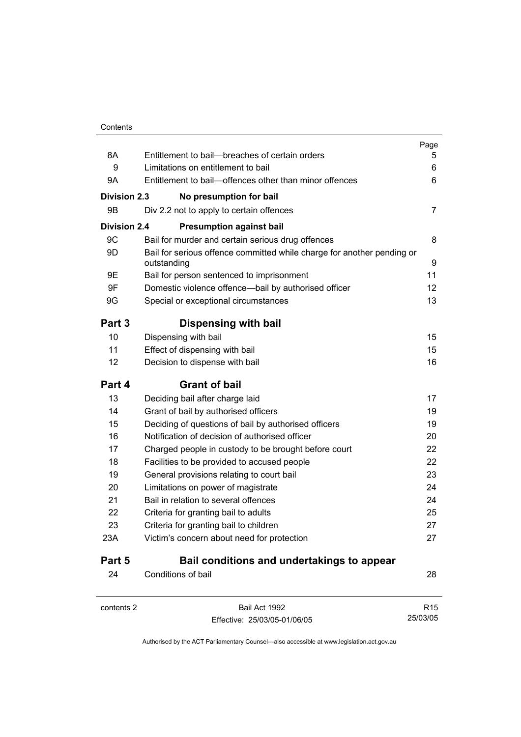|                     |                                                                                       | Page            |
|---------------------|---------------------------------------------------------------------------------------|-----------------|
| 8A                  | Entitlement to bail--breaches of certain orders                                       | 5               |
| 9                   | Limitations on entitlement to bail                                                    | 6               |
| 9Α                  | Entitlement to bail—offences other than minor offences                                | 6               |
| <b>Division 2.3</b> | No presumption for bail                                                               |                 |
| 9Β                  | Div 2.2 not to apply to certain offences                                              | 7               |
| <b>Division 2.4</b> | <b>Presumption against bail</b>                                                       |                 |
| 9C                  | Bail for murder and certain serious drug offences                                     | 8               |
| 9D                  | Bail for serious offence committed while charge for another pending or<br>outstanding | 9               |
| 9E                  | Bail for person sentenced to imprisonment                                             | 11              |
| 9F                  | Domestic violence offence-bail by authorised officer                                  | 12              |
| 9G                  | Special or exceptional circumstances                                                  | 13              |
| Part 3              | Dispensing with bail                                                                  |                 |
| 10                  | Dispensing with bail                                                                  | 15              |
| 11                  | Effect of dispensing with bail                                                        | 15              |
| 12                  | Decision to dispense with bail                                                        | 16              |
| Part 4              | <b>Grant of bail</b>                                                                  |                 |
| 13                  | Deciding bail after charge laid                                                       | 17              |
| 14                  | Grant of bail by authorised officers                                                  | 19              |
| 15                  | Deciding of questions of bail by authorised officers                                  | 19              |
| 16                  | Notification of decision of authorised officer                                        | 20              |
| 17                  | Charged people in custody to be brought before court                                  | 22              |
| 18                  | Facilities to be provided to accused people                                           | 22              |
| 19                  | General provisions relating to court bail                                             | 23              |
| 20                  | Limitations on power of magistrate                                                    | 24              |
| 21                  | Bail in relation to several offences                                                  | 24              |
| 22                  | Criteria for granting bail to adults                                                  | 25              |
| 23                  | Criteria for granting bail to children                                                | 27              |
| 23A                 | Victim's concern about need for protection                                            | 27              |
| Part 5              | Bail conditions and undertakings to appear                                            |                 |
| 24                  | Conditions of bail                                                                    | 28              |
| contents 2          | Bail Act 1992                                                                         | R <sub>15</sub> |

Effective: 25/03/05-01/06/05

25/03/05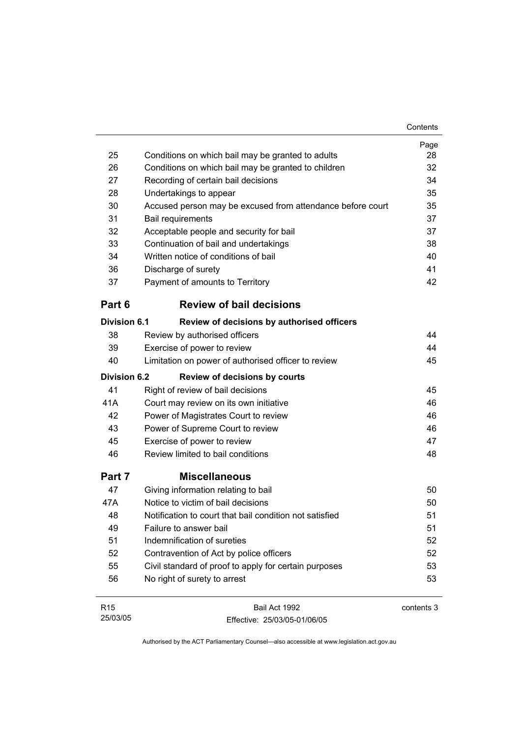|                     |                                                            | Contents   |
|---------------------|------------------------------------------------------------|------------|
|                     |                                                            | Page       |
| 25                  | Conditions on which bail may be granted to adults          | 28         |
| 26                  | Conditions on which bail may be granted to children        | 32         |
| 27                  | Recording of certain bail decisions                        | 34         |
| 28                  | Undertakings to appear                                     | 35         |
| 30                  | Accused person may be excused from attendance before court | 35         |
| 31                  | <b>Bail requirements</b>                                   | 37         |
| 32                  | Acceptable people and security for bail                    | 37         |
| 33                  | Continuation of bail and undertakings                      | 38         |
| 34                  | Written notice of conditions of bail                       | 40         |
| 36                  | Discharge of surety                                        | 41         |
| 37                  | Payment of amounts to Territory                            | 42         |
| Part 6              | <b>Review of bail decisions</b>                            |            |
| <b>Division 6.1</b> | Review of decisions by authorised officers                 |            |
| 38                  | Review by authorised officers                              | 44         |
| 39                  | Exercise of power to review                                | 44         |
| 40                  | Limitation on power of authorised officer to review        | 45         |
| <b>Division 6.2</b> | <b>Review of decisions by courts</b>                       |            |
| 41                  | Right of review of bail decisions                          | 45         |
| 41A                 | Court may review on its own initiative                     | 46         |
| 42                  | Power of Magistrates Court to review                       | 46         |
| 43                  | Power of Supreme Court to review                           | 46         |
| 45                  | Exercise of power to review                                | 47         |
| 46                  | Review limited to bail conditions                          | 48         |
| Part 7              | <b>Miscellaneous</b>                                       |            |
| 47                  | Giving information relating to bail                        | 50         |
| 47A                 | Notice to victim of bail decisions                         | 50         |
| 48                  | Notification to court that bail condition not satisfied    | 51         |
| 49                  | Failure to answer bail                                     | 51         |
| 51                  | Indemnification of sureties                                | 52         |
| 52                  | Contravention of Act by police officers                    | 52         |
| 55                  | Civil standard of proof to apply for certain purposes      | 53         |
| 56                  | No right of surety to arrest                               | 53         |
| R <sub>15</sub>     | Bail Act 1992                                              | contents 3 |

Authorised by the ACT Parliamentary Counsel—also accessible at www.legislation.act.gov.au

Effective: 25/03/05-01/06/05

25/03/05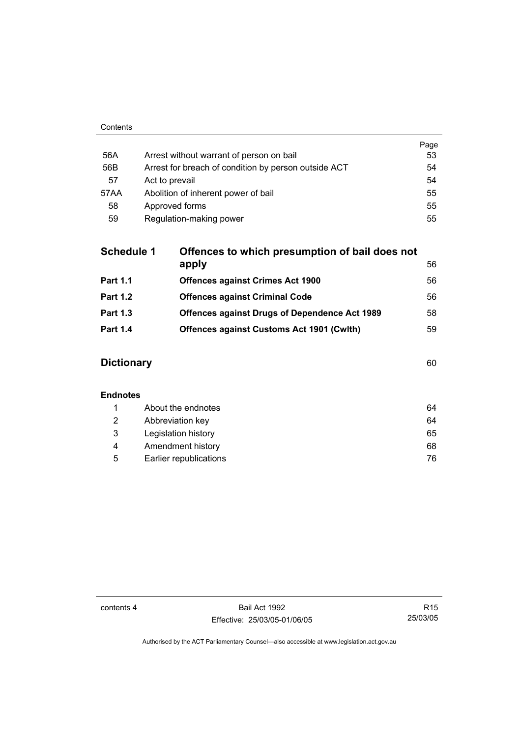|      |                                                      | Page |
|------|------------------------------------------------------|------|
| 56A  | Arrest without warrant of person on bail             | 53   |
| 56B  | Arrest for breach of condition by person outside ACT | 54   |
| 57   | Act to prevail                                       | 54   |
| 57AA | Abolition of inherent power of bail                  | 55   |
| 58   | Approved forms                                       | 55   |
| 59   | Regulation-making power                              | 55   |

| <b>Schedule 1</b> | Offences to which presumption of bail does not       |    |
|-------------------|------------------------------------------------------|----|
|                   | apply                                                | 56 |
| <b>Part 1.1</b>   | <b>Offences against Crimes Act 1900</b>              | 56 |
| <b>Part 1.2</b>   | <b>Offences against Criminal Code</b>                | 56 |
| <b>Part 1.3</b>   | <b>Offences against Drugs of Dependence Act 1989</b> | 58 |
| <b>Part 1.4</b>   | <b>Offences against Customs Act 1901 (Cwith)</b>     | 59 |
|                   |                                                      |    |

# **Dictionary** 60

### **Endnotes**

|   | About the endnotes     | 64 |
|---|------------------------|----|
| 2 | Abbreviation key       | 64 |
| 3 | Legislation history    | 65 |
| 4 | Amendment history      | 68 |
| 5 | Earlier republications | 76 |

contents 4 Bail Act 1992 Effective: 25/03/05-01/06/05

R15 25/03/05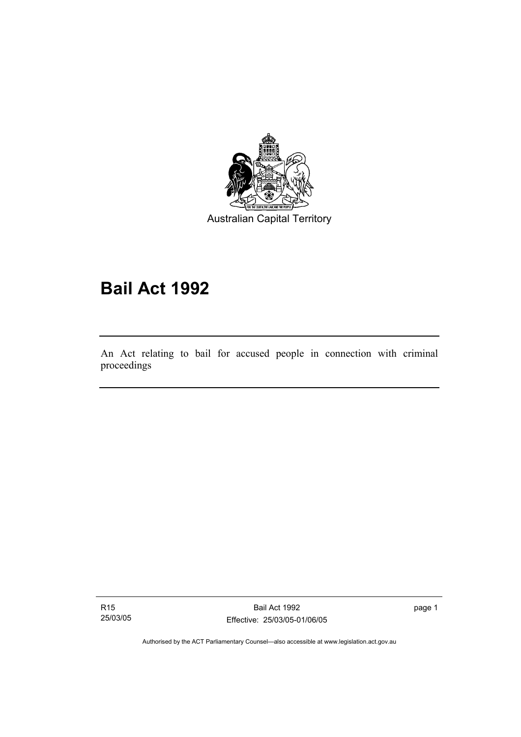

Australian Capital Territory

# **Bail Act 1992**

An Act relating to bail for accused people in connection with criminal proceedings

R15 25/03/05

I

Bail Act 1992 Effective: 25/03/05-01/06/05 page 1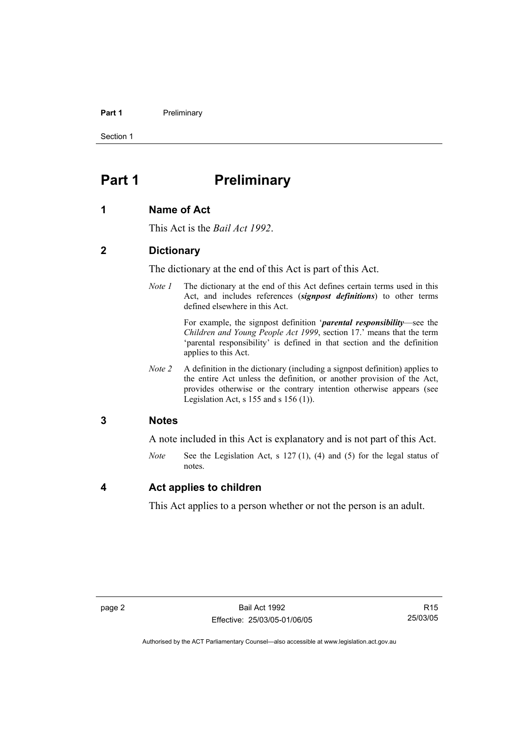#### **Part 1** Preliminary

Section 1

# **Part 1** Preliminary

#### **1 Name of Act**

This Act is the *Bail Act 1992*.

### **2 Dictionary**

The dictionary at the end of this Act is part of this Act.

*Note 1* The dictionary at the end of this Act defines certain terms used in this Act, and includes references (*signpost definitions*) to other terms defined elsewhere in this Act.

> For example, the signpost definition '*parental responsibility*—see the *Children and Young People Act 1999*, section 17.' means that the term 'parental responsibility' is defined in that section and the definition applies to this Act.

*Note 2* A definition in the dictionary (including a signpost definition) applies to the entire Act unless the definition, or another provision of the Act, provides otherwise or the contrary intention otherwise appears (see Legislation Act, s  $155$  and s  $156$  (1)).

### **3 Notes**

A note included in this Act is explanatory and is not part of this Act.

*Note* See the Legislation Act, s 127 (1), (4) and (5) for the legal status of notes.

### **4 Act applies to children**

This Act applies to a person whether or not the person is an adult.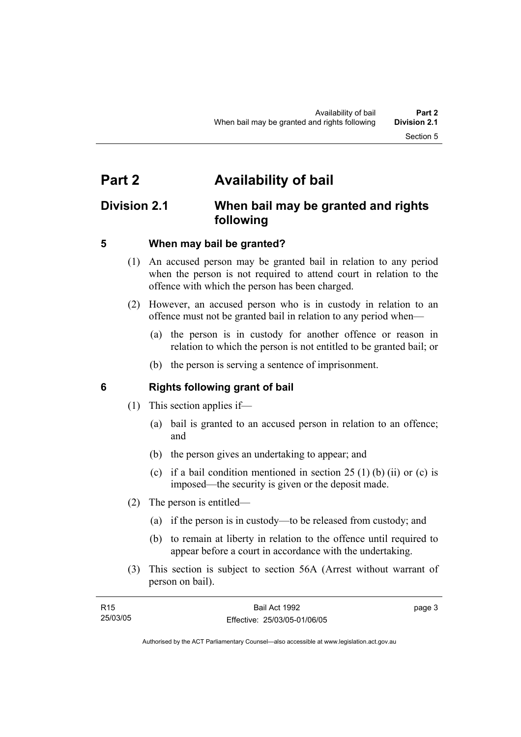# **Part 2 Availability of bail**

# **Division 2.1 When bail may be granted and rights following**

# **5 When may bail be granted?**

- (1) An accused person may be granted bail in relation to any period when the person is not required to attend court in relation to the offence with which the person has been charged.
- (2) However, an accused person who is in custody in relation to an offence must not be granted bail in relation to any period when—
	- (a) the person is in custody for another offence or reason in relation to which the person is not entitled to be granted bail; or
	- (b) the person is serving a sentence of imprisonment.

# **6 Rights following grant of bail**

- (1) This section applies if—
	- (a) bail is granted to an accused person in relation to an offence; and
	- (b) the person gives an undertaking to appear; and
	- (c) if a bail condition mentioned in section  $25(1)$  (b) (ii) or (c) is imposed—the security is given or the deposit made.
- (2) The person is entitled—
	- (a) if the person is in custody—to be released from custody; and
	- (b) to remain at liberty in relation to the offence until required to appear before a court in accordance with the undertaking.
- (3) This section is subject to section 56A (Arrest without warrant of person on bail).

| R <sub>15</sub> | Bail Act 1992                | page 3 |
|-----------------|------------------------------|--------|
| 25/03/05        | Effective: 25/03/05-01/06/05 |        |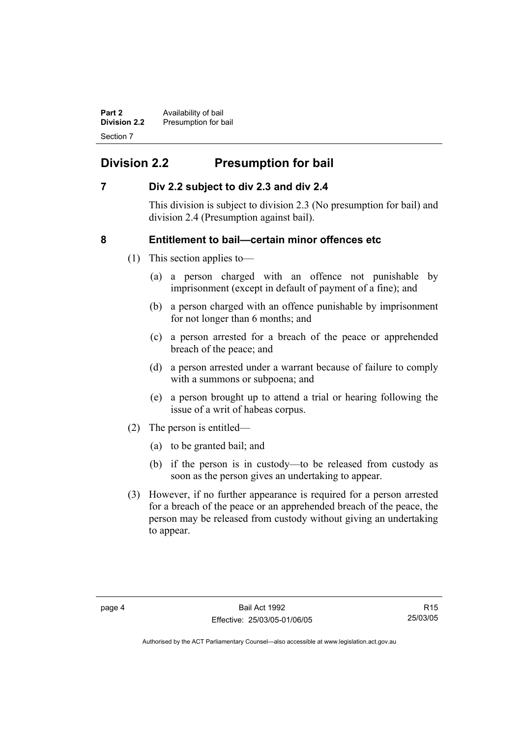**Part 2 Availability of bail Division 2.2** Presumption for bail Section 7

# **Division 2.2 Presumption for bail**

# **7 Div 2.2 subject to div 2.3 and div 2.4**

This division is subject to division 2.3 (No presumption for bail) and division 2.4 (Presumption against bail).

# **8 Entitlement to bail—certain minor offences etc**

- (1) This section applies to—
	- (a) a person charged with an offence not punishable by imprisonment (except in default of payment of a fine); and
	- (b) a person charged with an offence punishable by imprisonment for not longer than 6 months; and
	- (c) a person arrested for a breach of the peace or apprehended breach of the peace; and
	- (d) a person arrested under a warrant because of failure to comply with a summons or subpoena; and
	- (e) a person brought up to attend a trial or hearing following the issue of a writ of habeas corpus.
- (2) The person is entitled—
	- (a) to be granted bail; and
	- (b) if the person is in custody—to be released from custody as soon as the person gives an undertaking to appear.
- (3) However, if no further appearance is required for a person arrested for a breach of the peace or an apprehended breach of the peace, the person may be released from custody without giving an undertaking to appear.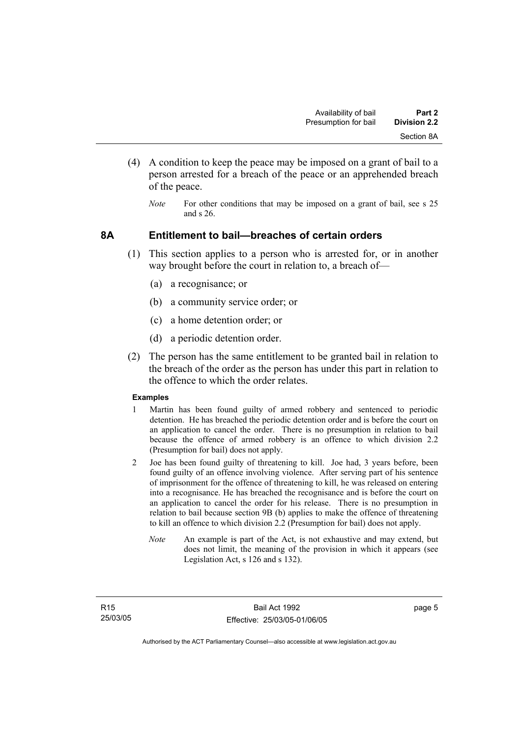- (4) A condition to keep the peace may be imposed on a grant of bail to a person arrested for a breach of the peace or an apprehended breach of the peace.
	- *Note* For other conditions that may be imposed on a grant of bail, see s 25 and s 26.

### **8A Entitlement to bail—breaches of certain orders**

- (1) This section applies to a person who is arrested for, or in another way brought before the court in relation to, a breach of—
	- (a) a recognisance; or
	- (b) a community service order; or
	- (c) a home detention order; or
	- (d) a periodic detention order.
- (2) The person has the same entitlement to be granted bail in relation to the breach of the order as the person has under this part in relation to the offence to which the order relates.

#### **Examples**

- 1 Martin has been found guilty of armed robbery and sentenced to periodic detention. He has breached the periodic detention order and is before the court on an application to cancel the order. There is no presumption in relation to bail because the offence of armed robbery is an offence to which division 2.2 (Presumption for bail) does not apply.
- 2 Joe has been found guilty of threatening to kill. Joe had, 3 years before, been found guilty of an offence involving violence. After serving part of his sentence of imprisonment for the offence of threatening to kill, he was released on entering into a recognisance. He has breached the recognisance and is before the court on an application to cancel the order for his release. There is no presumption in relation to bail because section 9B (b) applies to make the offence of threatening to kill an offence to which division 2.2 (Presumption for bail) does not apply.
	- *Note* An example is part of the Act, is not exhaustive and may extend, but does not limit, the meaning of the provision in which it appears (see Legislation Act, s 126 and s 132).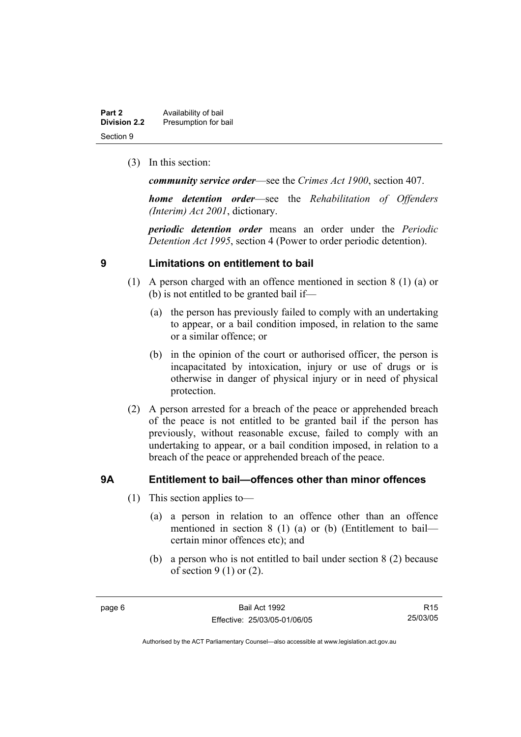| Part 2              | Availability of bail |
|---------------------|----------------------|
| <b>Division 2.2</b> | Presumption for bail |
| Section 9           |                      |

(3) In this section:

*community service order*—see the *Crimes Act 1900*, section 407.

*home detention order*—see the *Rehabilitation of Offenders (Interim) Act 2001*, dictionary.

*periodic detention order* means an order under the *Periodic Detention Act 1995*, section 4 (Power to order periodic detention).

### **9 Limitations on entitlement to bail**

- (1) A person charged with an offence mentioned in section 8 (1) (a) or (b) is not entitled to be granted bail if—
	- (a) the person has previously failed to comply with an undertaking to appear, or a bail condition imposed, in relation to the same or a similar offence; or
	- (b) in the opinion of the court or authorised officer, the person is incapacitated by intoxication, injury or use of drugs or is otherwise in danger of physical injury or in need of physical protection.
- (2) A person arrested for a breach of the peace or apprehended breach of the peace is not entitled to be granted bail if the person has previously, without reasonable excuse, failed to comply with an undertaking to appear, or a bail condition imposed, in relation to a breach of the peace or apprehended breach of the peace.

## **9A Entitlement to bail—offences other than minor offences**

- (1) This section applies to—
	- (a) a person in relation to an offence other than an offence mentioned in section 8 (1) (a) or (b) (Entitlement to bail certain minor offences etc); and
	- (b) a person who is not entitled to bail under section 8 (2) because of section  $9(1)$  or  $(2)$ .

R15 25/03/05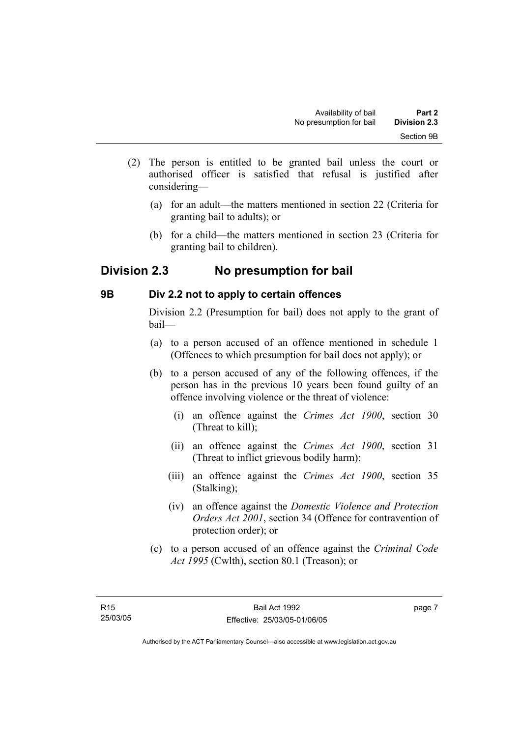- (2) The person is entitled to be granted bail unless the court or authorised officer is satisfied that refusal is justified after considering—
	- (a) for an adult—the matters mentioned in section 22 (Criteria for granting bail to adults); or
	- (b) for a child—the matters mentioned in section 23 (Criteria for granting bail to children).

# **Division 2.3 No presumption for bail**

# **9B Div 2.2 not to apply to certain offences**

Division 2.2 (Presumption for bail) does not apply to the grant of bail—

- (a) to a person accused of an offence mentioned in schedule 1 (Offences to which presumption for bail does not apply); or
- (b) to a person accused of any of the following offences, if the person has in the previous 10 years been found guilty of an offence involving violence or the threat of violence:
	- (i) an offence against the *Crimes Act 1900*, section 30 (Threat to kill);
	- (ii) an offence against the *Crimes Act 1900*, section 31 (Threat to inflict grievous bodily harm);
	- (iii) an offence against the *Crimes Act 1900*, section 35 (Stalking);
	- (iv) an offence against the *Domestic Violence and Protection Orders Act 2001*, section 34 (Offence for contravention of protection order); or
- (c) to a person accused of an offence against the *Criminal Code Act 1995* (Cwlth), section 80.1 (Treason); or

page 7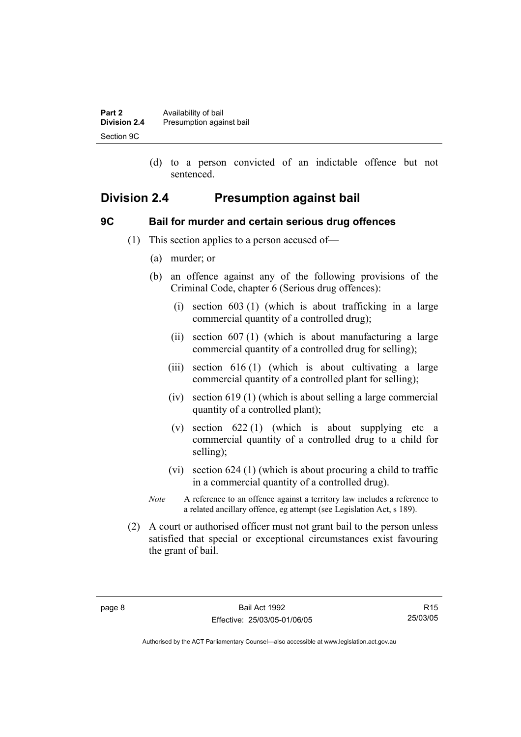| Part 2              | Availability of bail     |
|---------------------|--------------------------|
| <b>Division 2.4</b> | Presumption against bail |
| Section 9C          |                          |

 (d) to a person convicted of an indictable offence but not sentenced.

# **Division 2.4 Presumption against bail**

## **9C Bail for murder and certain serious drug offences**

- (1) This section applies to a person accused of—
	- (a) murder; or
	- (b) an offence against any of the following provisions of the Criminal Code, chapter 6 (Serious drug offences):
		- (i) section 603 (1) (which is about trafficking in a large commercial quantity of a controlled drug);
		- (ii) section 607 (1) (which is about manufacturing a large commercial quantity of a controlled drug for selling);
		- (iii) section 616 (1) (which is about cultivating a large commercial quantity of a controlled plant for selling);
		- (iv) section 619 (1) (which is about selling a large commercial quantity of a controlled plant);
		- (v) section  $622(1)$  (which is about supplying etc a commercial quantity of a controlled drug to a child for selling);
		- (vi) section 624 (1) (which is about procuring a child to traffic in a commercial quantity of a controlled drug).
	- *Note* A reference to an offence against a territory law includes a reference to a related ancillary offence, eg attempt (see Legislation Act, s 189).
- (2) A court or authorised officer must not grant bail to the person unless satisfied that special or exceptional circumstances exist favouring the grant of bail.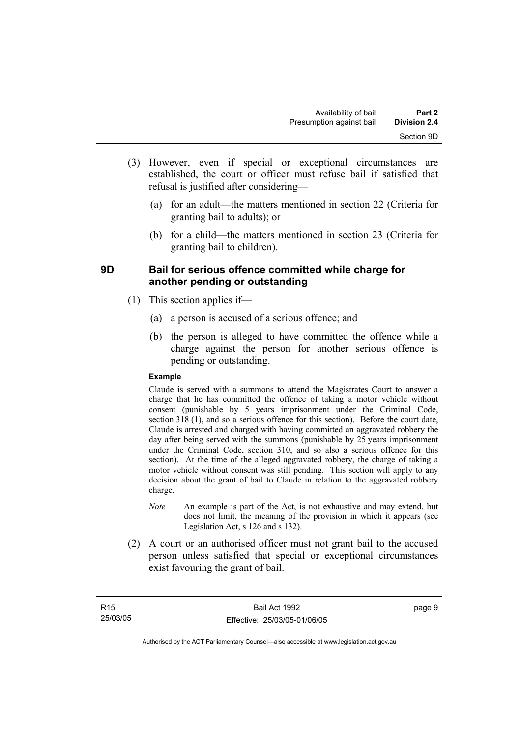- (3) However, even if special or exceptional circumstances are established, the court or officer must refuse bail if satisfied that refusal is justified after considering—
	- (a) for an adult—the matters mentioned in section 22 (Criteria for granting bail to adults); or
	- (b) for a child—the matters mentioned in section 23 (Criteria for granting bail to children).

## **9D Bail for serious offence committed while charge for another pending or outstanding**

- (1) This section applies if—
	- (a) a person is accused of a serious offence; and
	- (b) the person is alleged to have committed the offence while a charge against the person for another serious offence is pending or outstanding.

#### **Example**

Claude is served with a summons to attend the Magistrates Court to answer a charge that he has committed the offence of taking a motor vehicle without consent (punishable by 5 years imprisonment under the Criminal Code, section 318 (1), and so a serious offence for this section). Before the court date, Claude is arrested and charged with having committed an aggravated robbery the day after being served with the summons (punishable by 25 years imprisonment under the Criminal Code, section 310, and so also a serious offence for this section). At the time of the alleged aggravated robbery, the charge of taking a motor vehicle without consent was still pending. This section will apply to any decision about the grant of bail to Claude in relation to the aggravated robbery charge.

- *Note* An example is part of the Act, is not exhaustive and may extend, but does not limit, the meaning of the provision in which it appears (see Legislation Act, s 126 and s 132).
- (2) A court or an authorised officer must not grant bail to the accused person unless satisfied that special or exceptional circumstances exist favouring the grant of bail.

page 9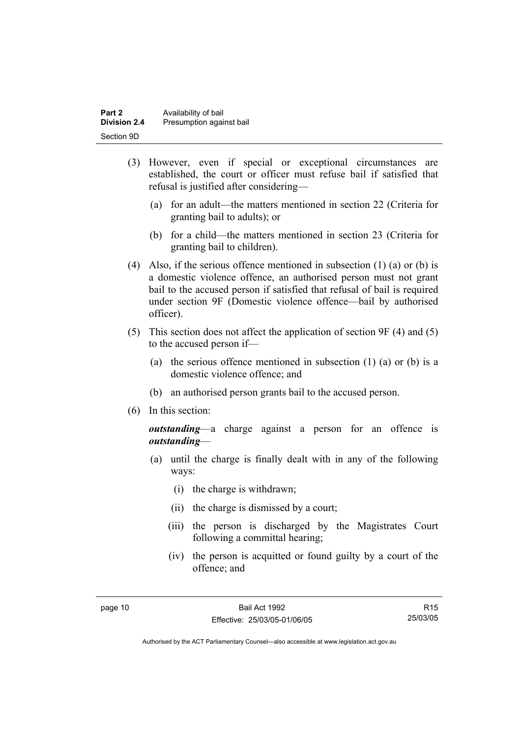| Part 2              | Availability of bail     |
|---------------------|--------------------------|
| <b>Division 2.4</b> | Presumption against bail |
| Section 9D          |                          |

- (3) However, even if special or exceptional circumstances are established, the court or officer must refuse bail if satisfied that refusal is justified after considering—
	- (a) for an adult—the matters mentioned in section 22 (Criteria for granting bail to adults); or
	- (b) for a child—the matters mentioned in section 23 (Criteria for granting bail to children).
- (4) Also, if the serious offence mentioned in subsection (1) (a) or (b) is a domestic violence offence, an authorised person must not grant bail to the accused person if satisfied that refusal of bail is required under section 9F (Domestic violence offence—bail by authorised officer).
- (5) This section does not affect the application of section 9F (4) and (5) to the accused person if—
	- (a) the serious offence mentioned in subsection (1) (a) or (b) is a domestic violence offence; and
	- (b) an authorised person grants bail to the accused person.
- (6) In this section:

*outstanding*—a charge against a person for an offence is *outstanding*—

- (a) until the charge is finally dealt with in any of the following ways:
	- (i) the charge is withdrawn;
	- (ii) the charge is dismissed by a court;
	- (iii) the person is discharged by the Magistrates Court following a committal hearing;
	- (iv) the person is acquitted or found guilty by a court of the offence; and

R15 25/03/05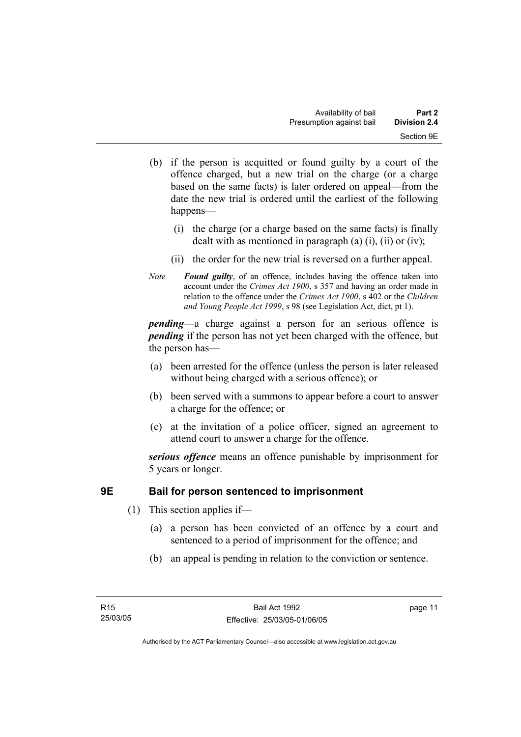- (b) if the person is acquitted or found guilty by a court of the offence charged, but a new trial on the charge (or a charge based on the same facts) is later ordered on appeal—from the date the new trial is ordered until the earliest of the following happens—
	- (i) the charge (or a charge based on the same facts) is finally dealt with as mentioned in paragraph (a)  $(i)$ ,  $(ii)$  or  $(iv)$ ;
	- (ii) the order for the new trial is reversed on a further appeal.
- *Note Found guilty*, of an offence, includes having the offence taken into account under the *Crimes Act 1900*, s 357 and having an order made in relation to the offence under the *Crimes Act 1900*, s 402 or the *Children and Young People Act 1999*, s 98 (see Legislation Act, dict, pt 1).

*pending*—a charge against a person for an serious offence is *pending* if the person has not yet been charged with the offence, but the person has—

- (a) been arrested for the offence (unless the person is later released without being charged with a serious offence); or
- (b) been served with a summons to appear before a court to answer a charge for the offence; or
- (c) at the invitation of a police officer, signed an agreement to attend court to answer a charge for the offence.

*serious offence* means an offence punishable by imprisonment for 5 years or longer.

# **9E Bail for person sentenced to imprisonment**

- (1) This section applies if—
	- (a) a person has been convicted of an offence by a court and sentenced to a period of imprisonment for the offence; and
	- (b) an appeal is pending in relation to the conviction or sentence.

page 11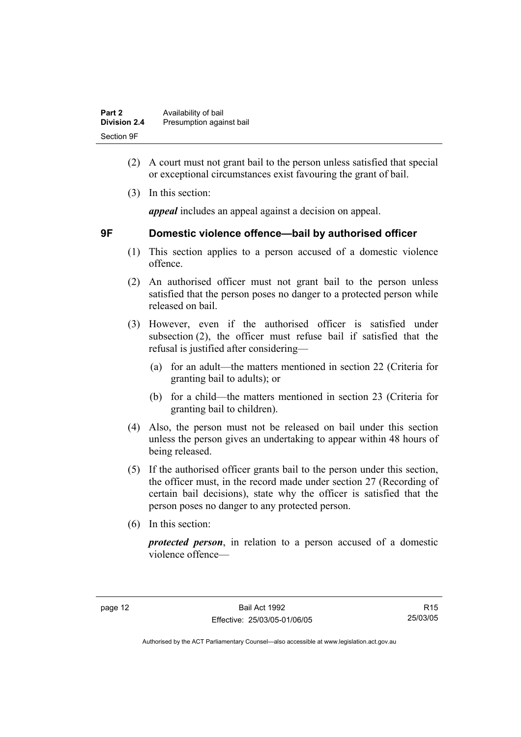| Part 2              | Availability of bail     |
|---------------------|--------------------------|
| <b>Division 2.4</b> | Presumption against bail |
| Section 9F          |                          |

- (2) A court must not grant bail to the person unless satisfied that special or exceptional circumstances exist favouring the grant of bail.
- (3) In this section:

*appeal* includes an appeal against a decision on appeal.

# **9F Domestic violence offence—bail by authorised officer**

- (1) This section applies to a person accused of a domestic violence offence.
- (2) An authorised officer must not grant bail to the person unless satisfied that the person poses no danger to a protected person while released on bail.
- (3) However, even if the authorised officer is satisfied under subsection (2), the officer must refuse bail if satisfied that the refusal is justified after considering—
	- (a) for an adult—the matters mentioned in section 22 (Criteria for granting bail to adults); or
	- (b) for a child—the matters mentioned in section 23 (Criteria for granting bail to children).
- (4) Also, the person must not be released on bail under this section unless the person gives an undertaking to appear within 48 hours of being released.
- (5) If the authorised officer grants bail to the person under this section, the officer must, in the record made under section 27 (Recording of certain bail decisions), state why the officer is satisfied that the person poses no danger to any protected person.
- (6) In this section:

*protected person*, in relation to a person accused of a domestic violence offence—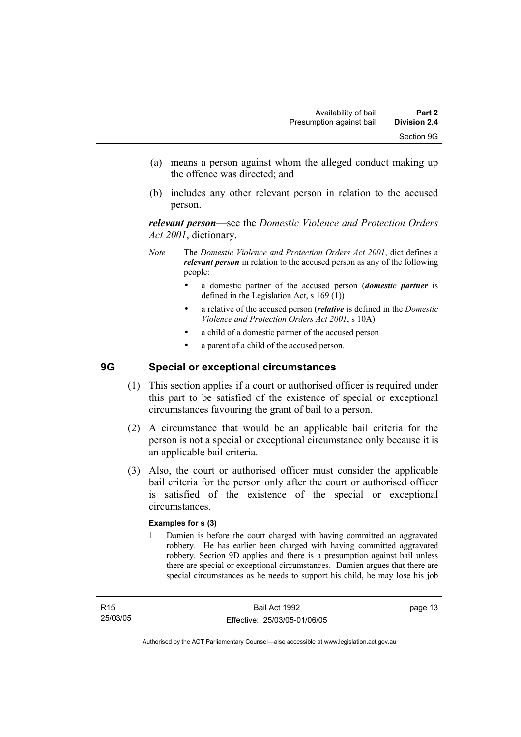- (a) means a person against whom the alleged conduct making up the offence was directed; and
- (b) includes any other relevant person in relation to the accused person.

*relevant person*—see the *Domestic Violence and Protection Orders Act 2001*, dictionary.

- *Note* The *Domestic Violence and Protection Orders Act 2001*, dict defines a *relevant person* in relation to the accused person as any of the following people:
	- a domestic partner of the accused person (*domestic partner* is defined in the Legislation Act, s 169 (1))
	- a relative of the accused person (*relative* is defined in the *Domestic Violence and Protection Orders Act 2001*, s 10A)
	- a child of a domestic partner of the accused person
	- a parent of a child of the accused person.

## **9G Special or exceptional circumstances**

- (1) This section applies if a court or authorised officer is required under this part to be satisfied of the existence of special or exceptional circumstances favouring the grant of bail to a person.
- (2) A circumstance that would be an applicable bail criteria for the person is not a special or exceptional circumstance only because it is an applicable bail criteria.
- (3) Also, the court or authorised officer must consider the applicable bail criteria for the person only after the court or authorised officer is satisfied of the existence of the special or exceptional circumstances.

#### **Examples for s (3)**

1 Damien is before the court charged with having committed an aggravated robbery. He has earlier been charged with having committed aggravated robbery. Section 9D applies and there is a presumption against bail unless there are special or exceptional circumstances. Damien argues that there are special circumstances as he needs to support his child, he may lose his job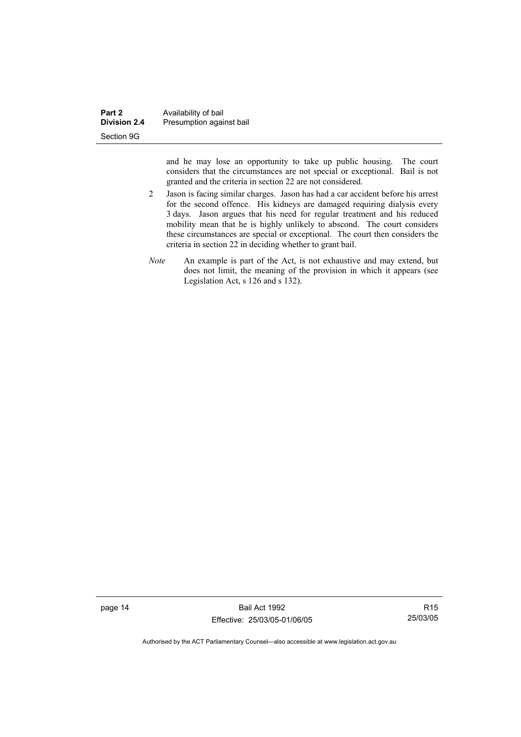| Part 2              | Availability of bail     |
|---------------------|--------------------------|
| <b>Division 2.4</b> | Presumption against bail |
| Section 9G          |                          |

and he may lose an opportunity to take up public housing. The court considers that the circumstances are not special or exceptional. Bail is not granted and the criteria in section 22 are not considered.

- 2 Jason is facing similar charges. Jason has had a car accident before his arrest for the second offence. His kidneys are damaged requiring dialysis every 3 days. Jason argues that his need for regular treatment and his reduced mobility mean that he is highly unlikely to abscond. The court considers these circumstances are special or exceptional. The court then considers the criteria in section 22 in deciding whether to grant bail.
- *Note* An example is part of the Act, is not exhaustive and may extend, but does not limit, the meaning of the provision in which it appears (see Legislation Act, s 126 and s 132).

page 14 Bail Act 1992 Effective: 25/03/05-01/06/05

R15 25/03/05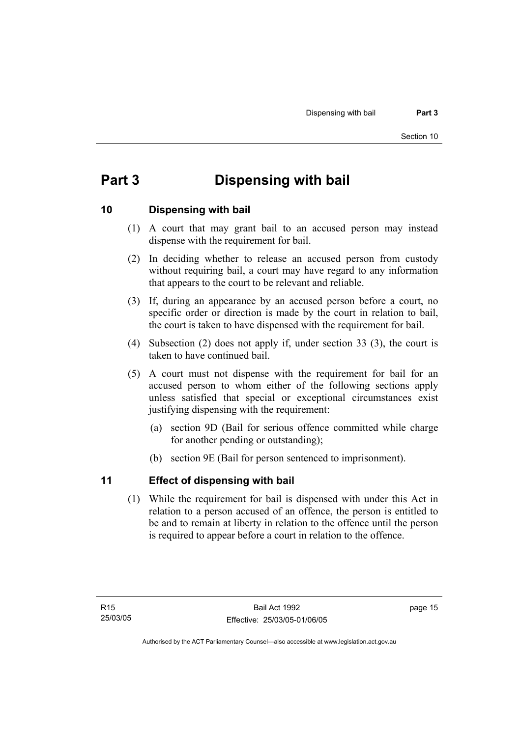# **Part 3 Dispensing with bail**

## **10 Dispensing with bail**

- (1) A court that may grant bail to an accused person may instead dispense with the requirement for bail.
- (2) In deciding whether to release an accused person from custody without requiring bail, a court may have regard to any information that appears to the court to be relevant and reliable.
- (3) If, during an appearance by an accused person before a court, no specific order or direction is made by the court in relation to bail, the court is taken to have dispensed with the requirement for bail.
- (4) Subsection (2) does not apply if, under section 33 (3), the court is taken to have continued bail.
- (5) A court must not dispense with the requirement for bail for an accused person to whom either of the following sections apply unless satisfied that special or exceptional circumstances exist justifying dispensing with the requirement:
	- (a) section 9D (Bail for serious offence committed while charge for another pending or outstanding);
	- (b) section 9E (Bail for person sentenced to imprisonment).

## **11 Effect of dispensing with bail**

 (1) While the requirement for bail is dispensed with under this Act in relation to a person accused of an offence, the person is entitled to be and to remain at liberty in relation to the offence until the person is required to appear before a court in relation to the offence.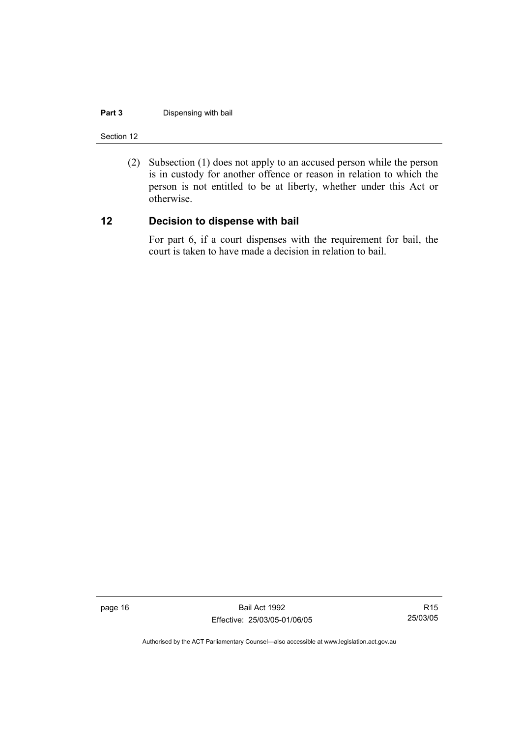#### **Part 3** Dispensing with bail

Section 12

 (2) Subsection (1) does not apply to an accused person while the person is in custody for another offence or reason in relation to which the person is not entitled to be at liberty, whether under this Act or otherwise.

# **12 Decision to dispense with bail**

For part 6, if a court dispenses with the requirement for bail, the court is taken to have made a decision in relation to bail.

page 16 Bail Act 1992 Effective: 25/03/05-01/06/05

R15 25/03/05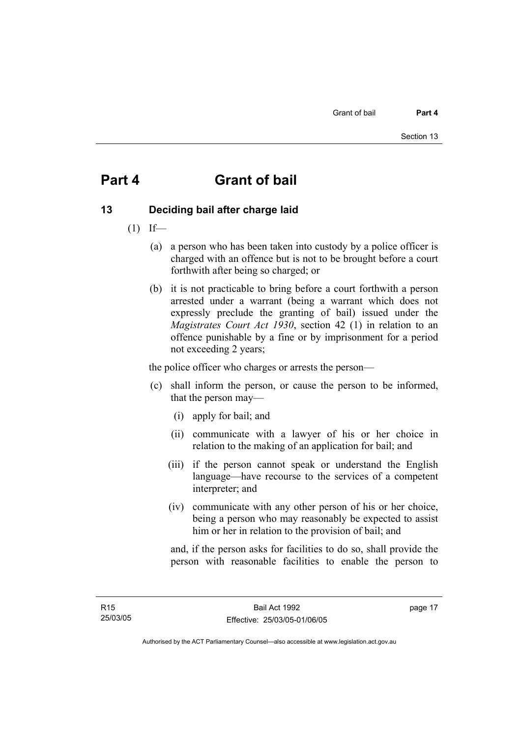# **Part 4 Grant of bail**

# **13 Deciding bail after charge laid**

- $(1)$  If—
	- (a) a person who has been taken into custody by a police officer is charged with an offence but is not to be brought before a court forthwith after being so charged; or
	- (b) it is not practicable to bring before a court forthwith a person arrested under a warrant (being a warrant which does not expressly preclude the granting of bail) issued under the *Magistrates Court Act 1930*, section 42 (1) in relation to an offence punishable by a fine or by imprisonment for a period not exceeding 2 years;

the police officer who charges or arrests the person—

- (c) shall inform the person, or cause the person to be informed, that the person may—
	- (i) apply for bail; and
	- (ii) communicate with a lawyer of his or her choice in relation to the making of an application for bail; and
	- (iii) if the person cannot speak or understand the English language—have recourse to the services of a competent interpreter; and
	- (iv) communicate with any other person of his or her choice, being a person who may reasonably be expected to assist him or her in relation to the provision of bail; and

and, if the person asks for facilities to do so, shall provide the person with reasonable facilities to enable the person to

page 17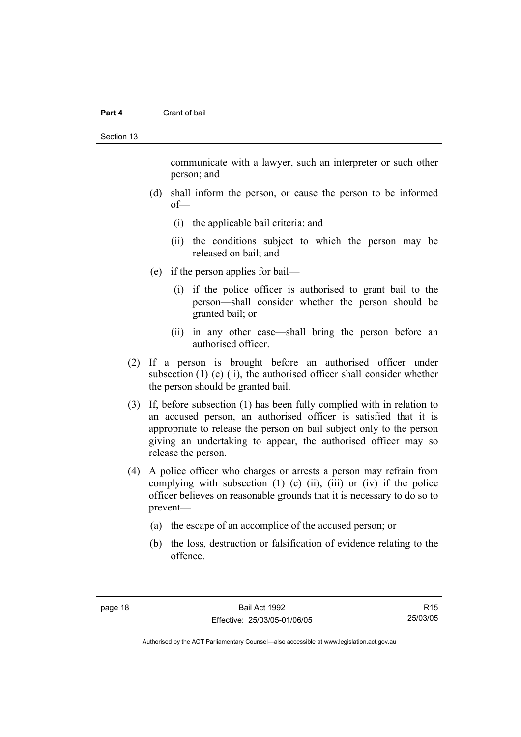#### **Part 4** Grant of bail

Section 13

communicate with a lawyer, such an interpreter or such other person; and

- (d) shall inform the person, or cause the person to be informed of—
	- (i) the applicable bail criteria; and
	- (ii) the conditions subject to which the person may be released on bail; and
- (e) if the person applies for bail—
	- (i) if the police officer is authorised to grant bail to the person—shall consider whether the person should be granted bail; or
	- (ii) in any other case—shall bring the person before an authorised officer.
- (2) If a person is brought before an authorised officer under subsection  $(1)$  (e)  $(ii)$ , the authorised officer shall consider whether the person should be granted bail.
- (3) If, before subsection (1) has been fully complied with in relation to an accused person, an authorised officer is satisfied that it is appropriate to release the person on bail subject only to the person giving an undertaking to appear, the authorised officer may so release the person.
- (4) A police officer who charges or arrests a person may refrain from complying with subsection  $(1)$   $(c)$   $(ii)$ ,  $(iii)$  or  $(iv)$  if the police officer believes on reasonable grounds that it is necessary to do so to prevent—
	- (a) the escape of an accomplice of the accused person; or
	- (b) the loss, destruction or falsification of evidence relating to the offence.

Authorised by the ACT Parliamentary Counsel—also accessible at www.legislation.act.gov.au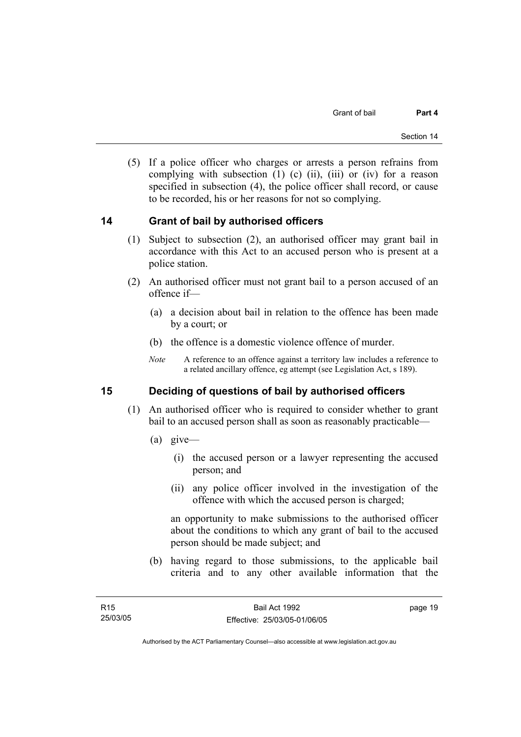(5) If a police officer who charges or arrests a person refrains from complying with subsection  $(1)$   $(c)$   $(ii)$ ,  $(iii)$  or  $(iv)$  for a reason specified in subsection (4), the police officer shall record, or cause to be recorded, his or her reasons for not so complying.

## **14 Grant of bail by authorised officers**

- (1) Subject to subsection (2), an authorised officer may grant bail in accordance with this Act to an accused person who is present at a police station.
- (2) An authorised officer must not grant bail to a person accused of an offence if—
	- (a) a decision about bail in relation to the offence has been made by a court; or
	- (b) the offence is a domestic violence offence of murder.
	- *Note* A reference to an offence against a territory law includes a reference to a related ancillary offence, eg attempt (see Legislation Act, s 189).

## **15 Deciding of questions of bail by authorised officers**

- (1) An authorised officer who is required to consider whether to grant bail to an accused person shall as soon as reasonably practicable—
	- (a) give—
		- (i) the accused person or a lawyer representing the accused person; and
		- (ii) any police officer involved in the investigation of the offence with which the accused person is charged;

an opportunity to make submissions to the authorised officer about the conditions to which any grant of bail to the accused person should be made subject; and

 (b) having regard to those submissions, to the applicable bail criteria and to any other available information that the

page 19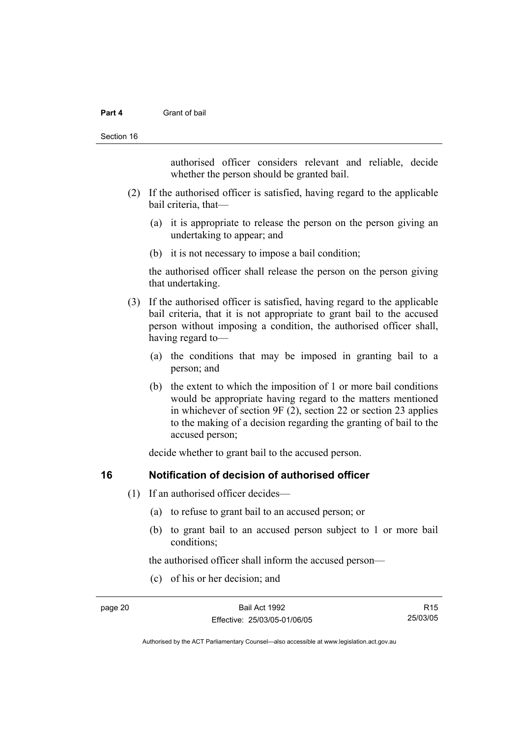#### **Part 4** Grant of bail

#### Section 16

authorised officer considers relevant and reliable, decide whether the person should be granted bail.

- (2) If the authorised officer is satisfied, having regard to the applicable bail criteria, that—
	- (a) it is appropriate to release the person on the person giving an undertaking to appear; and
	- (b) it is not necessary to impose a bail condition;

the authorised officer shall release the person on the person giving that undertaking.

- (3) If the authorised officer is satisfied, having regard to the applicable bail criteria, that it is not appropriate to grant bail to the accused person without imposing a condition, the authorised officer shall, having regard to—
	- (a) the conditions that may be imposed in granting bail to a person; and
	- (b) the extent to which the imposition of 1 or more bail conditions would be appropriate having regard to the matters mentioned in whichever of section 9F (2), section 22 or section 23 applies to the making of a decision regarding the granting of bail to the accused person;

decide whether to grant bail to the accused person.

### **16 Notification of decision of authorised officer**

- (1) If an authorised officer decides—
	- (a) to refuse to grant bail to an accused person; or
	- (b) to grant bail to an accused person subject to 1 or more bail conditions;

the authorised officer shall inform the accused person—

(c) of his or her decision; and

R15 25/03/05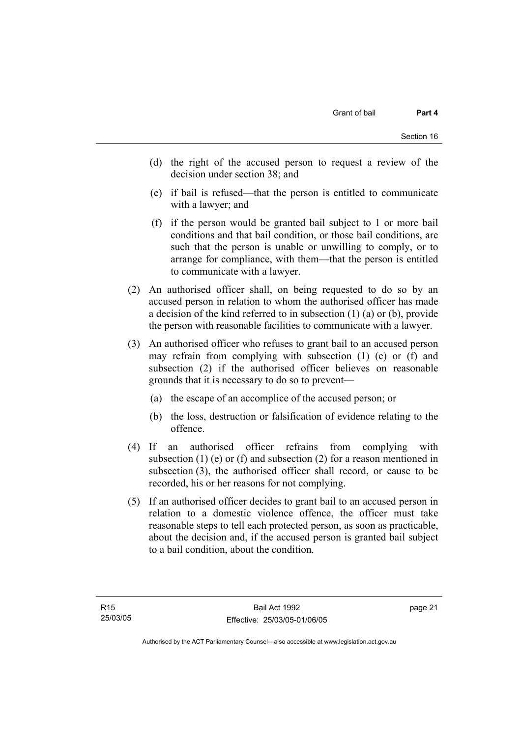- (d) the right of the accused person to request a review of the decision under section 38; and
- (e) if bail is refused—that the person is entitled to communicate with a lawyer; and
- (f) if the person would be granted bail subject to 1 or more bail conditions and that bail condition, or those bail conditions, are such that the person is unable or unwilling to comply, or to arrange for compliance, with them—that the person is entitled to communicate with a lawyer.
- (2) An authorised officer shall, on being requested to do so by an accused person in relation to whom the authorised officer has made a decision of the kind referred to in subsection (1) (a) or (b), provide the person with reasonable facilities to communicate with a lawyer.
- (3) An authorised officer who refuses to grant bail to an accused person may refrain from complying with subsection (1) (e) or (f) and subsection (2) if the authorised officer believes on reasonable grounds that it is necessary to do so to prevent—
	- (a) the escape of an accomplice of the accused person; or
	- (b) the loss, destruction or falsification of evidence relating to the offence.
- (4) If an authorised officer refrains from complying with subsection (1) (e) or (f) and subsection (2) for a reason mentioned in subsection (3), the authorised officer shall record, or cause to be recorded, his or her reasons for not complying.
- (5) If an authorised officer decides to grant bail to an accused person in relation to a domestic violence offence, the officer must take reasonable steps to tell each protected person, as soon as practicable, about the decision and, if the accused person is granted bail subject to a bail condition, about the condition.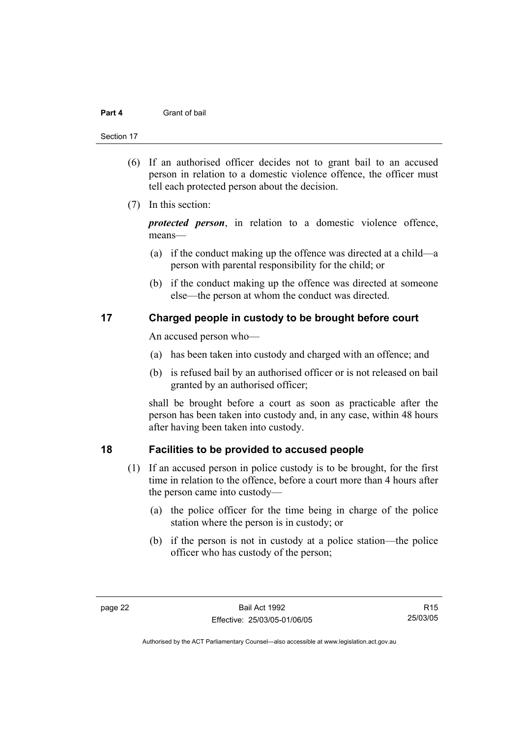#### Section 17

- (6) If an authorised officer decides not to grant bail to an accused person in relation to a domestic violence offence, the officer must tell each protected person about the decision.
- (7) In this section:

*protected person*, in relation to a domestic violence offence, means—

- (a) if the conduct making up the offence was directed at a child—a person with parental responsibility for the child; or
- (b) if the conduct making up the offence was directed at someone else—the person at whom the conduct was directed.

### **17 Charged people in custody to be brought before court**

An accused person who—

- (a) has been taken into custody and charged with an offence; and
- (b) is refused bail by an authorised officer or is not released on bail granted by an authorised officer;

shall be brought before a court as soon as practicable after the person has been taken into custody and, in any case, within 48 hours after having been taken into custody.

### **18 Facilities to be provided to accused people**

- (1) If an accused person in police custody is to be brought, for the first time in relation to the offence, before a court more than 4 hours after the person came into custody—
	- (a) the police officer for the time being in charge of the police station where the person is in custody; or
	- (b) if the person is not in custody at a police station—the police officer who has custody of the person;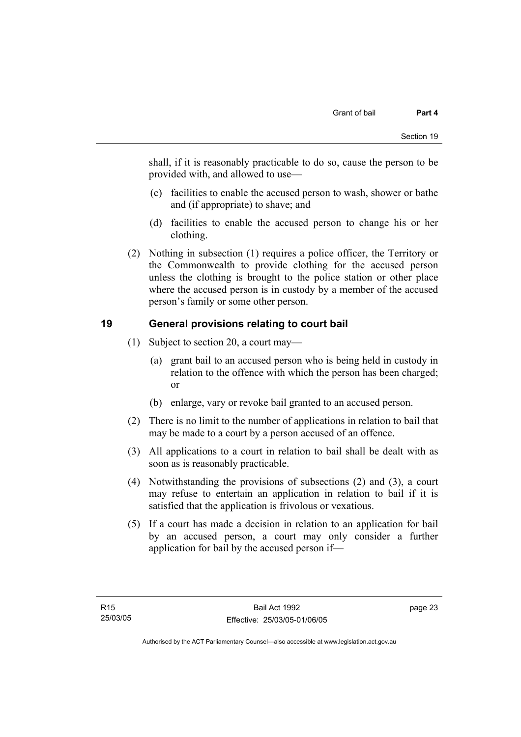shall, if it is reasonably practicable to do so, cause the person to be provided with, and allowed to use—

- (c) facilities to enable the accused person to wash, shower or bathe and (if appropriate) to shave; and
- (d) facilities to enable the accused person to change his or her clothing.
- (2) Nothing in subsection (1) requires a police officer, the Territory or the Commonwealth to provide clothing for the accused person unless the clothing is brought to the police station or other place where the accused person is in custody by a member of the accused person's family or some other person.

# **19 General provisions relating to court bail**

- (1) Subject to section 20, a court may—
	- (a) grant bail to an accused person who is being held in custody in relation to the offence with which the person has been charged; or
	- (b) enlarge, vary or revoke bail granted to an accused person.
- (2) There is no limit to the number of applications in relation to bail that may be made to a court by a person accused of an offence.
- (3) All applications to a court in relation to bail shall be dealt with as soon as is reasonably practicable.
- (4) Notwithstanding the provisions of subsections (2) and (3), a court may refuse to entertain an application in relation to bail if it is satisfied that the application is frivolous or vexatious.
- (5) If a court has made a decision in relation to an application for bail by an accused person, a court may only consider a further application for bail by the accused person if—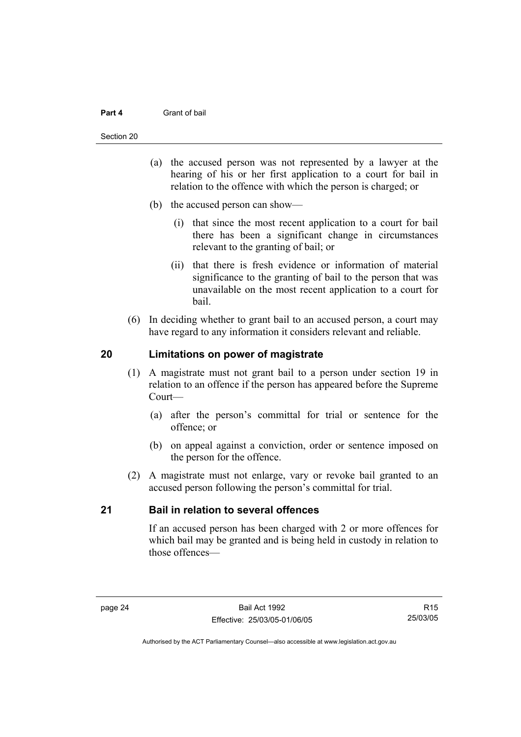#### **Part 4** Grant of bail

#### Section 20

- (a) the accused person was not represented by a lawyer at the hearing of his or her first application to a court for bail in relation to the offence with which the person is charged; or
- (b) the accused person can show—
	- (i) that since the most recent application to a court for bail there has been a significant change in circumstances relevant to the granting of bail; or
	- (ii) that there is fresh evidence or information of material significance to the granting of bail to the person that was unavailable on the most recent application to a court for bail.
- (6) In deciding whether to grant bail to an accused person, a court may have regard to any information it considers relevant and reliable.

### **20 Limitations on power of magistrate**

- (1) A magistrate must not grant bail to a person under section 19 in relation to an offence if the person has appeared before the Supreme Court—
	- (a) after the person's committal for trial or sentence for the offence; or
	- (b) on appeal against a conviction, order or sentence imposed on the person for the offence.
- (2) A magistrate must not enlarge, vary or revoke bail granted to an accused person following the person's committal for trial.

### **21 Bail in relation to several offences**

If an accused person has been charged with 2 or more offences for which bail may be granted and is being held in custody in relation to those offences—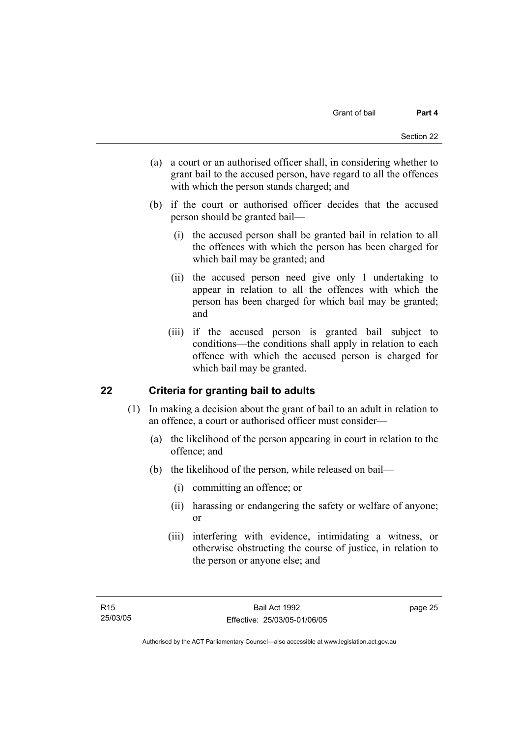- (a) a court or an authorised officer shall, in considering whether to grant bail to the accused person, have regard to all the offences with which the person stands charged; and
- (b) if the court or authorised officer decides that the accused person should be granted bail—
	- (i) the accused person shall be granted bail in relation to all the offences with which the person has been charged for which bail may be granted; and
	- (ii) the accused person need give only 1 undertaking to appear in relation to all the offences with which the person has been charged for which bail may be granted; and
	- (iii) if the accused person is granted bail subject to conditions—the conditions shall apply in relation to each offence with which the accused person is charged for which bail may be granted.

## **22 Criteria for granting bail to adults**

- (1) In making a decision about the grant of bail to an adult in relation to an offence, a court or authorised officer must consider—
	- (a) the likelihood of the person appearing in court in relation to the offence; and
	- (b) the likelihood of the person, while released on bail—
		- (i) committing an offence; or
		- (ii) harassing or endangering the safety or welfare of anyone; or
		- (iii) interfering with evidence, intimidating a witness, or otherwise obstructing the course of justice, in relation to the person or anyone else; and

page 25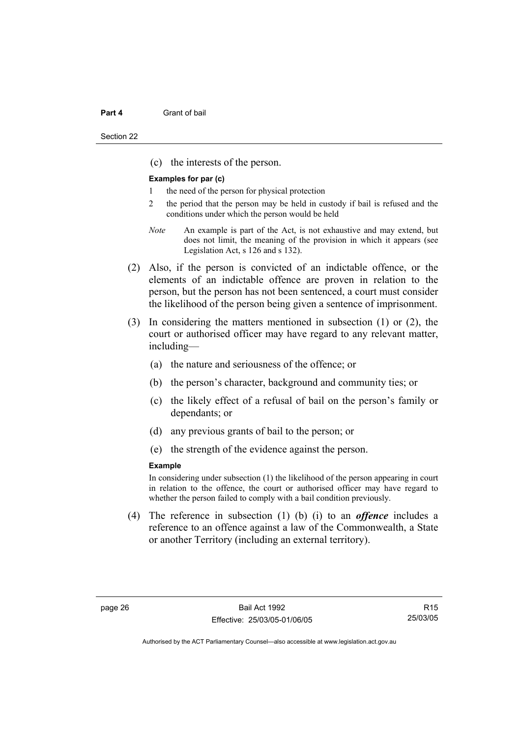#### **Part 4 Grant of bail**

(c) the interests of the person.

#### **Examples for par (c)**

- the need of the person for physical protection
- 2 the period that the person may be held in custody if bail is refused and the conditions under which the person would be held
- *Note* An example is part of the Act, is not exhaustive and may extend, but does not limit, the meaning of the provision in which it appears (see Legislation Act, s 126 and s 132).
- (2) Also, if the person is convicted of an indictable offence, or the elements of an indictable offence are proven in relation to the person, but the person has not been sentenced, a court must consider the likelihood of the person being given a sentence of imprisonment.
- (3) In considering the matters mentioned in subsection (1) or (2), the court or authorised officer may have regard to any relevant matter, including—
	- (a) the nature and seriousness of the offence; or
	- (b) the person's character, background and community ties; or
	- (c) the likely effect of a refusal of bail on the person's family or dependants; or
	- (d) any previous grants of bail to the person; or
	- (e) the strength of the evidence against the person.

#### **Example**

In considering under subsection (1) the likelihood of the person appearing in court in relation to the offence, the court or authorised officer may have regard to whether the person failed to comply with a bail condition previously.

 (4) The reference in subsection (1) (b) (i) to an *offence* includes a reference to an offence against a law of the Commonwealth, a State or another Territory (including an external territory).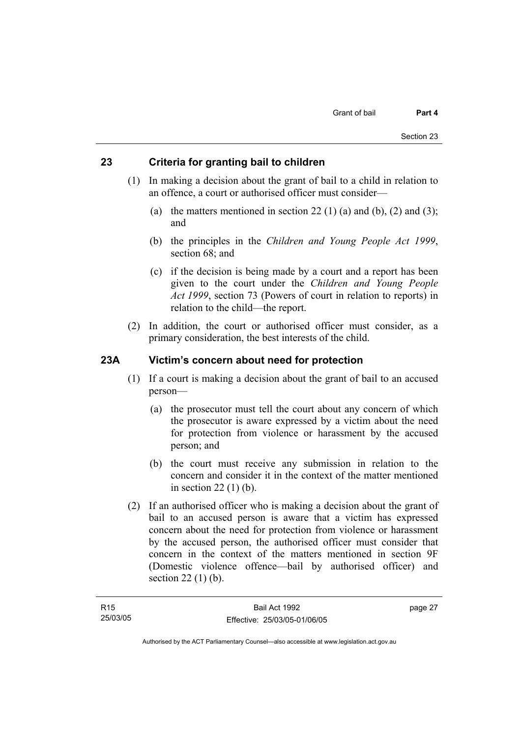## **23 Criteria for granting bail to children**

- (1) In making a decision about the grant of bail to a child in relation to an offence, a court or authorised officer must consider—
	- (a) the matters mentioned in section 22 (1) (a) and (b), (2) and (3); and
	- (b) the principles in the *Children and Young People Act 1999*, section 68; and
	- (c) if the decision is being made by a court and a report has been given to the court under the *Children and Young People Act 1999*, section 73 (Powers of court in relation to reports) in relation to the child—the report.
- (2) In addition, the court or authorised officer must consider, as a primary consideration, the best interests of the child.

## **23A Victim's concern about need for protection**

- (1) If a court is making a decision about the grant of bail to an accused person—
	- (a) the prosecutor must tell the court about any concern of which the prosecutor is aware expressed by a victim about the need for protection from violence or harassment by the accused person; and
	- (b) the court must receive any submission in relation to the concern and consider it in the context of the matter mentioned in section 22 (1) (b).
- (2) If an authorised officer who is making a decision about the grant of bail to an accused person is aware that a victim has expressed concern about the need for protection from violence or harassment by the accused person, the authorised officer must consider that concern in the context of the matters mentioned in section 9F (Domestic violence offence—bail by authorised officer) and section 22 (1) (b).

page 27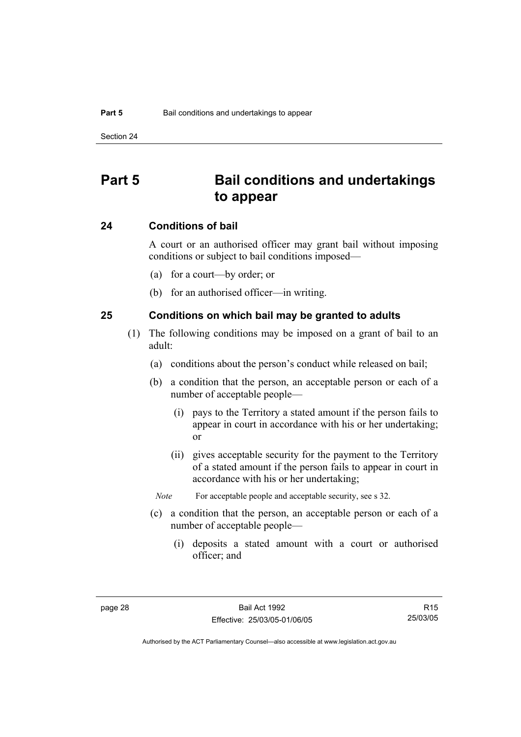# **Part 5 Bail conditions and undertakings to appear**

### **24 Conditions of bail**

A court or an authorised officer may grant bail without imposing conditions or subject to bail conditions imposed—

- (a) for a court—by order; or
- (b) for an authorised officer—in writing.

#### **25 Conditions on which bail may be granted to adults**

- (1) The following conditions may be imposed on a grant of bail to an adult:
	- (a) conditions about the person's conduct while released on bail;
	- (b) a condition that the person, an acceptable person or each of a number of acceptable people—
		- (i) pays to the Territory a stated amount if the person fails to appear in court in accordance with his or her undertaking; or
		- (ii) gives acceptable security for the payment to the Territory of a stated amount if the person fails to appear in court in accordance with his or her undertaking;
		- *Note* For acceptable people and acceptable security, see s 32.
	- (c) a condition that the person, an acceptable person or each of a number of acceptable people—
		- (i) deposits a stated amount with a court or authorised officer; and

R15 25/03/05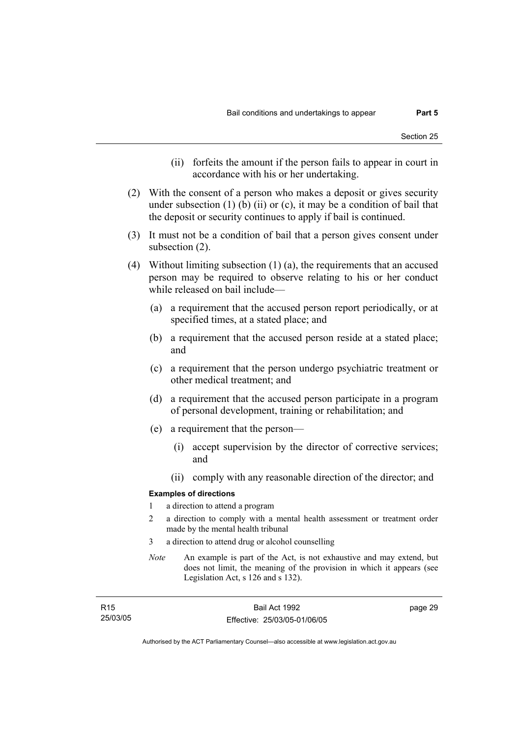- (ii) forfeits the amount if the person fails to appear in court in accordance with his or her undertaking.
- (2) With the consent of a person who makes a deposit or gives security under subsection  $(1)$  (b)  $(ii)$  or  $(c)$ , it may be a condition of bail that the deposit or security continues to apply if bail is continued.
- (3) It must not be a condition of bail that a person gives consent under subsection (2).
- (4) Without limiting subsection (1) (a), the requirements that an accused person may be required to observe relating to his or her conduct while released on bail include—
	- (a) a requirement that the accused person report periodically, or at specified times, at a stated place; and
	- (b) a requirement that the accused person reside at a stated place; and
	- (c) a requirement that the person undergo psychiatric treatment or other medical treatment; and
	- (d) a requirement that the accused person participate in a program of personal development, training or rehabilitation; and
	- (e) a requirement that the person—
		- (i) accept supervision by the director of corrective services; and
		- (ii) comply with any reasonable direction of the director; and

#### **Examples of directions**

- 1 a direction to attend a program
- 2 a direction to comply with a mental health assessment or treatment order made by the mental health tribunal
- 3 a direction to attend drug or alcohol counselling
- *Note* An example is part of the Act, is not exhaustive and may extend, but does not limit, the meaning of the provision in which it appears (see Legislation Act, s 126 and s 132).

| R <sub>15</sub> | Bail Act 1992                | page 29 |
|-----------------|------------------------------|---------|
| 25/03/05        | Effective: 25/03/05-01/06/05 |         |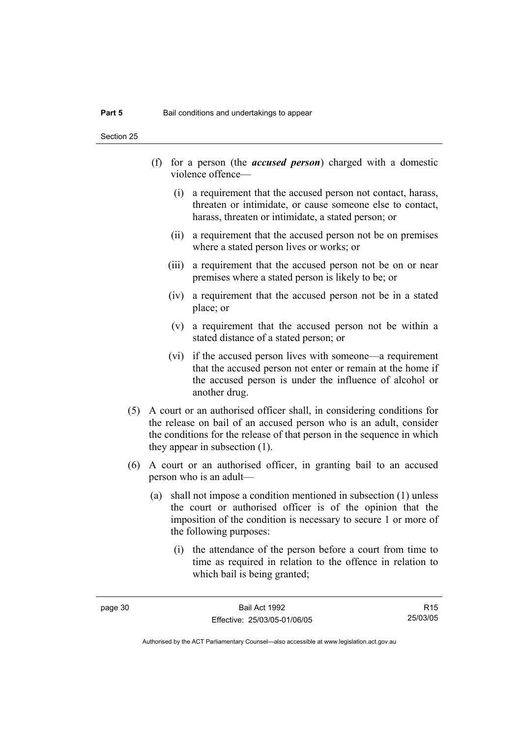Section 25

- (f) for a person (the *accused person*) charged with a domestic violence offence—
	- (i) a requirement that the accused person not contact, harass, threaten or intimidate, or cause someone else to contact, harass, threaten or intimidate, a stated person; or
	- (ii) a requirement that the accused person not be on premises where a stated person lives or works; or
	- (iii) a requirement that the accused person not be on or near premises where a stated person is likely to be; or
	- (iv) a requirement that the accused person not be in a stated place; or
	- (v) a requirement that the accused person not be within a stated distance of a stated person; or
	- (vi) if the accused person lives with someone—a requirement that the accused person not enter or remain at the home if the accused person is under the influence of alcohol or another drug.
- (5) A court or an authorised officer shall, in considering conditions for the release on bail of an accused person who is an adult, consider the conditions for the release of that person in the sequence in which they appear in subsection (1).
- (6) A court or an authorised officer, in granting bail to an accused person who is an adult—
	- (a) shall not impose a condition mentioned in subsection (1) unless the court or authorised officer is of the opinion that the imposition of the condition is necessary to secure 1 or more of the following purposes:
		- (i) the attendance of the person before a court from time to time as required in relation to the offence in relation to which bail is being granted;

R15 25/03/05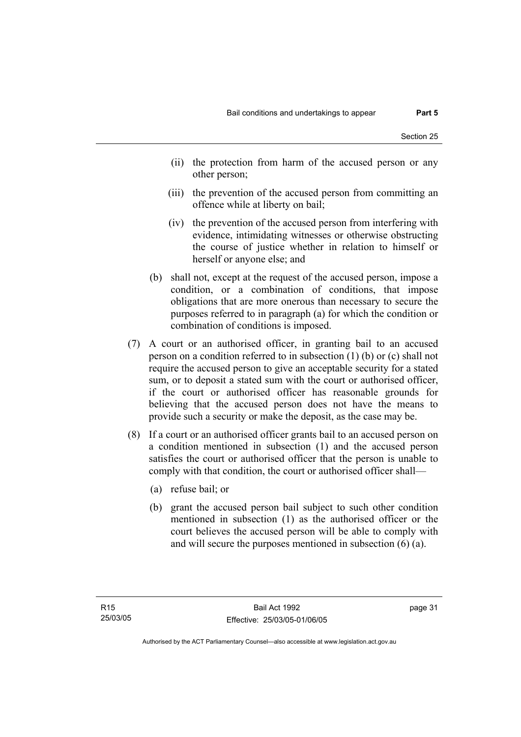- (ii) the protection from harm of the accused person or any other person;
- (iii) the prevention of the accused person from committing an offence while at liberty on bail;
- (iv) the prevention of the accused person from interfering with evidence, intimidating witnesses or otherwise obstructing the course of justice whether in relation to himself or herself or anyone else; and
- (b) shall not, except at the request of the accused person, impose a condition, or a combination of conditions, that impose obligations that are more onerous than necessary to secure the purposes referred to in paragraph (a) for which the condition or combination of conditions is imposed.
- (7) A court or an authorised officer, in granting bail to an accused person on a condition referred to in subsection (1) (b) or (c) shall not require the accused person to give an acceptable security for a stated sum, or to deposit a stated sum with the court or authorised officer, if the court or authorised officer has reasonable grounds for believing that the accused person does not have the means to provide such a security or make the deposit, as the case may be.
- (8) If a court or an authorised officer grants bail to an accused person on a condition mentioned in subsection (1) and the accused person satisfies the court or authorised officer that the person is unable to comply with that condition, the court or authorised officer shall—
	- (a) refuse bail; or
	- (b) grant the accused person bail subject to such other condition mentioned in subsection (1) as the authorised officer or the court believes the accused person will be able to comply with and will secure the purposes mentioned in subsection (6) (a).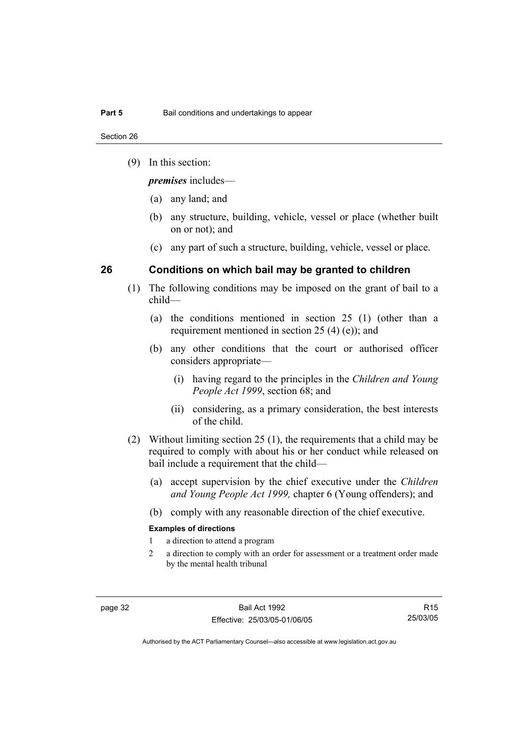Section 26

(9) In this section:

*premises* includes—

- (a) any land; and
- (b) any structure, building, vehicle, vessel or place (whether built on or not); and
- (c) any part of such a structure, building, vehicle, vessel or place.

## **26 Conditions on which bail may be granted to children**

- (1) The following conditions may be imposed on the grant of bail to a child—
	- (a) the conditions mentioned in section 25 (1) (other than a requirement mentioned in section 25 (4) (e)); and
	- (b) any other conditions that the court or authorised officer considers appropriate—
		- (i) having regard to the principles in the *Children and Young People Act 1999*, section 68; and
		- (ii) considering, as a primary consideration, the best interests of the child.
- (2) Without limiting section 25 (1), the requirements that a child may be required to comply with about his or her conduct while released on bail include a requirement that the child—
	- (a) accept supervision by the chief executive under the *Children and Young People Act 1999,* chapter 6 (Young offenders); and
	- (b) comply with any reasonable direction of the chief executive.

#### **Examples of directions**

- 1 a direction to attend a program
- 2 a direction to comply with an order for assessment or a treatment order made by the mental health tribunal

R15 25/03/05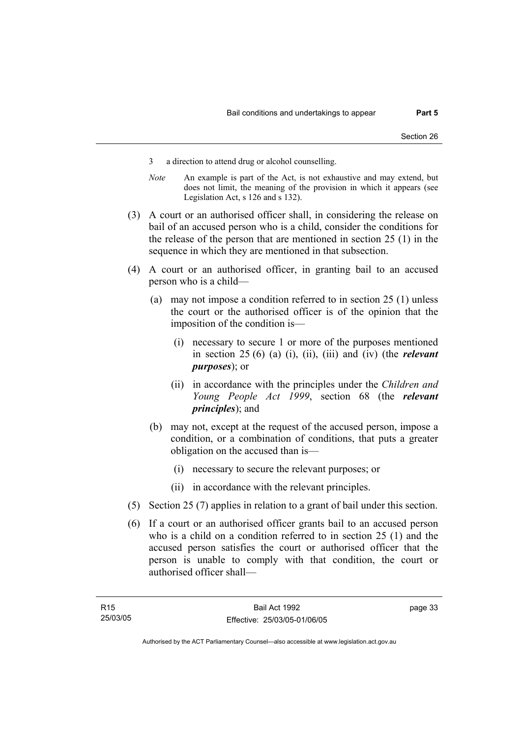- 3 a direction to attend drug or alcohol counselling.
- *Note* An example is part of the Act, is not exhaustive and may extend, but does not limit, the meaning of the provision in which it appears (see Legislation Act, s 126 and s 132).
- (3) A court or an authorised officer shall, in considering the release on bail of an accused person who is a child, consider the conditions for the release of the person that are mentioned in section 25 (1) in the sequence in which they are mentioned in that subsection.
- (4) A court or an authorised officer, in granting bail to an accused person who is a child—
	- (a) may not impose a condition referred to in section 25 (1) unless the court or the authorised officer is of the opinion that the imposition of the condition is—
		- (i) necessary to secure 1 or more of the purposes mentioned in section 25 (6) (a) (i), (ii), (iii) and (iv) (the *relevant purposes*); or
		- (ii) in accordance with the principles under the *Children and Young People Act 1999*, section 68 (the *relevant principles*); and
	- (b) may not, except at the request of the accused person, impose a condition, or a combination of conditions, that puts a greater obligation on the accused than is—
		- (i) necessary to secure the relevant purposes; or
		- (ii) in accordance with the relevant principles.
- (5) Section 25 (7) applies in relation to a grant of bail under this section.
- (6) If a court or an authorised officer grants bail to an accused person who is a child on a condition referred to in section 25 (1) and the accused person satisfies the court or authorised officer that the person is unable to comply with that condition, the court or authorised officer shall—

page 33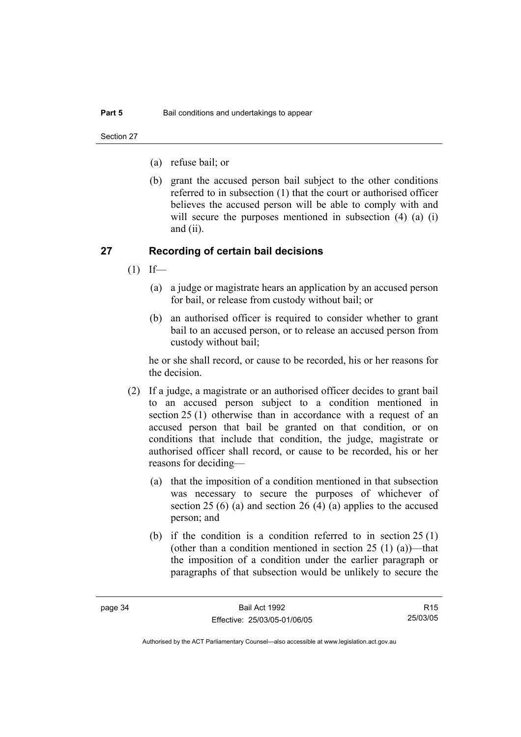Section 27

- (a) refuse bail; or
- (b) grant the accused person bail subject to the other conditions referred to in subsection (1) that the court or authorised officer believes the accused person will be able to comply with and will secure the purposes mentioned in subsection (4) (a) (i) and (ii).

#### **27 Recording of certain bail decisions**

- $(1)$  If—
	- (a) a judge or magistrate hears an application by an accused person for bail, or release from custody without bail; or
	- (b) an authorised officer is required to consider whether to grant bail to an accused person, or to release an accused person from custody without bail;

he or she shall record, or cause to be recorded, his or her reasons for the decision.

- (2) If a judge, a magistrate or an authorised officer decides to grant bail to an accused person subject to a condition mentioned in section 25 (1) otherwise than in accordance with a request of an accused person that bail be granted on that condition, or on conditions that include that condition, the judge, magistrate or authorised officer shall record, or cause to be recorded, his or her reasons for deciding—
	- (a) that the imposition of a condition mentioned in that subsection was necessary to secure the purposes of whichever of section 25 (6) (a) and section 26 (4) (a) applies to the accused person; and
	- (b) if the condition is a condition referred to in section 25 (1) (other than a condition mentioned in section  $25(1)(a)$ )—that the imposition of a condition under the earlier paragraph or paragraphs of that subsection would be unlikely to secure the

R15 25/03/05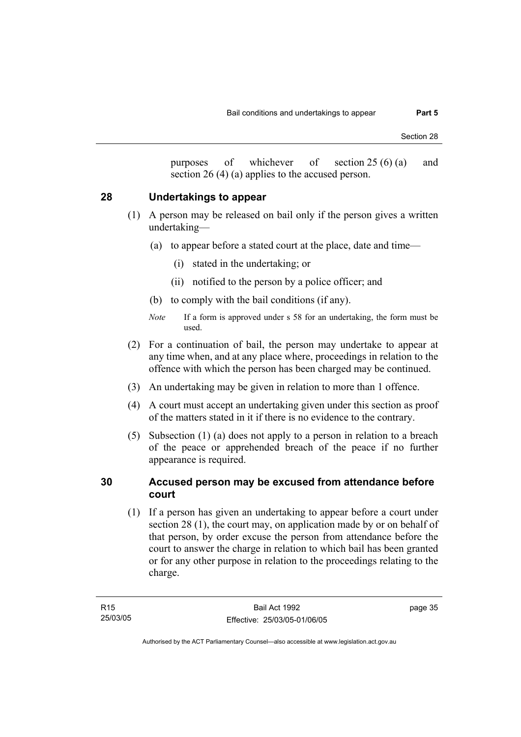purposes of whichever of section 25 (6) (a) and section 26 (4) (a) applies to the accused person.

### **28 Undertakings to appear**

- (1) A person may be released on bail only if the person gives a written undertaking—
	- (a) to appear before a stated court at the place, date and time—
		- (i) stated in the undertaking; or
		- (ii) notified to the person by a police officer; and
	- (b) to comply with the bail conditions (if any).
	- *Note* If a form is approved under s 58 for an undertaking, the form must be used.
- (2) For a continuation of bail, the person may undertake to appear at any time when, and at any place where, proceedings in relation to the offence with which the person has been charged may be continued.
- (3) An undertaking may be given in relation to more than 1 offence.
- (4) A court must accept an undertaking given under this section as proof of the matters stated in it if there is no evidence to the contrary.
- (5) Subsection (1) (a) does not apply to a person in relation to a breach of the peace or apprehended breach of the peace if no further appearance is required.

### **30 Accused person may be excused from attendance before court**

 (1) If a person has given an undertaking to appear before a court under section 28 (1), the court may, on application made by or on behalf of that person, by order excuse the person from attendance before the court to answer the charge in relation to which bail has been granted or for any other purpose in relation to the proceedings relating to the charge.

page 35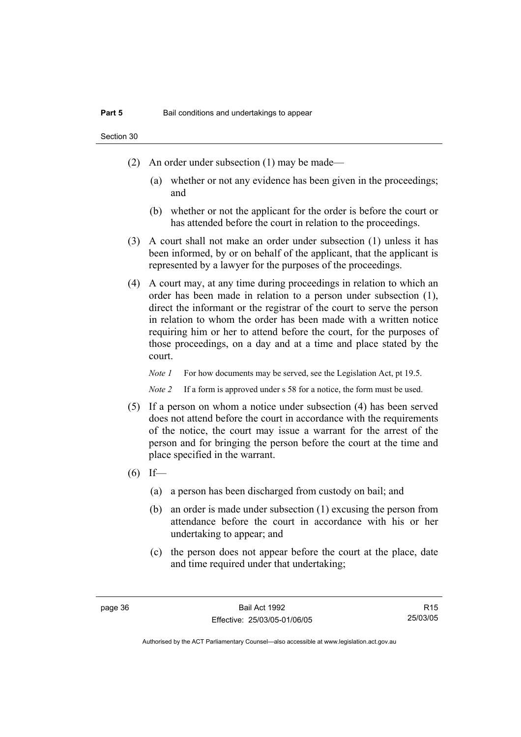Section 30

- (2) An order under subsection (1) may be made—
	- (a) whether or not any evidence has been given in the proceedings; and
	- (b) whether or not the applicant for the order is before the court or has attended before the court in relation to the proceedings.
- (3) A court shall not make an order under subsection (1) unless it has been informed, by or on behalf of the applicant, that the applicant is represented by a lawyer for the purposes of the proceedings.
- (4) A court may, at any time during proceedings in relation to which an order has been made in relation to a person under subsection (1), direct the informant or the registrar of the court to serve the person in relation to whom the order has been made with a written notice requiring him or her to attend before the court, for the purposes of those proceedings, on a day and at a time and place stated by the court.

*Note 1* For how documents may be served, see the Legislation Act, pt 19.5.

*Note 2* If a form is approved under s 58 for a notice, the form must be used.

- (5) If a person on whom a notice under subsection (4) has been served does not attend before the court in accordance with the requirements of the notice, the court may issue a warrant for the arrest of the person and for bringing the person before the court at the time and place specified in the warrant.
- $(6)$  If—
	- (a) a person has been discharged from custody on bail; and
	- (b) an order is made under subsection (1) excusing the person from attendance before the court in accordance with his or her undertaking to appear; and
	- (c) the person does not appear before the court at the place, date and time required under that undertaking;

R15 25/03/05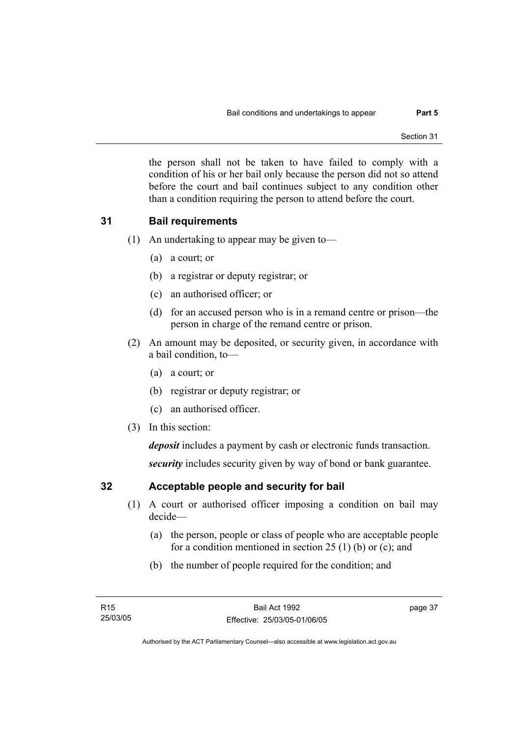the person shall not be taken to have failed to comply with a condition of his or her bail only because the person did not so attend before the court and bail continues subject to any condition other than a condition requiring the person to attend before the court.

## **31 Bail requirements**

- (1) An undertaking to appear may be given to—
	- (a) a court; or
	- (b) a registrar or deputy registrar; or
	- (c) an authorised officer; or
	- (d) for an accused person who is in a remand centre or prison—the person in charge of the remand centre or prison.
- (2) An amount may be deposited, or security given, in accordance with a bail condition, to—
	- (a) a court; or
	- (b) registrar or deputy registrar; or
	- (c) an authorised officer.
- (3) In this section:

*deposit* includes a payment by cash or electronic funds transaction.

*security* includes security given by way of bond or bank guarantee.

# **32 Acceptable people and security for bail**

- (1) A court or authorised officer imposing a condition on bail may decide—
	- (a) the person, people or class of people who are acceptable people for a condition mentioned in section 25 (1) (b) or (c); and
	- (b) the number of people required for the condition; and

page 37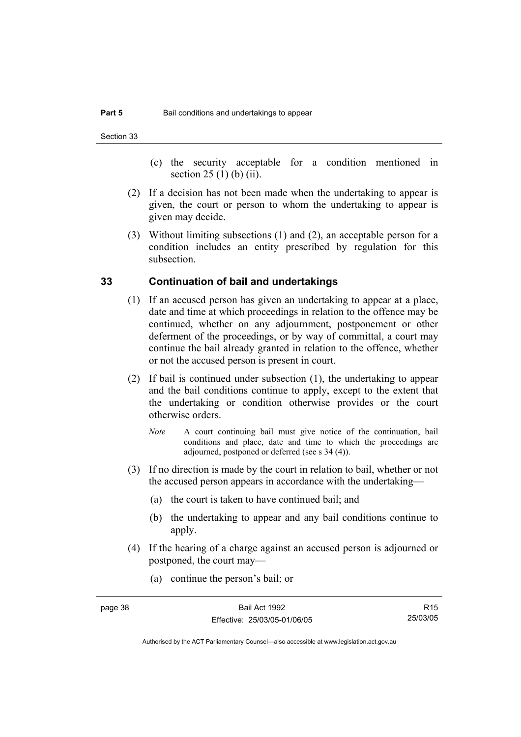- (c) the security acceptable for a condition mentioned in section 25 (1) (b) (ii).
- (2) If a decision has not been made when the undertaking to appear is given, the court or person to whom the undertaking to appear is given may decide.
- (3) Without limiting subsections (1) and (2), an acceptable person for a condition includes an entity prescribed by regulation for this subsection.

#### **33 Continuation of bail and undertakings**

- (1) If an accused person has given an undertaking to appear at a place, date and time at which proceedings in relation to the offence may be continued, whether on any adjournment, postponement or other deferment of the proceedings, or by way of committal, a court may continue the bail already granted in relation to the offence, whether or not the accused person is present in court.
- (2) If bail is continued under subsection (1), the undertaking to appear and the bail conditions continue to apply, except to the extent that the undertaking or condition otherwise provides or the court otherwise orders.
	- *Note* A court continuing bail must give notice of the continuation, bail conditions and place, date and time to which the proceedings are adjourned, postponed or deferred (see s 34 (4)).
- (3) If no direction is made by the court in relation to bail, whether or not the accused person appears in accordance with the undertaking—
	- (a) the court is taken to have continued bail; and
	- (b) the undertaking to appear and any bail conditions continue to apply.
- (4) If the hearing of a charge against an accused person is adjourned or postponed, the court may—
	- (a) continue the person's bail; or

R15 25/03/05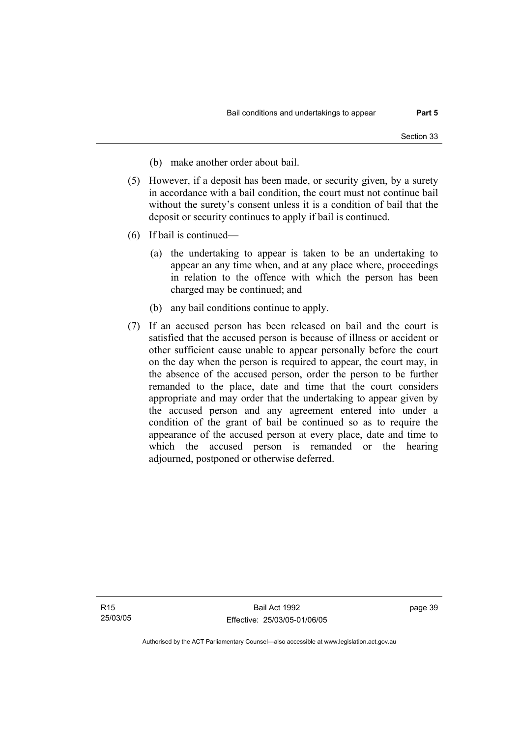- (b) make another order about bail.
- (5) However, if a deposit has been made, or security given, by a surety in accordance with a bail condition, the court must not continue bail without the surety's consent unless it is a condition of bail that the deposit or security continues to apply if bail is continued.
- (6) If bail is continued—
	- (a) the undertaking to appear is taken to be an undertaking to appear an any time when, and at any place where, proceedings in relation to the offence with which the person has been charged may be continued; and
	- (b) any bail conditions continue to apply.
- (7) If an accused person has been released on bail and the court is satisfied that the accused person is because of illness or accident or other sufficient cause unable to appear personally before the court on the day when the person is required to appear, the court may, in the absence of the accused person, order the person to be further remanded to the place, date and time that the court considers appropriate and may order that the undertaking to appear given by the accused person and any agreement entered into under a condition of the grant of bail be continued so as to require the appearance of the accused person at every place, date and time to which the accused person is remanded or the hearing adjourned, postponed or otherwise deferred.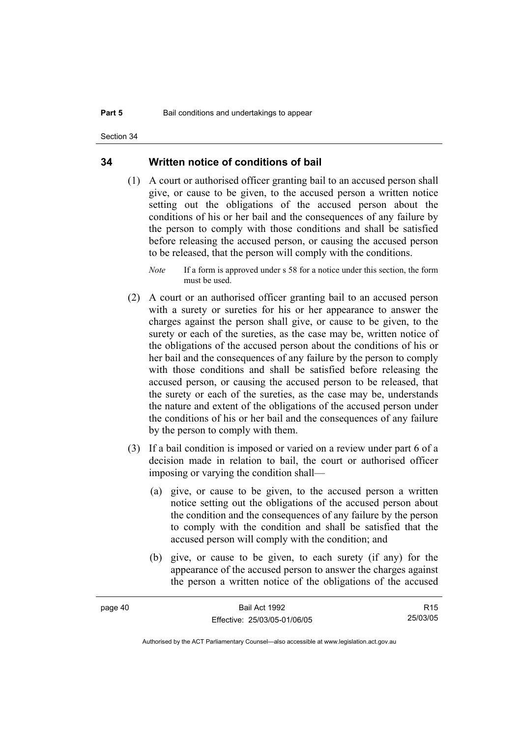Section 34

#### **34 Written notice of conditions of bail**

- (1) A court or authorised officer granting bail to an accused person shall give, or cause to be given, to the accused person a written notice setting out the obligations of the accused person about the conditions of his or her bail and the consequences of any failure by the person to comply with those conditions and shall be satisfied before releasing the accused person, or causing the accused person to be released, that the person will comply with the conditions.
	- *Note* If a form is approved under s 58 for a notice under this section, the form must be used.
- (2) A court or an authorised officer granting bail to an accused person with a surety or sureties for his or her appearance to answer the charges against the person shall give, or cause to be given, to the surety or each of the sureties, as the case may be, written notice of the obligations of the accused person about the conditions of his or her bail and the consequences of any failure by the person to comply with those conditions and shall be satisfied before releasing the accused person, or causing the accused person to be released, that the surety or each of the sureties, as the case may be, understands the nature and extent of the obligations of the accused person under the conditions of his or her bail and the consequences of any failure by the person to comply with them.
- (3) If a bail condition is imposed or varied on a review under part 6 of a decision made in relation to bail, the court or authorised officer imposing or varying the condition shall—
	- (a) give, or cause to be given, to the accused person a written notice setting out the obligations of the accused person about the condition and the consequences of any failure by the person to comply with the condition and shall be satisfied that the accused person will comply with the condition; and
	- (b) give, or cause to be given, to each surety (if any) for the appearance of the accused person to answer the charges against the person a written notice of the obligations of the accused

| page 40 | Bail Act 1992                | R15      |
|---------|------------------------------|----------|
|         | Effective: 25/03/05-01/06/05 | 25/03/05 |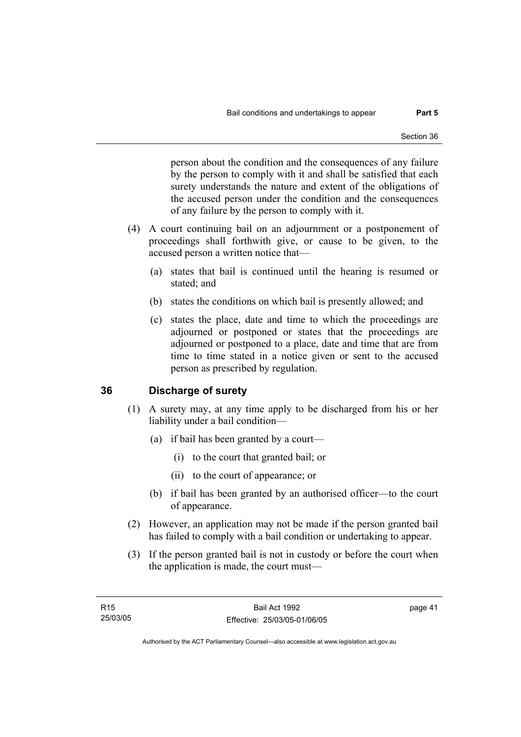person about the condition and the consequences of any failure by the person to comply with it and shall be satisfied that each surety understands the nature and extent of the obligations of the accused person under the condition and the consequences of any failure by the person to comply with it.

- (4) A court continuing bail on an adjournment or a postponement of proceedings shall forthwith give, or cause to be given, to the accused person a written notice that—
	- (a) states that bail is continued until the hearing is resumed or stated; and
	- (b) states the conditions on which bail is presently allowed; and
	- (c) states the place, date and time to which the proceedings are adjourned or postponed or states that the proceedings are adjourned or postponed to a place, date and time that are from time to time stated in a notice given or sent to the accused person as prescribed by regulation.

# **36 Discharge of surety**

- (1) A surety may, at any time apply to be discharged from his or her liability under a bail condition—
	- (a) if bail has been granted by a court—
		- (i) to the court that granted bail; or
		- (ii) to the court of appearance; or
	- (b) if bail has been granted by an authorised officer—to the court of appearance.
- (2) However, an application may not be made if the person granted bail has failed to comply with a bail condition or undertaking to appear.
- (3) If the person granted bail is not in custody or before the court when the application is made, the court must—

page 41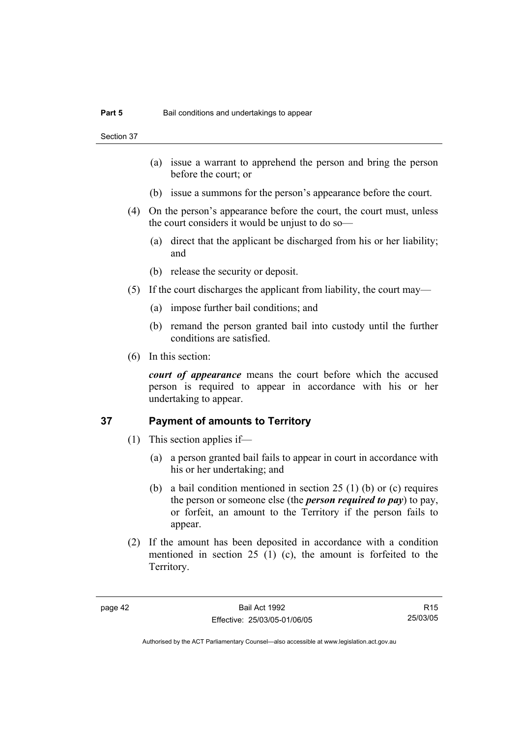Section 37

- (a) issue a warrant to apprehend the person and bring the person before the court; or
- (b) issue a summons for the person's appearance before the court.
- (4) On the person's appearance before the court, the court must, unless the court considers it would be unjust to do so—
	- (a) direct that the applicant be discharged from his or her liability; and
	- (b) release the security or deposit.
- (5) If the court discharges the applicant from liability, the court may—
	- (a) impose further bail conditions; and
	- (b) remand the person granted bail into custody until the further conditions are satisfied.
- (6) In this section:

*court of appearance* means the court before which the accused person is required to appear in accordance with his or her undertaking to appear.

## **37 Payment of amounts to Territory**

- (1) This section applies if—
	- (a) a person granted bail fails to appear in court in accordance with his or her undertaking; and
	- (b) a bail condition mentioned in section 25 (1) (b) or (c) requires the person or someone else (the *person required to pay*) to pay, or forfeit, an amount to the Territory if the person fails to appear.
- (2) If the amount has been deposited in accordance with a condition mentioned in section 25 (1) (c), the amount is forfeited to the Territory.

R15 25/03/05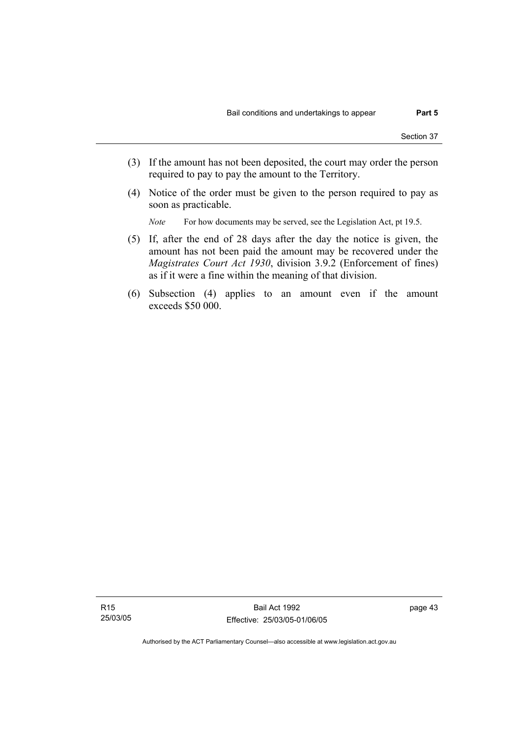- (3) If the amount has not been deposited, the court may order the person required to pay to pay the amount to the Territory.
- (4) Notice of the order must be given to the person required to pay as soon as practicable.

*Note* For how documents may be served, see the Legislation Act, pt 19.5.

- (5) If, after the end of 28 days after the day the notice is given, the amount has not been paid the amount may be recovered under the *Magistrates Court Act 1930*, division 3.9.2 (Enforcement of fines) as if it were a fine within the meaning of that division.
- (6) Subsection (4) applies to an amount even if the amount exceeds \$50 000.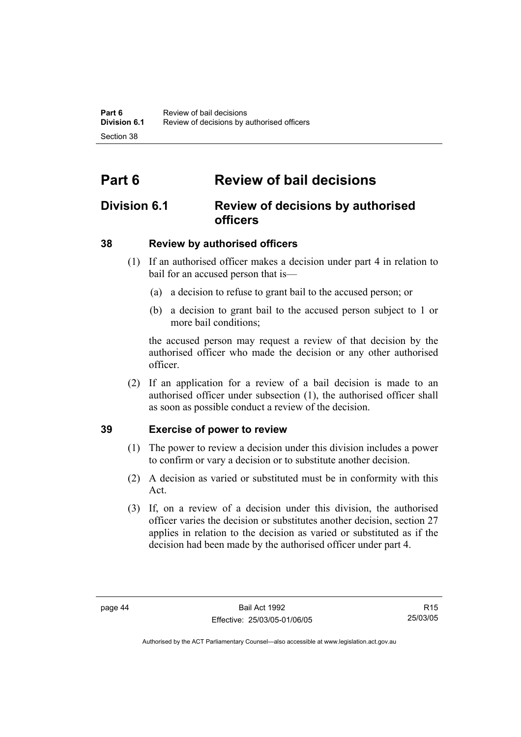# **Part 6 Review of bail decisions**

# **Division 6.1 Review of decisions by authorised officers**

# **38 Review by authorised officers**

- (1) If an authorised officer makes a decision under part 4 in relation to bail for an accused person that is—
	- (a) a decision to refuse to grant bail to the accused person; or
	- (b) a decision to grant bail to the accused person subject to 1 or more bail conditions;

the accused person may request a review of that decision by the authorised officer who made the decision or any other authorised officer.

 (2) If an application for a review of a bail decision is made to an authorised officer under subsection (1), the authorised officer shall as soon as possible conduct a review of the decision.

# **39 Exercise of power to review**

- (1) The power to review a decision under this division includes a power to confirm or vary a decision or to substitute another decision.
- (2) A decision as varied or substituted must be in conformity with this Act.
- (3) If, on a review of a decision under this division, the authorised officer varies the decision or substitutes another decision, section 27 applies in relation to the decision as varied or substituted as if the decision had been made by the authorised officer under part 4.

R15 25/03/05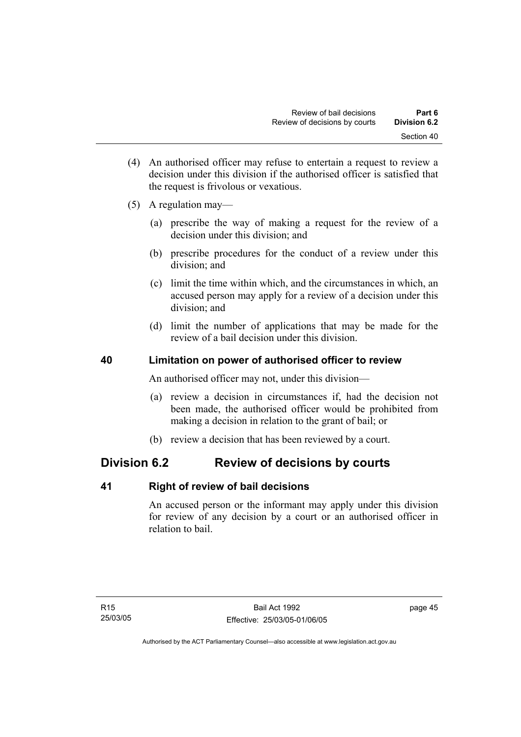- (4) An authorised officer may refuse to entertain a request to review a decision under this division if the authorised officer is satisfied that the request is frivolous or vexatious.
- (5) A regulation may—
	- (a) prescribe the way of making a request for the review of a decision under this division; and
	- (b) prescribe procedures for the conduct of a review under this division; and
	- (c) limit the time within which, and the circumstances in which, an accused person may apply for a review of a decision under this division; and
	- (d) limit the number of applications that may be made for the review of a bail decision under this division.

# **40 Limitation on power of authorised officer to review**

An authorised officer may not, under this division—

- (a) review a decision in circumstances if, had the decision not been made, the authorised officer would be prohibited from making a decision in relation to the grant of bail; or
- (b) review a decision that has been reviewed by a court.

# **Division 6.2 Review of decisions by courts**

### **41 Right of review of bail decisions**

An accused person or the informant may apply under this division for review of any decision by a court or an authorised officer in relation to bail.

page 45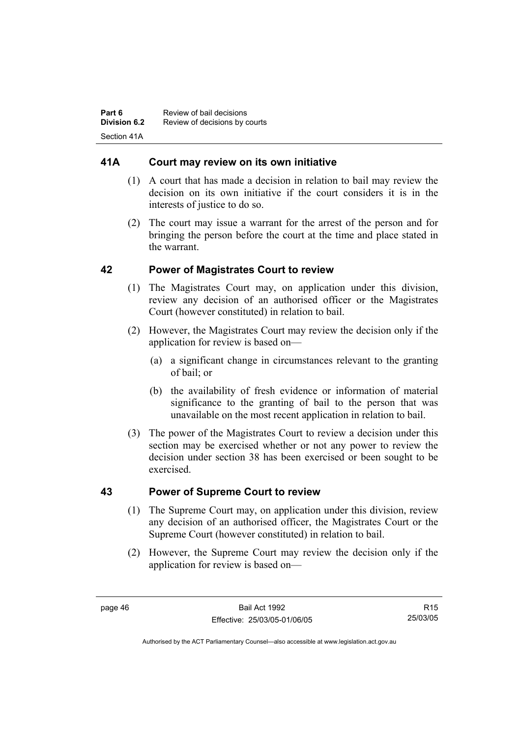# **41A Court may review on its own initiative**

- (1) A court that has made a decision in relation to bail may review the decision on its own initiative if the court considers it is in the interests of justice to do so.
- (2) The court may issue a warrant for the arrest of the person and for bringing the person before the court at the time and place stated in the warrant.

# **42 Power of Magistrates Court to review**

- (1) The Magistrates Court may, on application under this division, review any decision of an authorised officer or the Magistrates Court (however constituted) in relation to bail.
- (2) However, the Magistrates Court may review the decision only if the application for review is based on—
	- (a) a significant change in circumstances relevant to the granting of bail; or
	- (b) the availability of fresh evidence or information of material significance to the granting of bail to the person that was unavailable on the most recent application in relation to bail.
- (3) The power of the Magistrates Court to review a decision under this section may be exercised whether or not any power to review the decision under section 38 has been exercised or been sought to be exercised.

# **43 Power of Supreme Court to review**

- (1) The Supreme Court may, on application under this division, review any decision of an authorised officer, the Magistrates Court or the Supreme Court (however constituted) in relation to bail.
- (2) However, the Supreme Court may review the decision only if the application for review is based on—

R15 25/03/05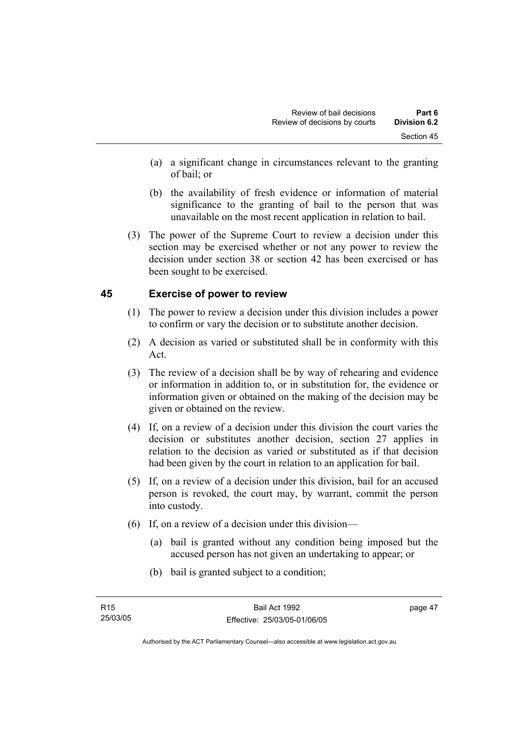- (a) a significant change in circumstances relevant to the granting of bail; or
- (b) the availability of fresh evidence or information of material significance to the granting of bail to the person that was unavailable on the most recent application in relation to bail.
- (3) The power of the Supreme Court to review a decision under this section may be exercised whether or not any power to review the decision under section 38 or section 42 has been exercised or has been sought to be exercised.

# **45 Exercise of power to review**

- (1) The power to review a decision under this division includes a power to confirm or vary the decision or to substitute another decision.
- (2) A decision as varied or substituted shall be in conformity with this Act.
- (3) The review of a decision shall be by way of rehearing and evidence or information in addition to, or in substitution for, the evidence or information given or obtained on the making of the decision may be given or obtained on the review.
- (4) If, on a review of a decision under this division the court varies the decision or substitutes another decision, section 27 applies in relation to the decision as varied or substituted as if that decision had been given by the court in relation to an application for bail.
- (5) If, on a review of a decision under this division, bail for an accused person is revoked, the court may, by warrant, commit the person into custody.
- (6) If, on a review of a decision under this division—
	- (a) bail is granted without any condition being imposed but the accused person has not given an undertaking to appear; or
	- (b) bail is granted subject to a condition;

page 47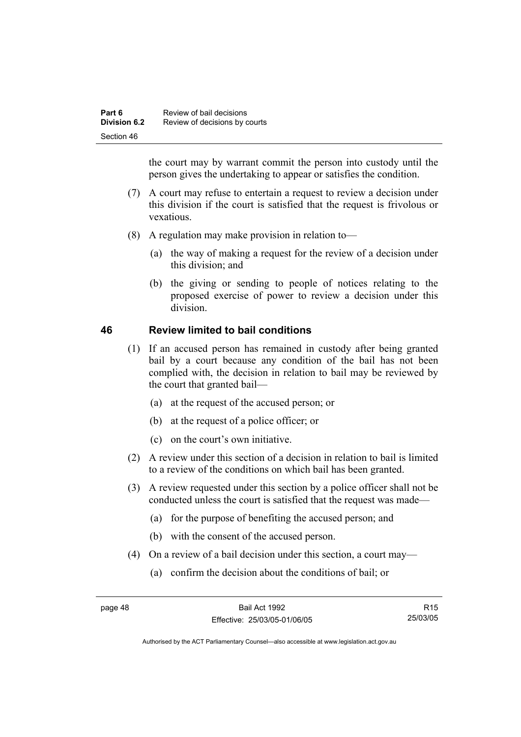| Part 6<br>Division 6.2 | Review of bail decisions      |
|------------------------|-------------------------------|
|                        | Review of decisions by courts |
| Section 46             |                               |

the court may by warrant commit the person into custody until the person gives the undertaking to appear or satisfies the condition.

- (7) A court may refuse to entertain a request to review a decision under this division if the court is satisfied that the request is frivolous or vexatious.
- (8) A regulation may make provision in relation to—
	- (a) the way of making a request for the review of a decision under this division; and
	- (b) the giving or sending to people of notices relating to the proposed exercise of power to review a decision under this division.

# **46 Review limited to bail conditions**

- (1) If an accused person has remained in custody after being granted bail by a court because any condition of the bail has not been complied with, the decision in relation to bail may be reviewed by the court that granted bail—
	- (a) at the request of the accused person; or
	- (b) at the request of a police officer; or
	- (c) on the court's own initiative.
- (2) A review under this section of a decision in relation to bail is limited to a review of the conditions on which bail has been granted.
- (3) A review requested under this section by a police officer shall not be conducted unless the court is satisfied that the request was made—
	- (a) for the purpose of benefiting the accused person; and
	- (b) with the consent of the accused person.
- (4) On a review of a bail decision under this section, a court may—
	- (a) confirm the decision about the conditions of bail; or

R15 25/03/05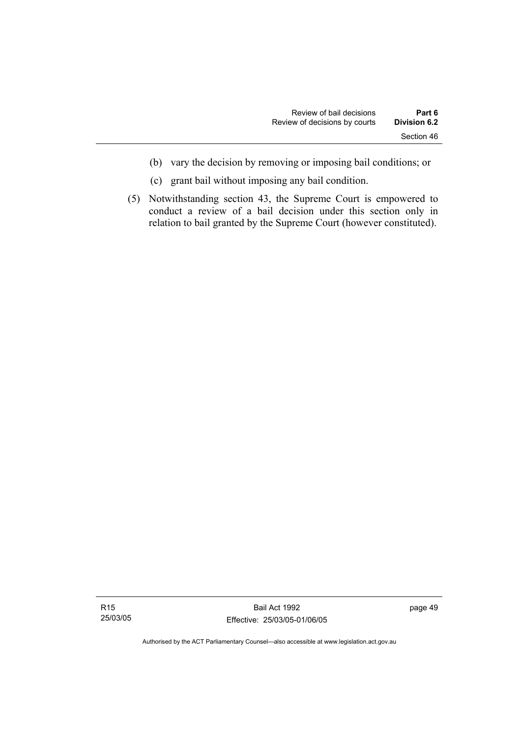- (b) vary the decision by removing or imposing bail conditions; or
- (c) grant bail without imposing any bail condition.
- (5) Notwithstanding section 43, the Supreme Court is empowered to conduct a review of a bail decision under this section only in relation to bail granted by the Supreme Court (however constituted).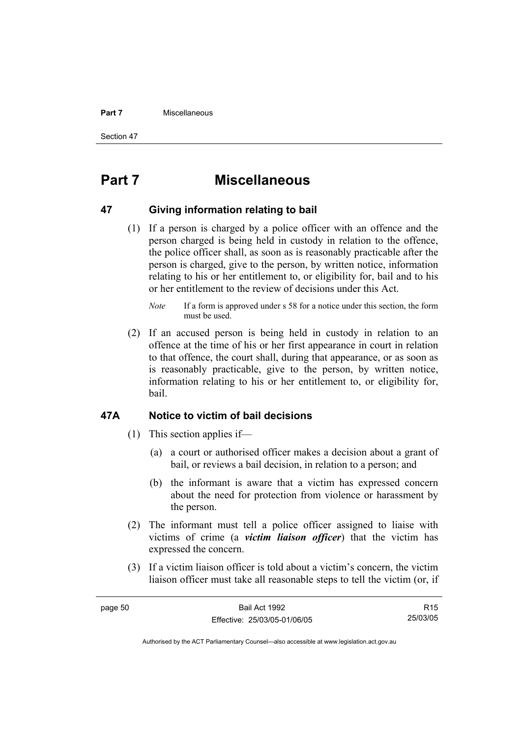#### **Part 7 Miscellaneous**

Section 47

# **Part 7 Miscellaneous**

#### **47 Giving information relating to bail**

 (1) If a person is charged by a police officer with an offence and the person charged is being held in custody in relation to the offence, the police officer shall, as soon as is reasonably practicable after the person is charged, give to the person, by written notice, information relating to his or her entitlement to, or eligibility for, bail and to his or her entitlement to the review of decisions under this Act.

 (2) If an accused person is being held in custody in relation to an offence at the time of his or her first appearance in court in relation to that offence, the court shall, during that appearance, or as soon as is reasonably practicable, give to the person, by written notice, information relating to his or her entitlement to, or eligibility for, bail.

#### **47A Notice to victim of bail decisions**

- (1) This section applies if—
	- (a) a court or authorised officer makes a decision about a grant of bail, or reviews a bail decision, in relation to a person; and
	- (b) the informant is aware that a victim has expressed concern about the need for protection from violence or harassment by the person.
- (2) The informant must tell a police officer assigned to liaise with victims of crime (a *victim liaison officer*) that the victim has expressed the concern.
- (3) If a victim liaison officer is told about a victim's concern, the victim liaison officer must take all reasonable steps to tell the victim (or, if

| page 50 | Bail Act 1992                | R <sub>15</sub> |
|---------|------------------------------|-----------------|
|         | Effective: 25/03/05-01/06/05 | 25/03/05        |
|         |                              |                 |

*Note* If a form is approved under s 58 for a notice under this section, the form must be used.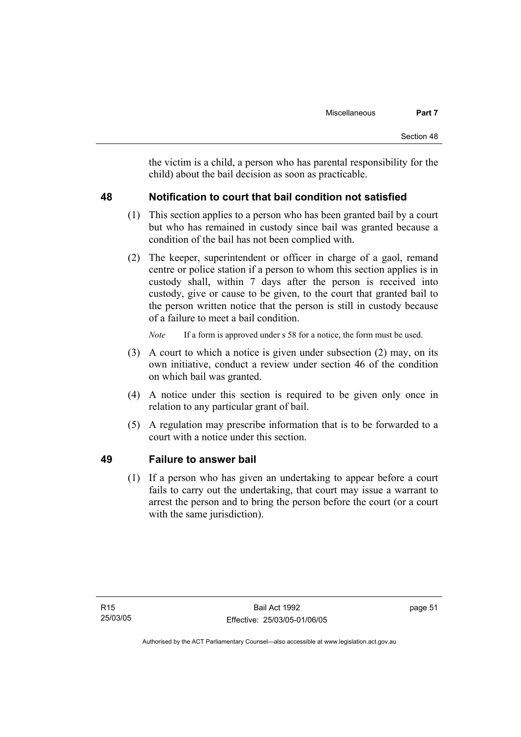the victim is a child, a person who has parental responsibility for the child) about the bail decision as soon as practicable.

# **48 Notification to court that bail condition not satisfied**

- (1) This section applies to a person who has been granted bail by a court but who has remained in custody since bail was granted because a condition of the bail has not been complied with.
- (2) The keeper, superintendent or officer in charge of a gaol, remand centre or police station if a person to whom this section applies is in custody shall, within 7 days after the person is received into custody, give or cause to be given, to the court that granted bail to the person written notice that the person is still in custody because of a failure to meet a bail condition.

- (3) A court to which a notice is given under subsection (2) may, on its own initiative, conduct a review under section 46 of the condition on which bail was granted.
- (4) A notice under this section is required to be given only once in relation to any particular grant of bail.
- (5) A regulation may prescribe information that is to be forwarded to a court with a notice under this section.

# **49 Failure to answer bail**

 (1) If a person who has given an undertaking to appear before a court fails to carry out the undertaking, that court may issue a warrant to arrest the person and to bring the person before the court (or a court with the same jurisdiction).

*Note* If a form is approved under s 58 for a notice, the form must be used.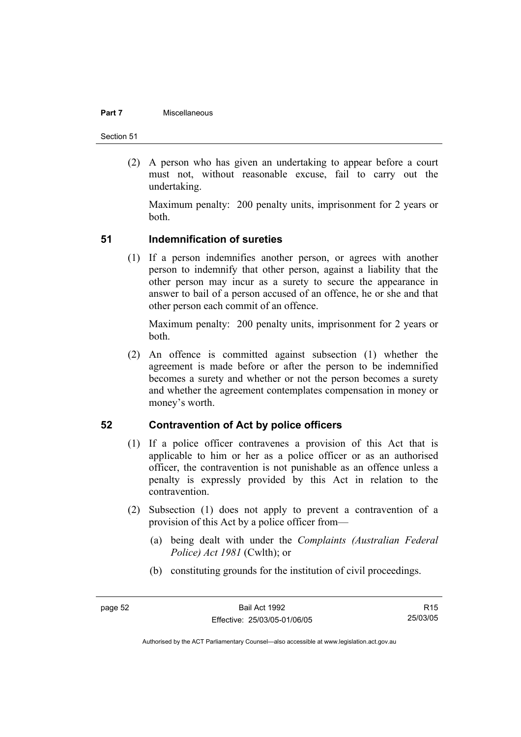#### **Part 7 Miscellaneous**

Section 51

 (2) A person who has given an undertaking to appear before a court must not, without reasonable excuse, fail to carry out the undertaking.

Maximum penalty: 200 penalty units, imprisonment for 2 years or both.

### **51 Indemnification of sureties**

 (1) If a person indemnifies another person, or agrees with another person to indemnify that other person, against a liability that the other person may incur as a surety to secure the appearance in answer to bail of a person accused of an offence, he or she and that other person each commit of an offence.

Maximum penalty: 200 penalty units, imprisonment for 2 years or both.

 (2) An offence is committed against subsection (1) whether the agreement is made before or after the person to be indemnified becomes a surety and whether or not the person becomes a surety and whether the agreement contemplates compensation in money or money's worth.

### **52 Contravention of Act by police officers**

- (1) If a police officer contravenes a provision of this Act that is applicable to him or her as a police officer or as an authorised officer, the contravention is not punishable as an offence unless a penalty is expressly provided by this Act in relation to the contravention.
- (2) Subsection (1) does not apply to prevent a contravention of a provision of this Act by a police officer from—
	- (a) being dealt with under the *Complaints (Australian Federal Police) Act 1981* (Cwlth); or
	- (b) constituting grounds for the institution of civil proceedings.

R15 25/03/05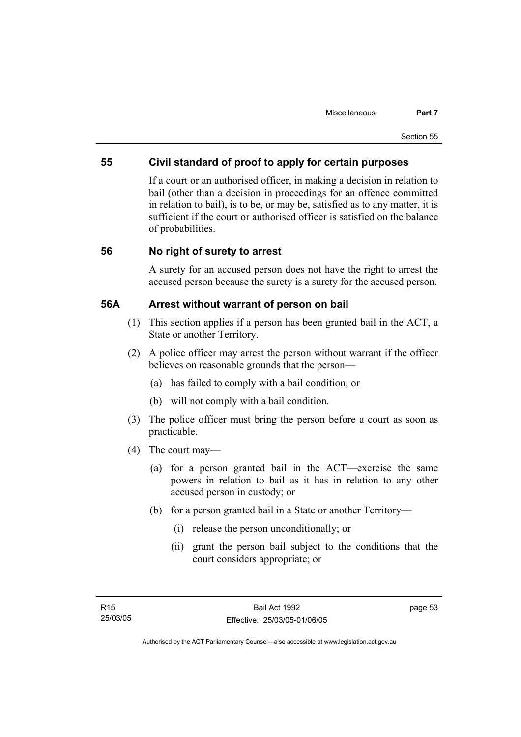# **55 Civil standard of proof to apply for certain purposes**

If a court or an authorised officer, in making a decision in relation to bail (other than a decision in proceedings for an offence committed in relation to bail), is to be, or may be, satisfied as to any matter, it is sufficient if the court or authorised officer is satisfied on the balance of probabilities.

## **56 No right of surety to arrest**

A surety for an accused person does not have the right to arrest the accused person because the surety is a surety for the accused person.

### **56A Arrest without warrant of person on bail**

- (1) This section applies if a person has been granted bail in the ACT, a State or another Territory.
- (2) A police officer may arrest the person without warrant if the officer believes on reasonable grounds that the person—
	- (a) has failed to comply with a bail condition; or
	- (b) will not comply with a bail condition.
- (3) The police officer must bring the person before a court as soon as practicable.
- (4) The court may—
	- (a) for a person granted bail in the ACT—exercise the same powers in relation to bail as it has in relation to any other accused person in custody; or
	- (b) for a person granted bail in a State or another Territory—
		- (i) release the person unconditionally; or
		- (ii) grant the person bail subject to the conditions that the court considers appropriate; or

page 53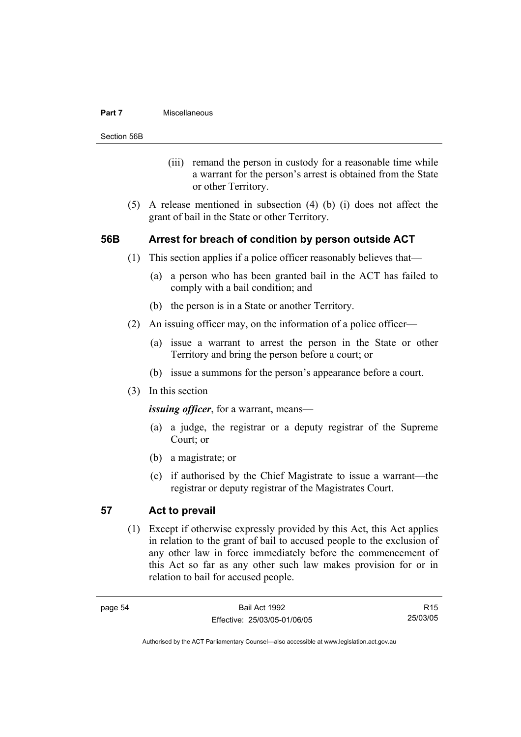#### **Part 7 Miscellaneous**

Section 56B

- (iii) remand the person in custody for a reasonable time while a warrant for the person's arrest is obtained from the State or other Territory.
- (5) A release mentioned in subsection (4) (b) (i) does not affect the grant of bail in the State or other Territory.

## **56B Arrest for breach of condition by person outside ACT**

- (1) This section applies if a police officer reasonably believes that—
	- (a) a person who has been granted bail in the ACT has failed to comply with a bail condition; and
	- (b) the person is in a State or another Territory.
- (2) An issuing officer may, on the information of a police officer—
	- (a) issue a warrant to arrest the person in the State or other Territory and bring the person before a court; or
	- (b) issue a summons for the person's appearance before a court.
- (3) In this section

*issuing officer*, for a warrant, means—

- (a) a judge, the registrar or a deputy registrar of the Supreme Court; or
- (b) a magistrate; or
- (c) if authorised by the Chief Magistrate to issue a warrant—the registrar or deputy registrar of the Magistrates Court.

## **57 Act to prevail**

 (1) Except if otherwise expressly provided by this Act, this Act applies in relation to the grant of bail to accused people to the exclusion of any other law in force immediately before the commencement of this Act so far as any other such law makes provision for or in relation to bail for accused people.

R15 25/03/05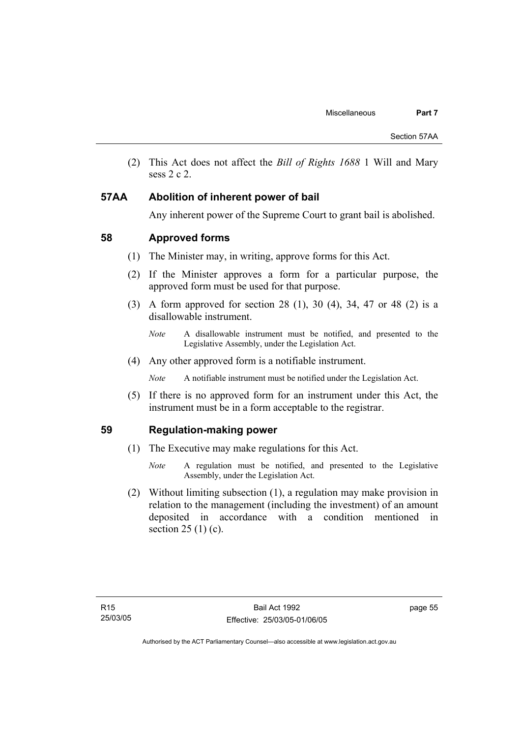(2) This Act does not affect the *Bill of Rights 1688* 1 Will and Mary sess 2 c 2.

## **57AA Abolition of inherent power of bail**

Any inherent power of the Supreme Court to grant bail is abolished.

# **58 Approved forms**

- (1) The Minister may, in writing, approve forms for this Act.
- (2) If the Minister approves a form for a particular purpose, the approved form must be used for that purpose.
- (3) A form approved for section 28 (1), 30 (4), 34, 47 or 48 (2) is a disallowable instrument.
	- *Note* A disallowable instrument must be notified, and presented to the Legislative Assembly, under the Legislation Act.
- (4) Any other approved form is a notifiable instrument.
	- *Note* A notifiable instrument must be notified under the Legislation Act.
- (5) If there is no approved form for an instrument under this Act, the instrument must be in a form acceptable to the registrar.

### **59 Regulation-making power**

- (1) The Executive may make regulations for this Act.
	- *Note* A regulation must be notified, and presented to the Legislative Assembly, under the Legislation Act.
- (2) Without limiting subsection (1), a regulation may make provision in relation to the management (including the investment) of an amount deposited in accordance with a condition mentioned in section  $25(1)(c)$ .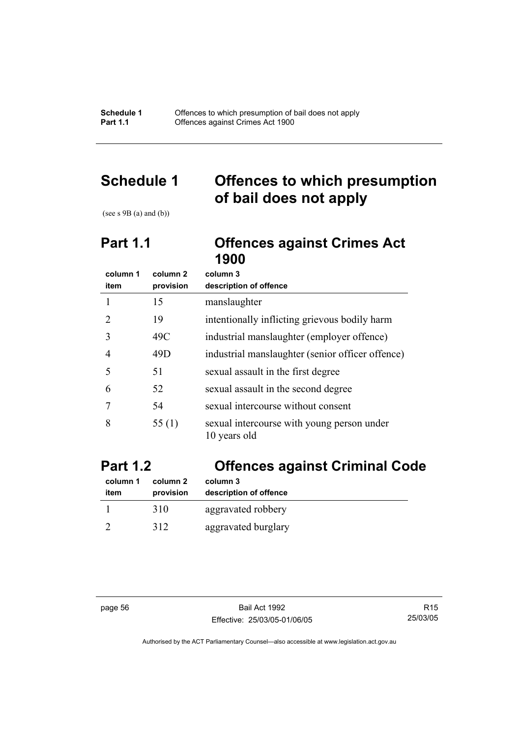**Schedule 1** Offences to which presumption of bail does not apply **Part 1.1 Compare Compare Crimes Act 1900** 

# **Schedule 1 Offences to which presumption of bail does not apply**

(see s 9B (a) and (b))

# **Part 1.1 Offences against Crimes Act 1900**

| column 1                    | column 2  | column 3                                                   |
|-----------------------------|-----------|------------------------------------------------------------|
| item                        | provision | description of offence                                     |
|                             | 15        | manslaughter                                               |
| $\mathcal{D}_{\mathcal{A}}$ | 19        | intentionally inflicting grievous bodily harm              |
| 3                           | 49C       | industrial manslaughter (employer offence)                 |
| 4                           | 49D       | industrial manslaughter (senior officer offence)           |
| 5                           | 51        | sexual assault in the first degree                         |
| 6                           | 52        | sexual assault in the second degree                        |
|                             | 54        | sexual intercourse without consent                         |
| 8                           | 55(1)     | sexual intercourse with young person under<br>10 years old |

# **Part 1.2 Offences against Criminal Code**

| column 1 | column 2  | column 3               |
|----------|-----------|------------------------|
| item     | provision | description of offence |
|          | 310       | aggravated robbery     |
|          | 312       | aggravated burglary    |

page 56 Bail Act 1992 Effective: 25/03/05-01/06/05

R15 25/03/05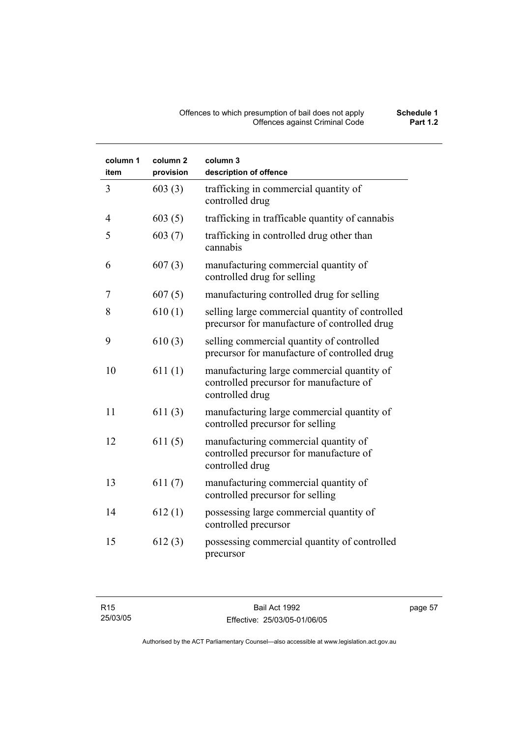#### Offences to which presumption of bail does not apply **Schedule 1** Offences against Criminal Code **Part 1.2**

| column 1<br>item | column 2<br>provision | column 3<br>description of offence                                                                       |
|------------------|-----------------------|----------------------------------------------------------------------------------------------------------|
| 3                | 603(3)                | trafficking in commercial quantity of<br>controlled drug                                                 |
| 4                | 603(5)                | trafficking in trafficable quantity of cannabis                                                          |
| 5                | 603(7)                | trafficking in controlled drug other than<br>cannabis                                                    |
| 6                | 607(3)                | manufacturing commercial quantity of<br>controlled drug for selling                                      |
| 7                | 607(5)                | manufacturing controlled drug for selling                                                                |
| 8                | 610(1)                | selling large commercial quantity of controlled<br>precursor for manufacture of controlled drug          |
| 9                | 610(3)                | selling commercial quantity of controlled<br>precursor for manufacture of controlled drug                |
| 10               | 611(1)                | manufacturing large commercial quantity of<br>controlled precursor for manufacture of<br>controlled drug |
| 11               | 611(3)                | manufacturing large commercial quantity of<br>controlled precursor for selling                           |
| 12               | 611(5)                | manufacturing commercial quantity of<br>controlled precursor for manufacture of<br>controlled drug       |
| 13               | 611(7)                | manufacturing commercial quantity of<br>controlled precursor for selling                                 |
| 14               | 612(1)                | possessing large commercial quantity of<br>controlled precursor                                          |
| 15               | 612(3)                | possessing commercial quantity of controlled<br>precursor                                                |

page 57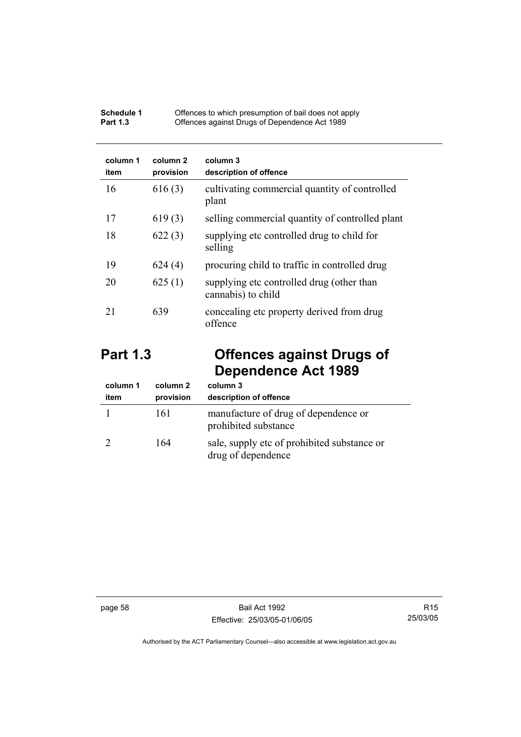| Schedule 1      | Offences to which presumption of bail does not apply |
|-----------------|------------------------------------------------------|
| <b>Part 1.3</b> | Offences against Drugs of Dependence Act 1989        |

| column 1<br>item | column 2<br>provision | column 3<br>description of offence                              |
|------------------|-----------------------|-----------------------------------------------------------------|
| 16               | 616(3)                | cultivating commercial quantity of controlled<br>plant          |
| 17               | 619(3)                | selling commercial quantity of controlled plant                 |
| 18               | 622(3)                | supplying etc controlled drug to child for<br>selling           |
| 19               | 624(4)                | procuring child to traffic in controlled drug                   |
| 20               | 625(1)                | supplying etc controlled drug (other than<br>cannabis) to child |
| 21               | 639                   | concealing etc property derived from drug<br>offence            |

# **Part 1.3 Offences against Drugs of Dependence Act 1989**

| column 1<br>item | column 2<br>provision | column 3<br>description of offence                                |
|------------------|-----------------------|-------------------------------------------------------------------|
|                  | 161                   | manufacture of drug of dependence or<br>prohibited substance      |
|                  | 164                   | sale, supply etc of prohibited substance or<br>drug of dependence |

page 58 Bail Act 1992 Effective: 25/03/05-01/06/05

R15 25/03/05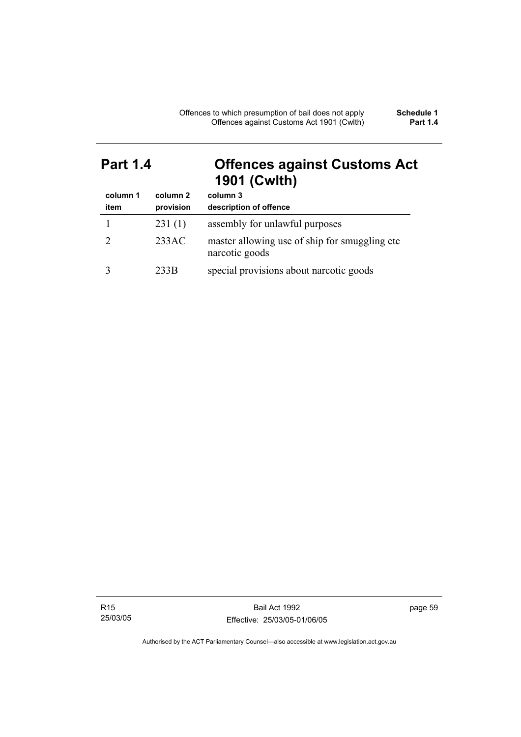# **Part 1.4 Offences against Customs Act 1901 (Cwlth)**

| column 1<br>item | column 2<br>provision | column 3<br>description of offence                              |
|------------------|-----------------------|-----------------------------------------------------------------|
|                  | 231(1)                | assembly for unlawful purposes                                  |
|                  | 233AC                 | master allowing use of ship for smuggling etc<br>narcotic goods |
|                  | 233B                  | special provisions about narcotic goods                         |

R15 25/03/05

Bail Act 1992 Effective: 25/03/05-01/06/05 page 59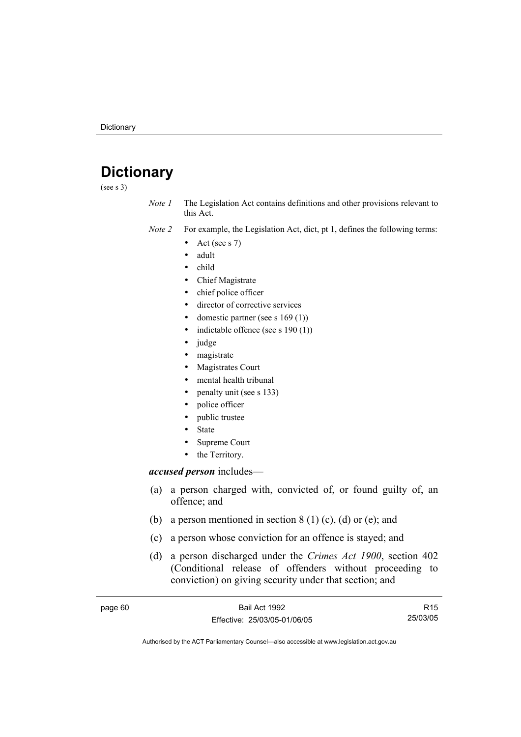# **Dictionary**

(see s 3)

*Note 1* The Legislation Act contains definitions and other provisions relevant to this Act.

*Note 2* For example, the Legislation Act, dict, pt 1, defines the following terms:

- Act (see s  $7$ )
- adult
- child
- Chief Magistrate
- chief police officer
- director of corrective services
- domestic partner (see s  $169(1)$ )
- indictable offence (see s  $190(1)$ )
- judge
- magistrate
- Magistrates Court
- mental health tribunal
- penalty unit (see s 133)
- police officer
- public trustee
- **State**
- Supreme Court
- the Territory.

#### *accused person* includes—

- (a) a person charged with, convicted of, or found guilty of, an offence; and
- (b) a person mentioned in section  $8(1)(c)$ , (d) or (e); and
- (c) a person whose conviction for an offence is stayed; and
- (d) a person discharged under the *Crimes Act 1900*, section 402 (Conditional release of offenders without proceeding to conviction) on giving security under that section; and

| page 60 | Bail Act 1992                | R <sub>15</sub> |
|---------|------------------------------|-----------------|
|         | Effective: 25/03/05-01/06/05 | 25/03/05        |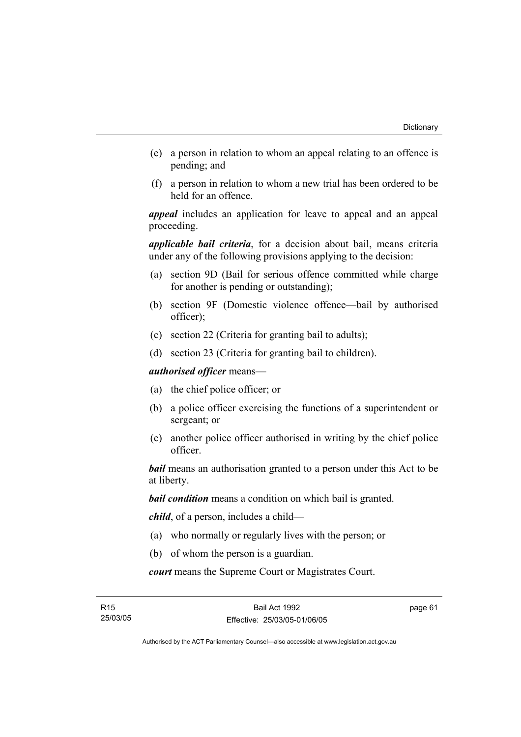- (e) a person in relation to whom an appeal relating to an offence is pending; and
- (f) a person in relation to whom a new trial has been ordered to be held for an offence.

*appeal* includes an application for leave to appeal and an appeal proceeding.

*applicable bail criteria*, for a decision about bail, means criteria under any of the following provisions applying to the decision:

- (a) section 9D (Bail for serious offence committed while charge for another is pending or outstanding);
- (b) section 9F (Domestic violence offence—bail by authorised officer);
- (c) section 22 (Criteria for granting bail to adults);
- (d) section 23 (Criteria for granting bail to children).

*authorised officer* means—

- (a) the chief police officer; or
- (b) a police officer exercising the functions of a superintendent or sergeant; or
- (c) another police officer authorised in writing by the chief police officer.

*bail* means an authorisation granted to a person under this Act to be at liberty.

*bail condition* means a condition on which bail is granted.

*child*, of a person, includes a child—

- (a) who normally or regularly lives with the person; or
- (b) of whom the person is a guardian.

*court* means the Supreme Court or Magistrates Court.

page 61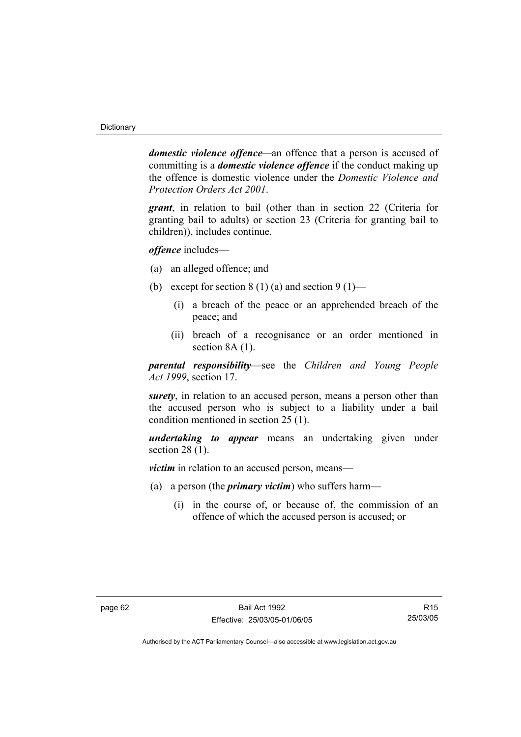*domestic violence offence—*an offence that a person is accused of committing is a *domestic violence offence* if the conduct making up the offence is domestic violence under the *Domestic Violence and Protection Orders Act 2001*.

*grant*, in relation to bail (other than in section 22 (Criteria for granting bail to adults) or section 23 (Criteria for granting bail to children)), includes continue.

*offence* includes—

- (a) an alleged offence; and
- (b) except for section 8 (1) (a) and section 9 (1)—
	- (i) a breach of the peace or an apprehended breach of the peace; and
	- (ii) breach of a recognisance or an order mentioned in section 8A  $(1)$ .

*parental responsibility*—see the *Children and Young People Act 1999*, section 17.

*surety*, in relation to an accused person, means a person other than the accused person who is subject to a liability under a bail condition mentioned in section 25 (1).

*undertaking to appear* means an undertaking given under section 28 (1).

*victim* in relation to an accused person, means—

- (a) a person (the *primary victim*) who suffers harm—
	- (i) in the course of, or because of, the commission of an offence of which the accused person is accused; or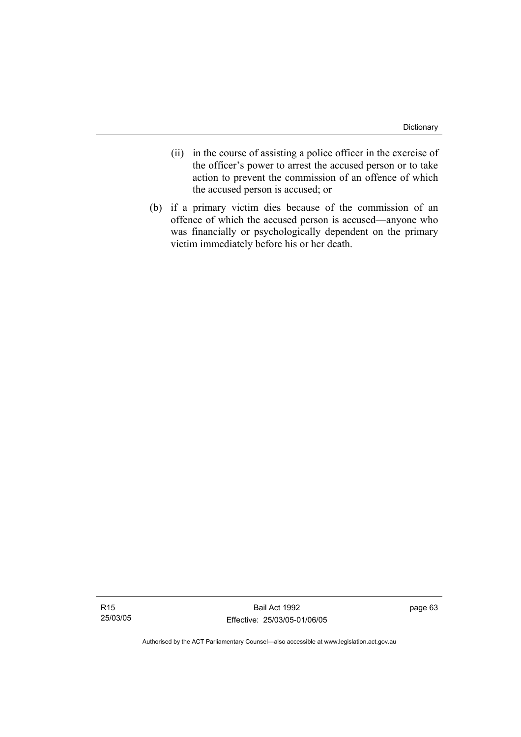- (ii) in the course of assisting a police officer in the exercise of the officer's power to arrest the accused person or to take action to prevent the commission of an offence of which the accused person is accused; or
- (b) if a primary victim dies because of the commission of an offence of which the accused person is accused—anyone who was financially or psychologically dependent on the primary victim immediately before his or her death.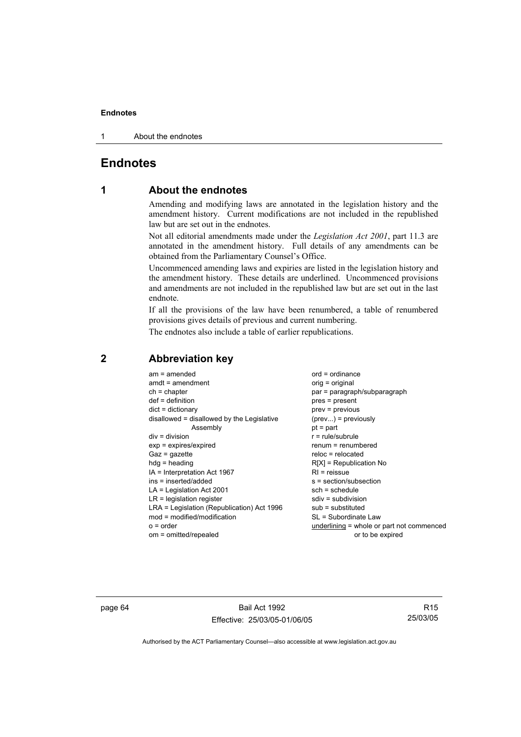#### **Endnotes**

1 About the endnotes

# **Endnotes**

# **1 About the endnotes**

Amending and modifying laws are annotated in the legislation history and the amendment history. Current modifications are not included in the republished law but are set out in the endnotes.

Not all editorial amendments made under the *Legislation Act 2001*, part 11.3 are annotated in the amendment history. Full details of any amendments can be obtained from the Parliamentary Counsel's Office.

Uncommenced amending laws and expiries are listed in the legislation history and the amendment history. These details are underlined. Uncommenced provisions and amendments are not included in the republished law but are set out in the last endnote.

If all the provisions of the law have been renumbered, a table of renumbered provisions gives details of previous and current numbering.

The endnotes also include a table of earlier republications.

| $am = amended$<br>$amdt = amendment$       | $ord = ordinance$<br>$orig = original$    |
|--------------------------------------------|-------------------------------------------|
| $ch = chapter$                             | par = paragraph/subparagraph              |
| $def = definition$                         | pres = present                            |
| $dict = dictionary$                        | prev = previous                           |
| disallowed = disallowed by the Legislative | $(\text{prev}) = \text{previously}$       |
| Assembly                                   | $pt = part$                               |
| $div = division$                           | $r = rule/subrule$                        |
| $exp = expires/expired$                    | renum = renumbered                        |
| $Gaz = gazette$                            | $reloc = relocated$                       |
| $hdg =$ heading                            | $R[X]$ = Republication No                 |
| IA = Interpretation Act 1967               | $RI =$ reissue                            |
| ins = inserted/added                       | $s = section/subsection$                  |
| $LA =$ Legislation Act 2001                | $sch = schedule$                          |
| $LR =$ legislation register                | $sdiv = subdivision$                      |
| LRA = Legislation (Republication) Act 1996 | $sub =$ substituted                       |
| $mod = modified/modification$              | SL = Subordinate Law                      |
| $o = order$                                | underlining = whole or part not commenced |
| om = omitted/repealed                      | or to be expired                          |

# **2 Abbreviation key**

page 64 Bail Act 1992 Effective: 25/03/05-01/06/05

R15 25/03/05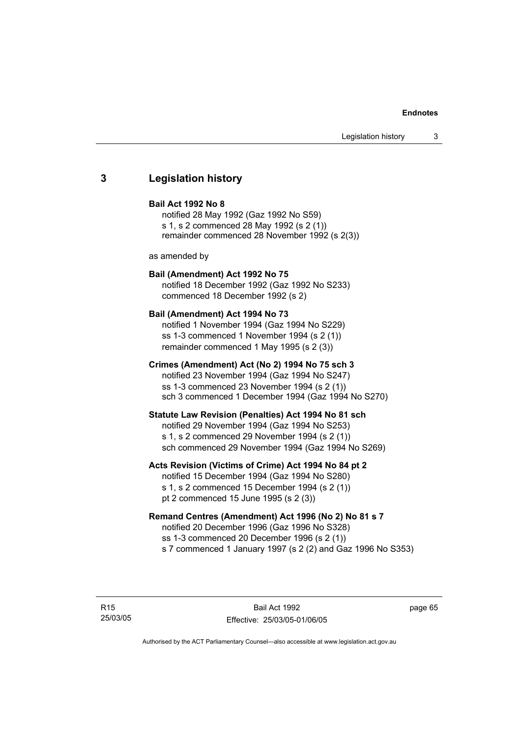#### **Endnotes**

#### **3 Legislation history**

#### **Bail Act 1992 No 8**

notified 28 May 1992 (Gaz 1992 No S59) s 1, s 2 commenced 28 May 1992 (s 2 (1)) remainder commenced 28 November 1992 (s 2(3))

as amended by

#### **Bail (Amendment) Act 1992 No 75**

notified 18 December 1992 (Gaz 1992 No S233) commenced 18 December 1992 (s 2)

#### **Bail (Amendment) Act 1994 No 73**

notified 1 November 1994 (Gaz 1994 No S229) ss 1-3 commenced 1 November 1994 (s 2 (1)) remainder commenced 1 May 1995 (s 2 (3))

#### **Crimes (Amendment) Act (No 2) 1994 No 75 sch 3**

notified 23 November 1994 (Gaz 1994 No S247) ss 1-3 commenced 23 November 1994 (s 2 (1)) sch 3 commenced 1 December 1994 (Gaz 1994 No S270)

#### **Statute Law Revision (Penalties) Act 1994 No 81 sch**

notified 29 November 1994 (Gaz 1994 No S253) s 1, s 2 commenced 29 November 1994 (s 2 (1)) sch commenced 29 November 1994 (Gaz 1994 No S269)

#### **Acts Revision (Victims of Crime) Act 1994 No 84 pt 2**

notified 15 December 1994 (Gaz 1994 No S280) s 1, s 2 commenced 15 December 1994 (s 2 (1)) pt 2 commenced 15 June 1995 (s 2 (3))

#### **Remand Centres (Amendment) Act 1996 (No 2) No 81 s 7**

notified 20 December 1996 (Gaz 1996 No S328) ss 1-3 commenced 20 December 1996 (s 2 (1)) s 7 commenced 1 January 1997 (s 2 (2) and Gaz 1996 No S353)

R15 25/03/05

Bail Act 1992 Effective: 25/03/05-01/06/05 page 65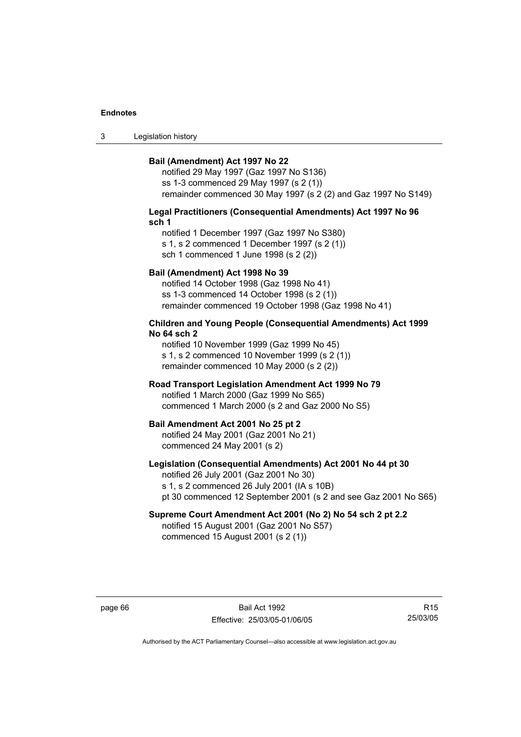#### **Endnotes**

3 Legislation history

#### **Bail (Amendment) Act 1997 No 22**

notified 29 May 1997 (Gaz 1997 No S136) ss 1-3 commenced 29 May 1997 (s 2 (1)) remainder commenced 30 May 1997 (s 2 (2) and Gaz 1997 No S149)

#### **Legal Practitioners (Consequential Amendments) Act 1997 No 96 sch 1**

notified 1 December 1997 (Gaz 1997 No S380) s 1, s 2 commenced 1 December 1997 (s 2 (1)) sch 1 commenced 1 June 1998 (s 2 (2))

#### **Bail (Amendment) Act 1998 No 39**

notified 14 October 1998 (Gaz 1998 No 41) ss 1-3 commenced 14 October 1998 (s 2 (1)) remainder commenced 19 October 1998 (Gaz 1998 No 41)

#### **Children and Young People (Consequential Amendments) Act 1999 No 64 sch 2**

notified 10 November 1999 (Gaz 1999 No 45) s 1, s 2 commenced 10 November 1999 (s 2 (1)) remainder commenced 10 May 2000 (s 2 (2))

#### **Road Transport Legislation Amendment Act 1999 No 79**

notified 1 March 2000 (Gaz 1999 No S65) commenced 1 March 2000 (s 2 and Gaz 2000 No S5)

#### **Bail Amendment Act 2001 No 25 pt 2**

notified 24 May 2001 (Gaz 2001 No 21) commenced 24 May 2001 (s 2)

#### **Legislation (Consequential Amendments) Act 2001 No 44 pt 30**

notified 26 July 2001 (Gaz 2001 No 30) s 1, s 2 commenced 26 July 2001 (IA s 10B) pt 30 commenced 12 September 2001 (s 2 and see Gaz 2001 No S65)

# **Supreme Court Amendment Act 2001 (No 2) No 54 sch 2 pt 2.2**

notified 15 August 2001 (Gaz 2001 No S57) commenced 15 August 2001 (s 2 (1))

page 66 Bail Act 1992 Effective: 25/03/05-01/06/05

R15 25/03/05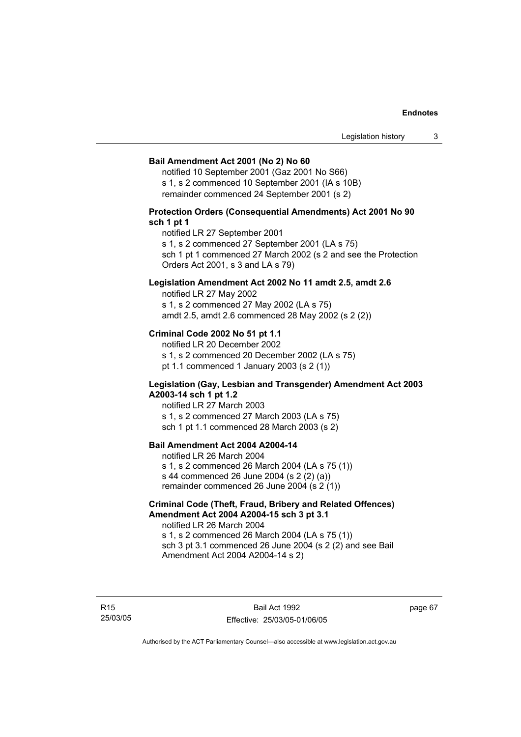#### **Bail Amendment Act 2001 (No 2) No 60**

notified 10 September 2001 (Gaz 2001 No S66) s 1, s 2 commenced 10 September 2001 (IA s 10B) remainder commenced 24 September 2001 (s 2)

## **Protection Orders (Consequential Amendments) Act 2001 No 90 sch 1 pt 1**

notified LR 27 September 2001

s 1, s 2 commenced 27 September 2001 (LA s 75)

sch 1 pt 1 commenced 27 March 2002 (s 2 and see the Protection Orders Act 2001, s 3 and LA s 79)

## **Legislation Amendment Act 2002 No 11 amdt 2.5, amdt 2.6**

notified LR 27 May 2002 s 1, s 2 commenced 27 May 2002 (LA s 75) amdt 2.5, amdt 2.6 commenced 28 May 2002 (s 2 (2))

### **Criminal Code 2002 No 51 pt 1.1**

notified LR 20 December 2002 s 1, s 2 commenced 20 December 2002 (LA s 75) pt 1.1 commenced 1 January 2003 (s 2 (1))

### **Legislation (Gay, Lesbian and Transgender) Amendment Act 2003 A2003-14 sch 1 pt 1.2**

notified LR 27 March 2003 s 1, s 2 commenced 27 March 2003 (LA s 75) sch 1 pt 1.1 commenced 28 March 2003 (s 2)

# **Bail Amendment Act 2004 A2004-14**

notified LR 26 March 2004 s 1, s 2 commenced 26 March 2004 (LA s 75 (1)) s 44 commenced 26 June 2004 (s 2 (2) (a)) remainder commenced 26 June 2004 (s 2 (1))

## **Criminal Code (Theft, Fraud, Bribery and Related Offences) Amendment Act 2004 A2004-15 sch 3 pt 3.1**

notified LR 26 March 2004 s 1, s 2 commenced 26 March 2004 (LA s 75 (1)) sch 3 pt 3.1 commenced 26 June 2004 (s 2 (2) and see Bail Amendment Act 2004 A2004-14 s 2)

R15 25/03/05 page 67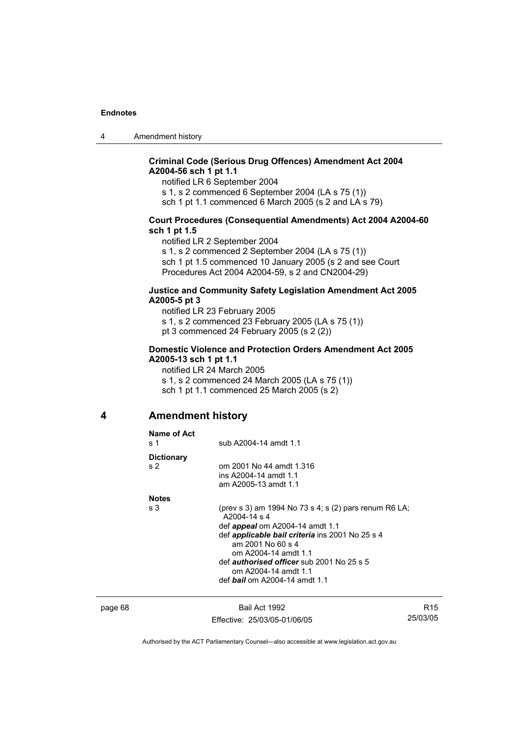4 Amendment history

# **Criminal Code (Serious Drug Offences) Amendment Act 2004 A2004-56 sch 1 pt 1.1**

notified LR 6 September 2004

s 1, s 2 commenced 6 September 2004 (LA s 75 (1))

sch 1 pt 1.1 commenced 6 March 2005 (s 2 and LA s 79)

### **Court Procedures (Consequential Amendments) Act 2004 A2004-60 sch 1 pt 1.5**

notified LR 2 September 2004

s 1, s 2 commenced 2 September 2004 (LA s 75 (1)) sch 1 pt 1.5 commenced 10 January 2005 (s 2 and see Court Procedures Act 2004 A2004-59, s 2 and CN2004-29)

### **Justice and Community Safety Legislation Amendment Act 2005 A2005-5 pt 3**

notified LR 23 February 2005 s 1, s 2 commenced 23 February 2005 (LA s 75 (1)) pt 3 commenced 24 February 2005 (s 2 (2))

## **Domestic Violence and Protection Orders Amendment Act 2005 A2005-13 sch 1 pt 1.1**

notified LR 24 March 2005 s 1, s 2 commenced 24 March 2005 (LA s 75 (1)) sch 1 pt 1.1 commenced 25 March 2005 (s 2)

# **4 Amendment history**

| Name of Act<br>s 1                  | sub A2004-14 amdt 1.1                                                                                                                                                                                                                                                                                                                        |  |
|-------------------------------------|----------------------------------------------------------------------------------------------------------------------------------------------------------------------------------------------------------------------------------------------------------------------------------------------------------------------------------------------|--|
| <b>Dictionary</b><br>s <sub>2</sub> | om 2001 No 44 amdt 1.316<br>ins A2004-14 amdt 1.1<br>am A2005-13 amdt 1.1                                                                                                                                                                                                                                                                    |  |
| <b>Notes</b><br>s <sub>3</sub>      | (prev s 3) am 1994 No 73 s 4; s $(2)$ pars renum R6 LA;<br>A2004-14 s 4<br>def <i>appeal</i> om A2004-14 amdt 1.1<br>def <i>applicable bail criteria</i> ins 2001 No 25 s 4<br>am 2001 No 60 s 4<br>om A2004-14 amdt 1.1<br>def <i>authorised officer</i> sub 2001 No 25 s 5<br>om A2004-14 amdt 1.1<br>def <b>bail</b> om A2004-14 amdt 1.1 |  |

page 68 Bail Act 1992 Effective: 25/03/05-01/06/05

R15 25/03/05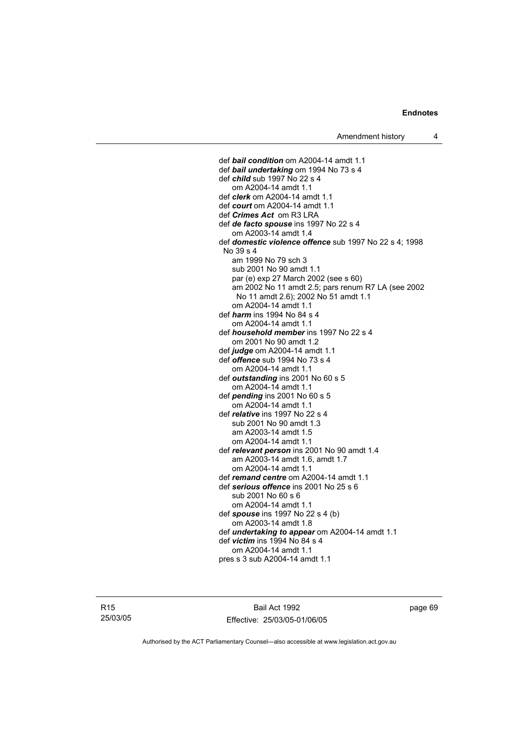def *bail condition* om A2004-14 amdt 1.1 def *bail undertaking* om 1994 No 73 s 4 def *child* sub 1997 No 22 s 4 om A2004-14 amdt 1.1 def *clerk* om A2004-14 amdt 1.1 def *court* om A2004-14 amdt 1.1 def *Crimes Act* om R3 LRA def *de facto spouse* ins 1997 No 22 s 4 om A2003-14 amdt 1.4 def *domestic violence offence* sub 1997 No 22 s 4; 1998 No 39 s 4 am 1999 No 79 sch 3 sub 2001 No 90 amdt 1.1 par (e) exp 27 March 2002 (see s 60) am 2002 No 11 amdt 2.5; pars renum R7 LA (see 2002 No 11 amdt 2.6); 2002 No 51 amdt 1.1 om A2004-14 amdt 1.1 def *harm* ins 1994 No 84 s 4 om A2004-14 amdt 1.1 def *household member* ins 1997 No 22 s 4 om 2001 No 90 amdt 1.2 def *judge* om A2004-14 amdt 1.1 def *offence* sub 1994 No 73 s 4 om A2004-14 amdt 1.1 def *outstanding* ins 2001 No 60 s 5 om A2004-14 amdt 1.1 def *pending* ins 2001 No 60 s 5 om A2004-14 amdt 1.1 def *relative* ins 1997 No 22 s 4 sub 2001 No 90 amdt 1.3 am A2003-14 amdt 1.5 om A2004-14 amdt 1.1 def *relevant person* ins 2001 No 90 amdt 1.4 am A2003-14 amdt 1.6, amdt 1.7 om A2004-14 amdt 1.1 def *remand centre* om A2004-14 amdt 1.1 def *serious offence* ins 2001 No 25 s 6 sub 2001 No 60 s 6 om A2004-14 amdt 1.1 def *spouse* ins 1997 No 22 s 4 (b) om A2003-14 amdt 1.8 def *undertaking to appear* om A2004-14 amdt 1.1 def *victim* ins 1994 No 84 s 4 om A2004-14 amdt 1.1 pres s 3 sub A2004-14 amdt 1.1

R15 25/03/05

Bail Act 1992 Effective: 25/03/05-01/06/05 page 69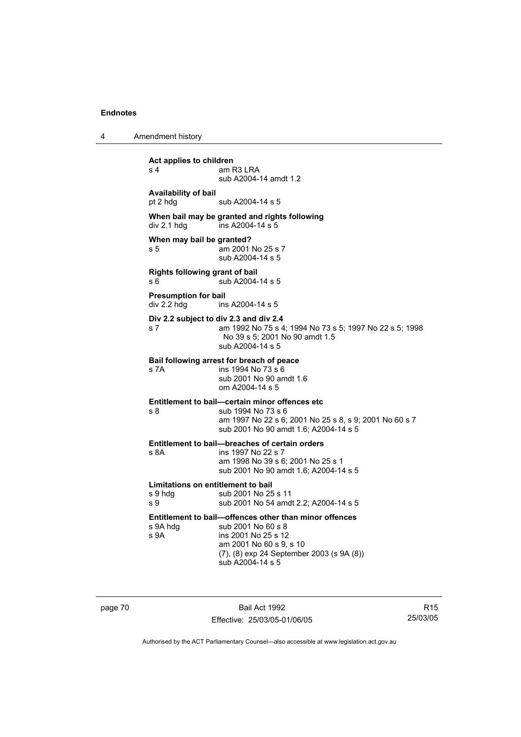4 Amendment history

**Act applies to children**  s 4 am R3 LRA sub A2004-14 amdt 1.2 **Availability of bail**  pt 2 hdg sub A2004-14 s 5 **When bail may be granted and rights following**  div 2.1 hdg ins A2004-14 s 5 **When may bail be granted?**  s 5 am 2001 No 25 s 7 sub A2004-14 s 5 **Rights following grant of bail**  s 6  $\overline{\smash{\big)}\smash{\big)}\smash{\big)}\smash{\big)}\smash{\big)}\smash{\big)}\smash{\big)}\smash{\big)}\smash{\big)}\smash{\big)}\smash{\big)}\smash{\big)}\smash{\big)}\smash{\big)}\smash{\big)}\smash{\big)}\smash{\big)}\smash{\big)}\smash{\big)}\smash{\big)}\smash{\big)}\smash{\big)}\smash{\big)}\smash{\big)}\smash{\big)}\smash{\big)}\smash{\big)}\smash{\big)}\smash{\big)}\smash{\big)}\smash{\big)}\smash{\big)}\smash{\big)}\smash{\big)}\smash{\big)}\smash{\$ **Presumption for bail**   $div 2.2$  hdg ins A2004-14 s 5 **Div 2.2 subject to div 2.3 and div 2.4** s 7 am 1992 No 75 s 4; 1994 No 73 s 5; 1997 No 22 s 5; 1998 No 39 s 5; 2001 No 90 amdt 1.5 sub A2004-14 s 5 **Bail following arrest for breach of peace** ins 1994 No  $73 s 6$  sub 2001 No 90 amdt 1.6 om A2004-14 s 5 **Entitlement to bail—certain minor offences etc** s 8 sub 1994 No 73 s 6 am 1997 No 22 s 6; 2001 No 25 s 8, s 9; 2001 No 60 s 7 sub 2001 No 90 amdt 1.6; A2004-14 s 5 **Entitlement to bail—breaches of certain orders** s 8A ins 1997 No 22 s 7 am 1998 No 39 s 6; 2001 No 25 s 1 sub 2001 No 90 amdt 1.6; A2004-14 s 5 **Limitations on entitlement to bail**<br>
s 9 hdg sub 2001 No 25 sub 2001 No 25 s 11 s 9 sub 2001 No 54 amdt 2.2; A2004-14 s 5 **Entitlement to bail—offences other than minor offences**  s 9A hdg sub 2001 No 60 s 8 s 9A ins 2001 No 25 s 12 am 2001 No 60 s 9, s 10 (7), (8) exp 24 September 2003 (s 9A (8)) sub A2004-14 s 5

page 70 Bail Act 1992 Effective: 25/03/05-01/06/05

R15 25/03/05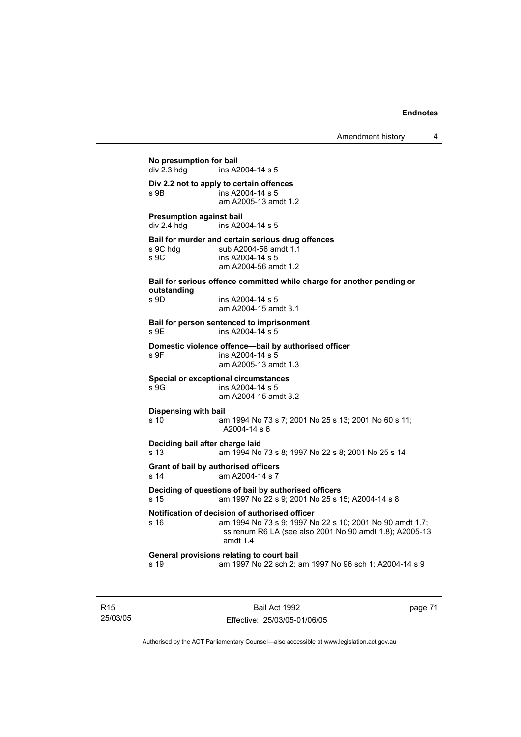```
No presumption for bail 
                 ins A2004-14 s 5
Div 2.2 not to apply to certain offences 
s 9B ins A2004-14 s 5
                 am A2005-13 amdt 1.2 
Presumption against bail 
div 2.4 hdg ins A2004-14 s 5 
Bail for murder and certain serious drug offences 
                sub A2004-56 amdt 1.1
s 9C ins A2004-14 s 5 
                 am A2004-56 amdt 1.2 
Bail for serious offence committed while charge for another pending or 
outstanding 
s 9D ins A2004-14 s 5 
                 am A2004-15 amdt 3.1 
Bail for person sentenced to imprisonment 
s 9E ins A2004-14 s 5 
Domestic violence offence—bail by authorised officer 
s 9F ins A2004-14 s 5
                  am A2005-13 amdt 1.3 
Special or exceptional circumstances 
s 9G ins A2004-14 s 5 
                 am A2004-15 amdt 3.2 
Dispensing with bail
s 10 am 1994 No 73 s 7; 2001 No 25 s 13; 2001 No 60 s 11; 
                 A2004-14 s 6 
Deciding bail after charge laid
s 13 am 1994 No 73 s 8; 1997 No 22 s 8; 2001 No 25 s 14 
Grant of bail by authorised officers 
s 14 am A2004-14 s 7 
Deciding of questions of bail by authorised officers
s 15 am 1997 No 22 s 9; 2001 No 25 s 15; A2004-14 s 8 
Notification of decision of authorised officer
s 16 am 1994 No 73 s 9; 1997 No 22 s 10; 2001 No 90 amdt 1.7; 
                 ss renum R6 LA (see also 2001 No 90 amdt 1.8); A2005-13 
                  amdt 1.4 
General provisions relating to court bail
s 19 am 1997 No 22 sch 2; am 1997 No 96 sch 1; A2004-14 s 9
```
R15 25/03/05

Bail Act 1992 Effective: 25/03/05-01/06/05 page 71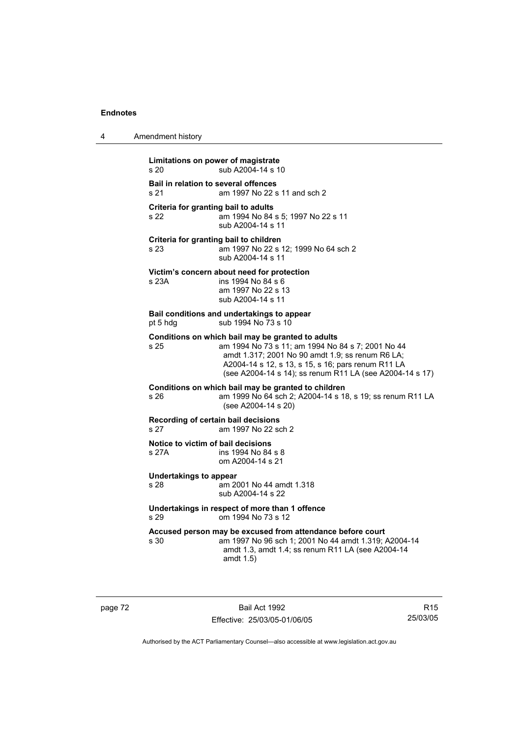4 Amendment history

| Limitations on power of magistrate<br>sub A2004-14 s 10<br>s 20               |                                                                                                                                                                                                                                                                              |  |  |
|-------------------------------------------------------------------------------|------------------------------------------------------------------------------------------------------------------------------------------------------------------------------------------------------------------------------------------------------------------------------|--|--|
| Bail in relation to several offences<br>s 21                                  | am 1997 No 22 s 11 and sch 2                                                                                                                                                                                                                                                 |  |  |
| Criteria for granting bail to adults<br>s 22                                  | am 1994 No 84 s 5; 1997 No 22 s 11<br>sub A2004-14 s 11                                                                                                                                                                                                                      |  |  |
| Criteria for granting bail to children<br>s 23                                | am 1997 No 22 s 12; 1999 No 64 sch 2<br>sub A2004-14 s 11                                                                                                                                                                                                                    |  |  |
| s 23A                                                                         | Victim's concern about need for protection<br>ins 1994 No 84 s 6<br>am 1997 No 22 s 13<br>sub A2004-14 s 11                                                                                                                                                                  |  |  |
| Bail conditions and undertakings to appear<br>sub 1994 No 73 s 10<br>pt 5 hdg |                                                                                                                                                                                                                                                                              |  |  |
| s 25                                                                          | Conditions on which bail may be granted to adults<br>am 1994 No 73 s 11; am 1994 No 84 s 7; 2001 No 44<br>amdt 1.317; 2001 No 90 amdt 1.9; ss renum R6 LA;<br>A2004-14 s 12, s 13, s 15, s 16; pars renum R11 LA<br>(see A2004-14 s 14); ss renum R11 LA (see A2004-14 s 17) |  |  |
| s <sub>26</sub>                                                               | Conditions on which bail may be granted to children<br>am 1999 No 64 sch 2; A2004-14 s 18, s 19; ss renum R11 LA<br>(see A2004-14 s 20)                                                                                                                                      |  |  |
| Recording of certain bail decisions<br>s 27<br>am 1997 No 22 sch 2            |                                                                                                                                                                                                                                                                              |  |  |
| Notice to victim of bail decisions<br>s 27A                                   | ins 1994 No 84 s 8<br>om A2004-14 s 21                                                                                                                                                                                                                                       |  |  |
| <b>Undertakings to appear</b><br>s 28                                         | am 2001 No 44 amdt 1.318<br>sub A2004-14 s 22                                                                                                                                                                                                                                |  |  |
| Undertakings in respect of more than 1 offence<br>om 1994 No 73 s 12<br>s 29  |                                                                                                                                                                                                                                                                              |  |  |
| s 30                                                                          | Accused person may be excused from attendance before court<br>am 1997 No 96 sch 1; 2001 No 44 amdt 1.319; A2004-14<br>amdt 1.3, amdt 1.4; ss renum R11 LA (see A2004-14<br>amdt 1.5)                                                                                         |  |  |
|                                                                               |                                                                                                                                                                                                                                                                              |  |  |

page 72 Bail Act 1992 Effective: 25/03/05-01/06/05

R15 25/03/05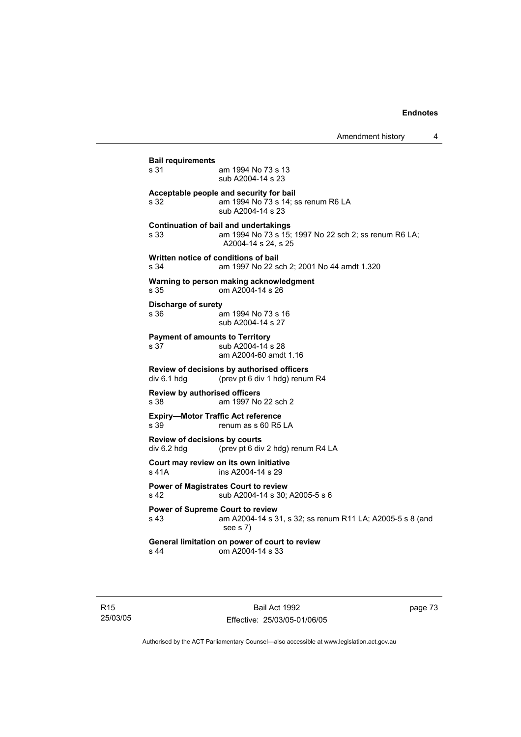| s 31                                                                | am 1994 No 73 s 13                                                            |  |
|---------------------------------------------------------------------|-------------------------------------------------------------------------------|--|
|                                                                     | sub A2004-14 s 23                                                             |  |
|                                                                     | Acceptable people and security for bail                                       |  |
| s 32                                                                | am 1994 No 73 s 14; ss renum R6 LA<br>sub A2004-14 s 23                       |  |
|                                                                     | <b>Continuation of bail and undertakings</b>                                  |  |
| s 33                                                                | am 1994 No 73 s 15; 1997 No 22 sch 2; ss renum R6 LA;<br>A2004-14 s 24, s 25  |  |
|                                                                     | Written notice of conditions of bail                                          |  |
| s 34                                                                | am 1997 No 22 sch 2; 2001 No 44 amdt 1.320                                    |  |
| Warning to person making acknowledgment<br>s 35<br>om A2004-14 s 26 |                                                                               |  |
| <b>Discharge of surety</b>                                          |                                                                               |  |
| s 36                                                                | am 1994 No 73 s 16<br>sub A2004-14 s 27                                       |  |
|                                                                     | <b>Payment of amounts to Territory</b>                                        |  |
| s 37                                                                | sub A2004-14 s 28<br>am A2004-60 amdt 1.16                                    |  |
|                                                                     | Review of decisions by authorised officers                                    |  |
| div 6.1 hdg                                                         | (prev pt 6 div 1 hdg) renum R4                                                |  |
|                                                                     | <b>Review by authorised officers</b>                                          |  |
| s 38                                                                | am 1997 No 22 sch 2                                                           |  |
| s 39                                                                | <b>Expiry-Motor Traffic Act reference</b><br>renum as s 60 R5 LA              |  |
|                                                                     | Review of decisions by courts                                                 |  |
| div 6.2 hdg                                                         | (prev pt 6 div 2 hdg) renum R4 LA                                             |  |
| s 41A                                                               | Court may review on its own initiative<br>ins A2004-14 s 29                   |  |
| s 42                                                                | <b>Power of Magistrates Court to review</b><br>sub A2004-14 s 30; A2005-5 s 6 |  |
|                                                                     | <b>Power of Supreme Court to review</b>                                       |  |
| s 43                                                                | am A2004-14 s 31, s 32; ss renum R11 LA; A2005-5 s 8 (and<br>see s 7)         |  |
|                                                                     | General limitation on power of court to review                                |  |
| s 44                                                                | om A2004-14 s 33                                                              |  |

R15 25/03/05 page 73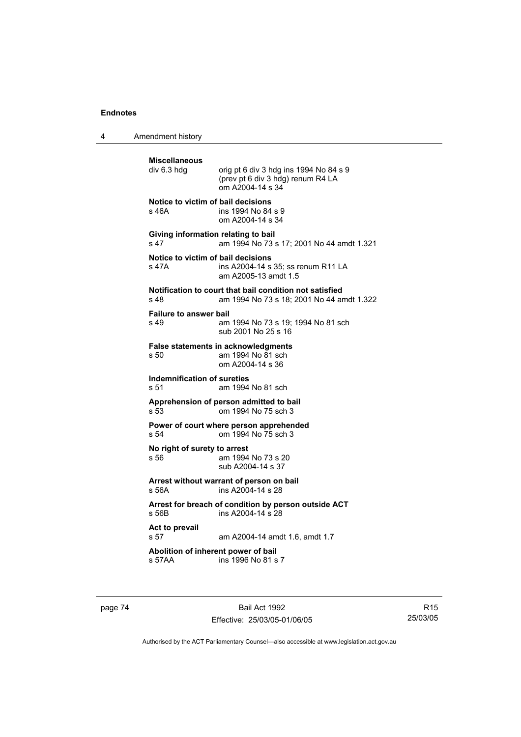4 Amendment history

**Miscellaneous**  orig pt 6 div 3 hdg ins 1994 No 84 s 9 (prev pt 6 div 3 hdg) renum R4 LA om A2004-14 s 34 **Notice to victim of bail decisions** s 46A ins 1994 No 84 s 9 om A2004-14 s 34 **Giving information relating to bail** s 47 am 1994 No 73 s 17; 2001 No 44 amdt 1.321 **Notice to victim of bail decisions** s 47A ins A2004-14 s 35; ss renum R11 LA am A2005-13 amdt 1.5 **Notification to court that bail condition not satisfied** s 48 am 1994 No 73 s 18; 2001 No 44 amdt 1.322 **Failure to answer bail**<br>s 49 am am 1994 No 73 s 19: 1994 No 81 sch sub 2001 No 25 s 16 **False statements in acknowledgments** s 50 am 1994 No 81 sch om A2004-14 s 36 **Indemnification of sureties** s 51 am 1994 No 81 sch **Apprehension of person admitted to bail** s 53 om 1994 No 75 sch 3 **Power of court where person apprehended** s 54 om 1994 No 75 sch 3 **No right of surety to arrest** s 56 am 1994 No 73 s 20 sub A2004-14 s 37 **Arrest without warrant of person on bail** s 56A ins A2004-14 s 28 **Arrest for breach of condition by person outside ACT**  $ins A2004-14 S 28$ **Act to prevail**  s 57 am A2004-14 amdt 1.6, amdt 1.7 **Abolition of inherent power of bail**<br>s 57AA ins 1996 No 81 s ins 1996 No 81 s 7

page 74 Bail Act 1992 Effective: 25/03/05-01/06/05

R15 25/03/05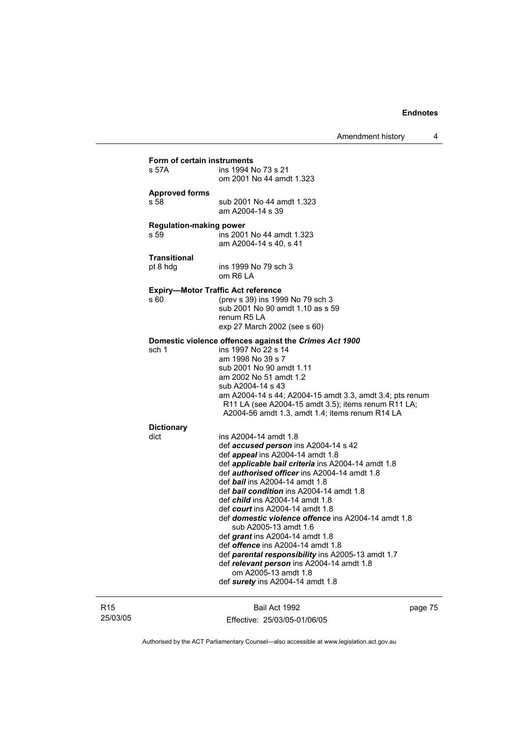| Form of certain instruments<br>ins 1994 No 73 s 21<br>s 57A<br>om 2001 No 44 amdt 1.323<br><b>Approved forms</b><br>s 58<br>sub 2001 No 44 amdt 1.323<br>am A2004-14 s 39<br><b>Regulation-making power</b><br>s 59<br>ins 2001 No 44 amdt 1.323<br>am A2004-14 s 40, s 41<br><b>Transitional</b><br>pt 8 hdg<br>ins 1999 No 79 sch 3<br>om R6 LA<br><b>Expiry-Motor Traffic Act reference</b><br>(prev s 39) ins 1999 No 79 sch 3<br>s 60<br>sub 2001 No 90 amdt 1.10 as s 59<br>renum R <sub>5</sub> LA<br>exp 27 March 2002 (see s 60)<br>Domestic violence offences against the Crimes Act 1900<br>ins 1997 No 22 s 14<br>sch 1<br>am 1998 No 39 s 7<br>sub 2001 No 90 amdt 1.11<br>am 2002 No 51 amdt 1.2<br>sub A2004-14 s 43<br>am A2004-14 s 44; A2004-15 amdt 3.3, amdt 3.4; pts renum<br>R11 LA (see A2004-15 amdt 3.5); items renum R11 LA;<br>A2004-56 amdt 1.3, amdt 1.4; items renum R14 LA<br><b>Dictionary</b><br>dict<br>ins A2004-14 amdt 1.8<br>def accused person ins A2004-14 s 42<br>def appeal ins A2004-14 amdt 1.8<br>def <i>applicable bail criteria</i> ins A2004-14 amdt 1.8<br>def <i>authorised officer</i> ins A2004-14 amdt 1.8<br>def bail ins A2004-14 amdt 1.8<br>def bail condition ins A2004-14 amdt 1.8<br>def <i>child</i> ins A2004-14 amdt 1.8<br>def <i>court</i> ins A2004-14 amdt 1.8<br>def <i>domestic violence offence</i> ins A2004-14 amdt 1.8<br>sub A2005-13 amdt 1.6<br>def <i>grant</i> ins A2004-14 amdt 1.8<br>def <i>offence</i> ins A2004-14 amdt 1.8<br>def parental responsibility ins A2005-13 amdt 1.7<br>def relevant person ins A2004-14 amdt 1.8<br>om A2005-13 amdt 1.8<br>def surety ins A2004-14 amdt 1.8 |  |  |  |  |  |
|------------------------------------------------------------------------------------------------------------------------------------------------------------------------------------------------------------------------------------------------------------------------------------------------------------------------------------------------------------------------------------------------------------------------------------------------------------------------------------------------------------------------------------------------------------------------------------------------------------------------------------------------------------------------------------------------------------------------------------------------------------------------------------------------------------------------------------------------------------------------------------------------------------------------------------------------------------------------------------------------------------------------------------------------------------------------------------------------------------------------------------------------------------------------------------------------------------------------------------------------------------------------------------------------------------------------------------------------------------------------------------------------------------------------------------------------------------------------------------------------------------------------------------------------------------------------------------------------------------------------------------------------------------------------------|--|--|--|--|--|
|                                                                                                                                                                                                                                                                                                                                                                                                                                                                                                                                                                                                                                                                                                                                                                                                                                                                                                                                                                                                                                                                                                                                                                                                                                                                                                                                                                                                                                                                                                                                                                                                                                                                              |  |  |  |  |  |
|                                                                                                                                                                                                                                                                                                                                                                                                                                                                                                                                                                                                                                                                                                                                                                                                                                                                                                                                                                                                                                                                                                                                                                                                                                                                                                                                                                                                                                                                                                                                                                                                                                                                              |  |  |  |  |  |
|                                                                                                                                                                                                                                                                                                                                                                                                                                                                                                                                                                                                                                                                                                                                                                                                                                                                                                                                                                                                                                                                                                                                                                                                                                                                                                                                                                                                                                                                                                                                                                                                                                                                              |  |  |  |  |  |
|                                                                                                                                                                                                                                                                                                                                                                                                                                                                                                                                                                                                                                                                                                                                                                                                                                                                                                                                                                                                                                                                                                                                                                                                                                                                                                                                                                                                                                                                                                                                                                                                                                                                              |  |  |  |  |  |
|                                                                                                                                                                                                                                                                                                                                                                                                                                                                                                                                                                                                                                                                                                                                                                                                                                                                                                                                                                                                                                                                                                                                                                                                                                                                                                                                                                                                                                                                                                                                                                                                                                                                              |  |  |  |  |  |
|                                                                                                                                                                                                                                                                                                                                                                                                                                                                                                                                                                                                                                                                                                                                                                                                                                                                                                                                                                                                                                                                                                                                                                                                                                                                                                                                                                                                                                                                                                                                                                                                                                                                              |  |  |  |  |  |
|                                                                                                                                                                                                                                                                                                                                                                                                                                                                                                                                                                                                                                                                                                                                                                                                                                                                                                                                                                                                                                                                                                                                                                                                                                                                                                                                                                                                                                                                                                                                                                                                                                                                              |  |  |  |  |  |
|                                                                                                                                                                                                                                                                                                                                                                                                                                                                                                                                                                                                                                                                                                                                                                                                                                                                                                                                                                                                                                                                                                                                                                                                                                                                                                                                                                                                                                                                                                                                                                                                                                                                              |  |  |  |  |  |
|                                                                                                                                                                                                                                                                                                                                                                                                                                                                                                                                                                                                                                                                                                                                                                                                                                                                                                                                                                                                                                                                                                                                                                                                                                                                                                                                                                                                                                                                                                                                                                                                                                                                              |  |  |  |  |  |
|                                                                                                                                                                                                                                                                                                                                                                                                                                                                                                                                                                                                                                                                                                                                                                                                                                                                                                                                                                                                                                                                                                                                                                                                                                                                                                                                                                                                                                                                                                                                                                                                                                                                              |  |  |  |  |  |
|                                                                                                                                                                                                                                                                                                                                                                                                                                                                                                                                                                                                                                                                                                                                                                                                                                                                                                                                                                                                                                                                                                                                                                                                                                                                                                                                                                                                                                                                                                                                                                                                                                                                              |  |  |  |  |  |
|                                                                                                                                                                                                                                                                                                                                                                                                                                                                                                                                                                                                                                                                                                                                                                                                                                                                                                                                                                                                                                                                                                                                                                                                                                                                                                                                                                                                                                                                                                                                                                                                                                                                              |  |  |  |  |  |
|                                                                                                                                                                                                                                                                                                                                                                                                                                                                                                                                                                                                                                                                                                                                                                                                                                                                                                                                                                                                                                                                                                                                                                                                                                                                                                                                                                                                                                                                                                                                                                                                                                                                              |  |  |  |  |  |
|                                                                                                                                                                                                                                                                                                                                                                                                                                                                                                                                                                                                                                                                                                                                                                                                                                                                                                                                                                                                                                                                                                                                                                                                                                                                                                                                                                                                                                                                                                                                                                                                                                                                              |  |  |  |  |  |
|                                                                                                                                                                                                                                                                                                                                                                                                                                                                                                                                                                                                                                                                                                                                                                                                                                                                                                                                                                                                                                                                                                                                                                                                                                                                                                                                                                                                                                                                                                                                                                                                                                                                              |  |  |  |  |  |
|                                                                                                                                                                                                                                                                                                                                                                                                                                                                                                                                                                                                                                                                                                                                                                                                                                                                                                                                                                                                                                                                                                                                                                                                                                                                                                                                                                                                                                                                                                                                                                                                                                                                              |  |  |  |  |  |
|                                                                                                                                                                                                                                                                                                                                                                                                                                                                                                                                                                                                                                                                                                                                                                                                                                                                                                                                                                                                                                                                                                                                                                                                                                                                                                                                                                                                                                                                                                                                                                                                                                                                              |  |  |  |  |  |
|                                                                                                                                                                                                                                                                                                                                                                                                                                                                                                                                                                                                                                                                                                                                                                                                                                                                                                                                                                                                                                                                                                                                                                                                                                                                                                                                                                                                                                                                                                                                                                                                                                                                              |  |  |  |  |  |
|                                                                                                                                                                                                                                                                                                                                                                                                                                                                                                                                                                                                                                                                                                                                                                                                                                                                                                                                                                                                                                                                                                                                                                                                                                                                                                                                                                                                                                                                                                                                                                                                                                                                              |  |  |  |  |  |
|                                                                                                                                                                                                                                                                                                                                                                                                                                                                                                                                                                                                                                                                                                                                                                                                                                                                                                                                                                                                                                                                                                                                                                                                                                                                                                                                                                                                                                                                                                                                                                                                                                                                              |  |  |  |  |  |
|                                                                                                                                                                                                                                                                                                                                                                                                                                                                                                                                                                                                                                                                                                                                                                                                                                                                                                                                                                                                                                                                                                                                                                                                                                                                                                                                                                                                                                                                                                                                                                                                                                                                              |  |  |  |  |  |
|                                                                                                                                                                                                                                                                                                                                                                                                                                                                                                                                                                                                                                                                                                                                                                                                                                                                                                                                                                                                                                                                                                                                                                                                                                                                                                                                                                                                                                                                                                                                                                                                                                                                              |  |  |  |  |  |
|                                                                                                                                                                                                                                                                                                                                                                                                                                                                                                                                                                                                                                                                                                                                                                                                                                                                                                                                                                                                                                                                                                                                                                                                                                                                                                                                                                                                                                                                                                                                                                                                                                                                              |  |  |  |  |  |
|                                                                                                                                                                                                                                                                                                                                                                                                                                                                                                                                                                                                                                                                                                                                                                                                                                                                                                                                                                                                                                                                                                                                                                                                                                                                                                                                                                                                                                                                                                                                                                                                                                                                              |  |  |  |  |  |
|                                                                                                                                                                                                                                                                                                                                                                                                                                                                                                                                                                                                                                                                                                                                                                                                                                                                                                                                                                                                                                                                                                                                                                                                                                                                                                                                                                                                                                                                                                                                                                                                                                                                              |  |  |  |  |  |
|                                                                                                                                                                                                                                                                                                                                                                                                                                                                                                                                                                                                                                                                                                                                                                                                                                                                                                                                                                                                                                                                                                                                                                                                                                                                                                                                                                                                                                                                                                                                                                                                                                                                              |  |  |  |  |  |
|                                                                                                                                                                                                                                                                                                                                                                                                                                                                                                                                                                                                                                                                                                                                                                                                                                                                                                                                                                                                                                                                                                                                                                                                                                                                                                                                                                                                                                                                                                                                                                                                                                                                              |  |  |  |  |  |
|                                                                                                                                                                                                                                                                                                                                                                                                                                                                                                                                                                                                                                                                                                                                                                                                                                                                                                                                                                                                                                                                                                                                                                                                                                                                                                                                                                                                                                                                                                                                                                                                                                                                              |  |  |  |  |  |
|                                                                                                                                                                                                                                                                                                                                                                                                                                                                                                                                                                                                                                                                                                                                                                                                                                                                                                                                                                                                                                                                                                                                                                                                                                                                                                                                                                                                                                                                                                                                                                                                                                                                              |  |  |  |  |  |
|                                                                                                                                                                                                                                                                                                                                                                                                                                                                                                                                                                                                                                                                                                                                                                                                                                                                                                                                                                                                                                                                                                                                                                                                                                                                                                                                                                                                                                                                                                                                                                                                                                                                              |  |  |  |  |  |
|                                                                                                                                                                                                                                                                                                                                                                                                                                                                                                                                                                                                                                                                                                                                                                                                                                                                                                                                                                                                                                                                                                                                                                                                                                                                                                                                                                                                                                                                                                                                                                                                                                                                              |  |  |  |  |  |
|                                                                                                                                                                                                                                                                                                                                                                                                                                                                                                                                                                                                                                                                                                                                                                                                                                                                                                                                                                                                                                                                                                                                                                                                                                                                                                                                                                                                                                                                                                                                                                                                                                                                              |  |  |  |  |  |
|                                                                                                                                                                                                                                                                                                                                                                                                                                                                                                                                                                                                                                                                                                                                                                                                                                                                                                                                                                                                                                                                                                                                                                                                                                                                                                                                                                                                                                                                                                                                                                                                                                                                              |  |  |  |  |  |
|                                                                                                                                                                                                                                                                                                                                                                                                                                                                                                                                                                                                                                                                                                                                                                                                                                                                                                                                                                                                                                                                                                                                                                                                                                                                                                                                                                                                                                                                                                                                                                                                                                                                              |  |  |  |  |  |
|                                                                                                                                                                                                                                                                                                                                                                                                                                                                                                                                                                                                                                                                                                                                                                                                                                                                                                                                                                                                                                                                                                                                                                                                                                                                                                                                                                                                                                                                                                                                                                                                                                                                              |  |  |  |  |  |
|                                                                                                                                                                                                                                                                                                                                                                                                                                                                                                                                                                                                                                                                                                                                                                                                                                                                                                                                                                                                                                                                                                                                                                                                                                                                                                                                                                                                                                                                                                                                                                                                                                                                              |  |  |  |  |  |
|                                                                                                                                                                                                                                                                                                                                                                                                                                                                                                                                                                                                                                                                                                                                                                                                                                                                                                                                                                                                                                                                                                                                                                                                                                                                                                                                                                                                                                                                                                                                                                                                                                                                              |  |  |  |  |  |
|                                                                                                                                                                                                                                                                                                                                                                                                                                                                                                                                                                                                                                                                                                                                                                                                                                                                                                                                                                                                                                                                                                                                                                                                                                                                                                                                                                                                                                                                                                                                                                                                                                                                              |  |  |  |  |  |
|                                                                                                                                                                                                                                                                                                                                                                                                                                                                                                                                                                                                                                                                                                                                                                                                                                                                                                                                                                                                                                                                                                                                                                                                                                                                                                                                                                                                                                                                                                                                                                                                                                                                              |  |  |  |  |  |
|                                                                                                                                                                                                                                                                                                                                                                                                                                                                                                                                                                                                                                                                                                                                                                                                                                                                                                                                                                                                                                                                                                                                                                                                                                                                                                                                                                                                                                                                                                                                                                                                                                                                              |  |  |  |  |  |
|                                                                                                                                                                                                                                                                                                                                                                                                                                                                                                                                                                                                                                                                                                                                                                                                                                                                                                                                                                                                                                                                                                                                                                                                                                                                                                                                                                                                                                                                                                                                                                                                                                                                              |  |  |  |  |  |
|                                                                                                                                                                                                                                                                                                                                                                                                                                                                                                                                                                                                                                                                                                                                                                                                                                                                                                                                                                                                                                                                                                                                                                                                                                                                                                                                                                                                                                                                                                                                                                                                                                                                              |  |  |  |  |  |
|                                                                                                                                                                                                                                                                                                                                                                                                                                                                                                                                                                                                                                                                                                                                                                                                                                                                                                                                                                                                                                                                                                                                                                                                                                                                                                                                                                                                                                                                                                                                                                                                                                                                              |  |  |  |  |  |
|                                                                                                                                                                                                                                                                                                                                                                                                                                                                                                                                                                                                                                                                                                                                                                                                                                                                                                                                                                                                                                                                                                                                                                                                                                                                                                                                                                                                                                                                                                                                                                                                                                                                              |  |  |  |  |  |
|                                                                                                                                                                                                                                                                                                                                                                                                                                                                                                                                                                                                                                                                                                                                                                                                                                                                                                                                                                                                                                                                                                                                                                                                                                                                                                                                                                                                                                                                                                                                                                                                                                                                              |  |  |  |  |  |
|                                                                                                                                                                                                                                                                                                                                                                                                                                                                                                                                                                                                                                                                                                                                                                                                                                                                                                                                                                                                                                                                                                                                                                                                                                                                                                                                                                                                                                                                                                                                                                                                                                                                              |  |  |  |  |  |
|                                                                                                                                                                                                                                                                                                                                                                                                                                                                                                                                                                                                                                                                                                                                                                                                                                                                                                                                                                                                                                                                                                                                                                                                                                                                                                                                                                                                                                                                                                                                                                                                                                                                              |  |  |  |  |  |
|                                                                                                                                                                                                                                                                                                                                                                                                                                                                                                                                                                                                                                                                                                                                                                                                                                                                                                                                                                                                                                                                                                                                                                                                                                                                                                                                                                                                                                                                                                                                                                                                                                                                              |  |  |  |  |  |
|                                                                                                                                                                                                                                                                                                                                                                                                                                                                                                                                                                                                                                                                                                                                                                                                                                                                                                                                                                                                                                                                                                                                                                                                                                                                                                                                                                                                                                                                                                                                                                                                                                                                              |  |  |  |  |  |

## R15 25/03/05

Bail Act 1992 Effective: 25/03/05-01/06/05 page 75